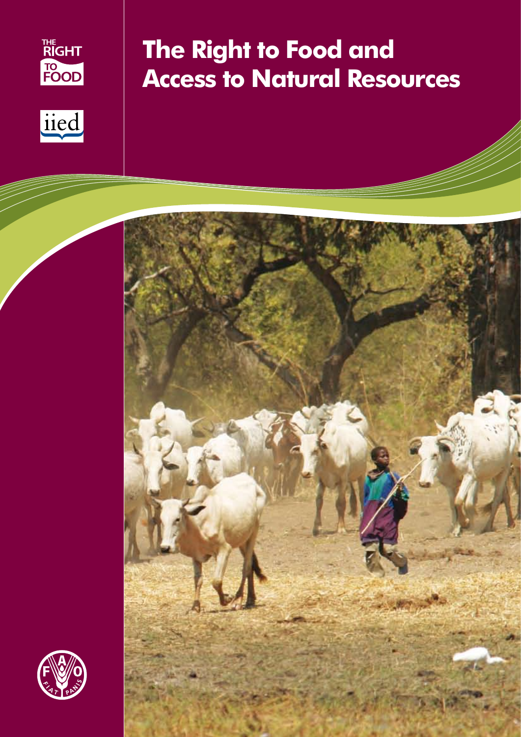



# **The Right to Food and Access to Natural Resources**



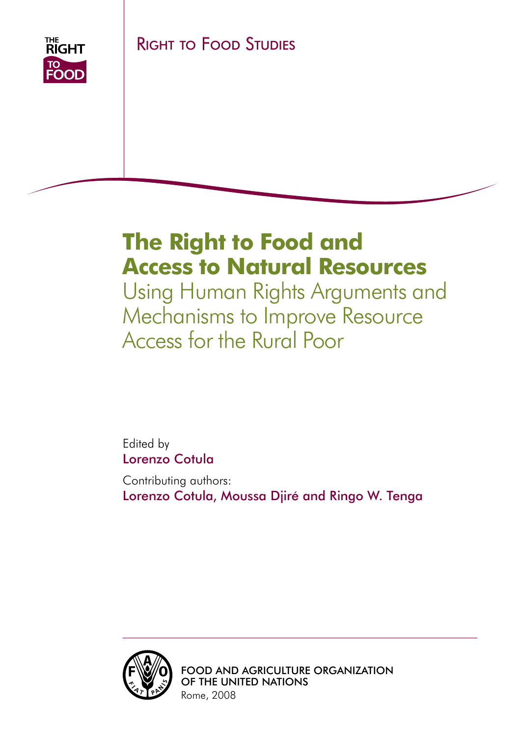

# **The Right to Food and Access to Natural Resources**

Using Human Rights Arguments and Mechanisms to Improve Resource Access for the Rural Poor

Edited by Lorenzo Cotula

Contributing authors: Lorenzo Cotula, Moussa Djiré and Ringo W. Tenga



Food and Agriculture Organization of the United Nations Rome, 2008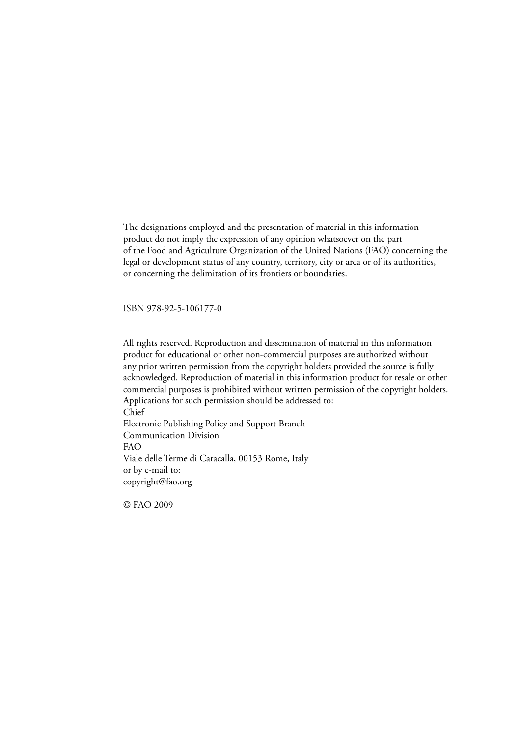The designations employed and the presentation of material in this information product do not imply the expression of any opinion whatsoever on the part of the Food and Agriculture Organization of the United Nations (FAO) concerning the legal or development status of any country, territory, city or area or of its authorities, or concerning the delimitation of its frontiers or boundaries.

ISBN 978-92-5-106177-0

All rights reserved. Reproduction and dissemination of material in this information product for educational or other non-commercial purposes are authorized without any prior written permission from the copyright holders provided the source is fully acknowledged. Reproduction of material in this information product for resale or other commercial purposes is prohibited without written permission of the copyright holders. Applications for such permission should be addressed to: Chief Electronic Publishing Policy and Support Branch Communication Division FAO Viale delle Terme di Caracalla, 00153 Rome, Italy or by e-mail to: copyright@fao.org

© FAO 2009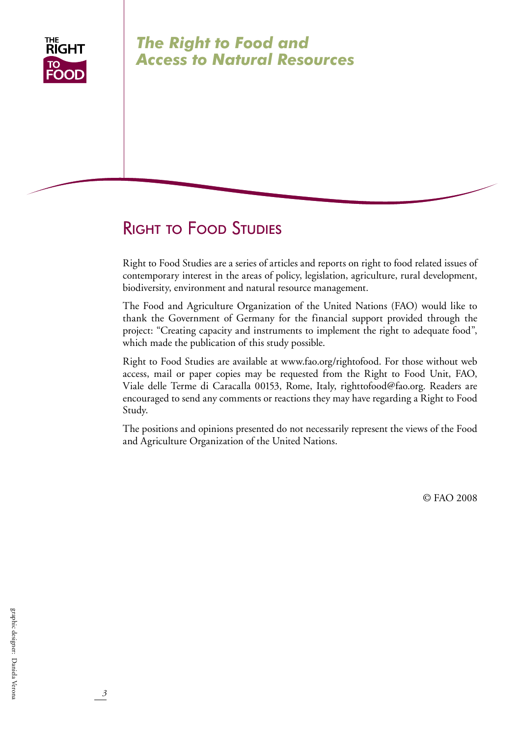

## *The Right to Food and Access to Natural Resources*

## Right to Food Studies

Right to Food Studies are a series of articles and reports on right to food related issues of contemporary interest in the areas of policy, legislation, agriculture, rural development, biodiversity, environment and natural resource management.

The Food and Agriculture Organization of the United Nations (FAO) would like to thank the Government of Germany for the financial support provided through the project: "Creating capacity and instruments to implement the right to adequate food", which made the publication of this study possible.

Right to Food Studies are available at www.fao.org/rightofood. For those without web access, mail or paper copies may be requested from the Right to Food Unit, FAO, Viale delle Terme di Caracalla 00153, Rome, Italy, righttofood@fao.org. Readers are encouraged to send any comments or reactions they may have regarding a Right to Food Study.

The positions and opinions presented do not necessarily represent the views of the Food and Agriculture Organization of the United Nations.

© FAO 2008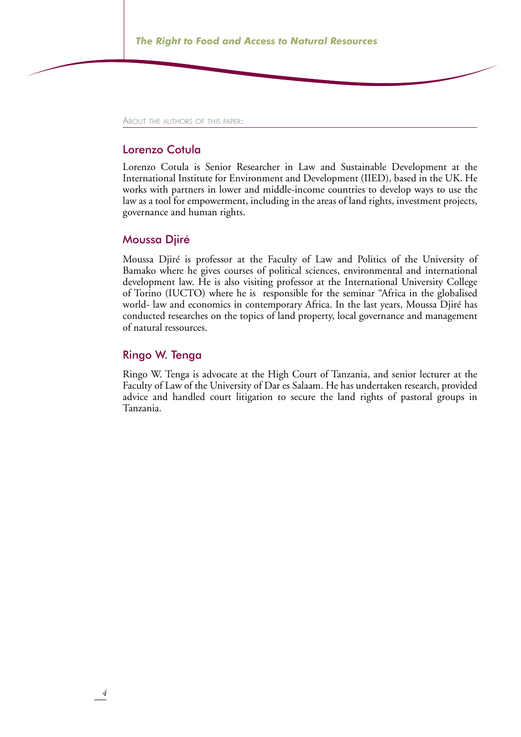About the authors of this paper:

#### Lorenzo Cotula

Lorenzo Cotula is Senior Researcher in Law and Sustainable Development at the International Institute for Environment and Development (IIED), based in the UK. He works with partners in lower and middle-income countries to develop ways to use the law as a tool for empowerment, including in the areas of land rights, investment projects, governance and human rights.

#### Moussa Djiré

Moussa Djiré is professor at the Faculty of Law and Politics of the University of Bamako where he gives courses of political sciences, environmental and international development law. He is also visiting professor at the International University College of Torino (IUCTO) where he is responsible for the seminar "Africa in the globalised world- law and economics in contemporary Africa. In the last years, Moussa Djiré has conducted researches on the topics of land property, local governance and management of natural ressources.

#### Ringo W. Tenga

Ringo W. Tenga is advocate at the High Court of Tanzania, and senior lecturer at the Faculty of Law of the University of Dar es Salaam. He has undertaken research, provided advice and handled court litigation to secure the land rights of pastoral groups in Tanzania.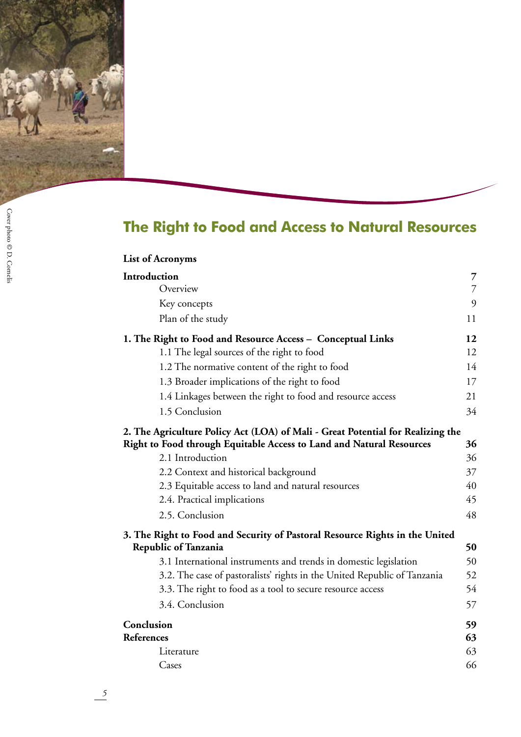

Cover photo  $\circledcirc$  D. Cornelis Cover photo © D. Cornelis

# **The Right to Food and Access to Natural Resources**

| <b>List of Acronyms</b>                                                         |                |
|---------------------------------------------------------------------------------|----------------|
| Introduction                                                                    | 7              |
| Overview                                                                        | $\overline{7}$ |
| Key concepts                                                                    | 9              |
| Plan of the study                                                               | 11             |
| 1. The Right to Food and Resource Access – Conceptual Links                     | 12             |
| 1.1 The legal sources of the right to food                                      | 12             |
| 1.2 The normative content of the right to food                                  | 14             |
| 1.3 Broader implications of the right to food                                   | 17             |
| 1.4 Linkages between the right to food and resource access                      | 21             |
| 1.5 Conclusion                                                                  | 34             |
| 2. The Agriculture Policy Act (LOA) of Mali - Great Potential for Realizing the |                |
| <b>Right to Food through Equitable Access to Land and Natural Resources</b>     | 36             |
| 2.1 Introduction                                                                | 36             |
| 2.2 Context and historical background                                           | 37             |
| 2.3 Equitable access to land and natural resources                              | 40             |
| 2.4. Practical implications                                                     | 45             |
| 2.5. Conclusion                                                                 | 48             |
| 3. The Right to Food and Security of Pastoral Resource Rights in the United     |                |
| <b>Republic of Tanzania</b>                                                     | 50             |
| 3.1 International instruments and trends in domestic legislation                | 50             |
| 3.2. The case of pastoralists' rights in the United Republic of Tanzania        | 52             |
| 3.3. The right to food as a tool to secure resource access                      | 54             |
| 3.4. Conclusion                                                                 | 57             |
| Conclusion                                                                      | 59             |
| References                                                                      | 63             |
| Literature                                                                      | 63             |
| Cases                                                                           | 66             |

 $\frac{5}{1}$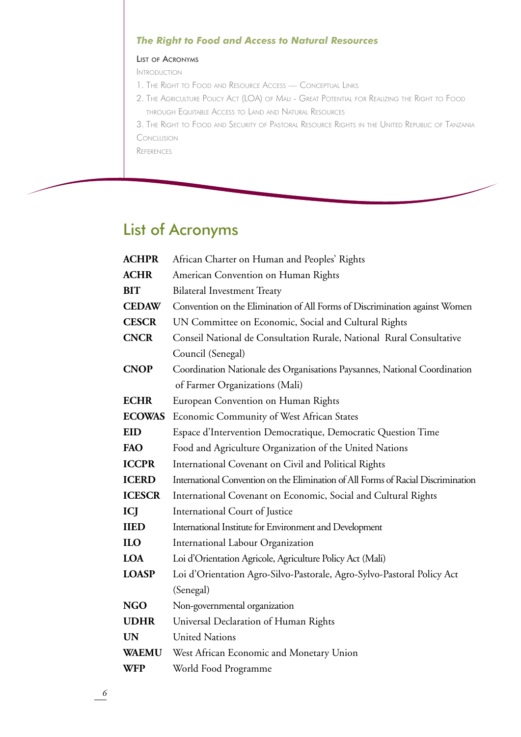### *The Right to Food and Access to Natural Resources*

#### List of Acronyms

Introduction

- 1. The Right to Food and Resource Access Conceptual Link
- 2. The Agriculture Policy Act (LOA) of Mali Great Potential for Realizing the Right to Food through Equitable Access to Land and Natural Resources

3. The Right to Food and Security of Pastoral Resource Rights in the United Republic of Tanzani Conclusion

**REFERENCES** 

## List of Acronyms

| <b>ACHPR</b>  | African Charter on Human and Peoples' Rights                                      |  |  |  |
|---------------|-----------------------------------------------------------------------------------|--|--|--|
| <b>ACHR</b>   | American Convention on Human Rights                                               |  |  |  |
| <b>BIT</b>    | <b>Bilateral Investment Treaty</b>                                                |  |  |  |
| <b>CEDAW</b>  | Convention on the Elimination of All Forms of Discrimination against Women        |  |  |  |
| <b>CESCR</b>  | UN Committee on Economic, Social and Cultural Rights                              |  |  |  |
| <b>CNCR</b>   | Conseil National de Consultation Rurale, National Rural Consultative              |  |  |  |
|               | Council (Senegal)                                                                 |  |  |  |
| <b>CNOP</b>   | Coordination Nationale des Organisations Paysannes, National Coordination         |  |  |  |
|               | of Farmer Organizations (Mali)                                                    |  |  |  |
| <b>ECHR</b>   | European Convention on Human Rights                                               |  |  |  |
| <b>ECOWAS</b> | Economic Community of West African States                                         |  |  |  |
| <b>EID</b>    | Espace d'Intervention Democratique, Democratic Question Time                      |  |  |  |
| FAO           | Food and Agriculture Organization of the United Nations                           |  |  |  |
| <b>ICCPR</b>  | International Covenant on Civil and Political Rights                              |  |  |  |
| <b>ICERD</b>  | International Convention on the Elimination of All Forms of Racial Discrimination |  |  |  |
| <b>ICESCR</b> | International Covenant on Economic, Social and Cultural Rights                    |  |  |  |
| ICJ           | International Court of Justice                                                    |  |  |  |
| <b>IIED</b>   | International Institute for Environment and Development                           |  |  |  |
| <b>ILO</b>    | International Labour Organization                                                 |  |  |  |
| <b>LOA</b>    | Loi d'Orientation Agricole, Agriculture Policy Act (Mali)                         |  |  |  |
| <b>LOASP</b>  | Loi d'Orientation Agro-Silvo-Pastorale, Agro-Sylvo-Pastoral Policy Act            |  |  |  |
|               | (Senegal)                                                                         |  |  |  |
| <b>NGO</b>    | Non-governmental organization                                                     |  |  |  |
| <b>UDHR</b>   | Universal Declaration of Human Rights                                             |  |  |  |
| <b>UN</b>     | <b>United Nations</b>                                                             |  |  |  |
| <b>WAEMU</b>  | West African Economic and Monetary Union                                          |  |  |  |
| <b>WFP</b>    | World Food Programme                                                              |  |  |  |
|               |                                                                                   |  |  |  |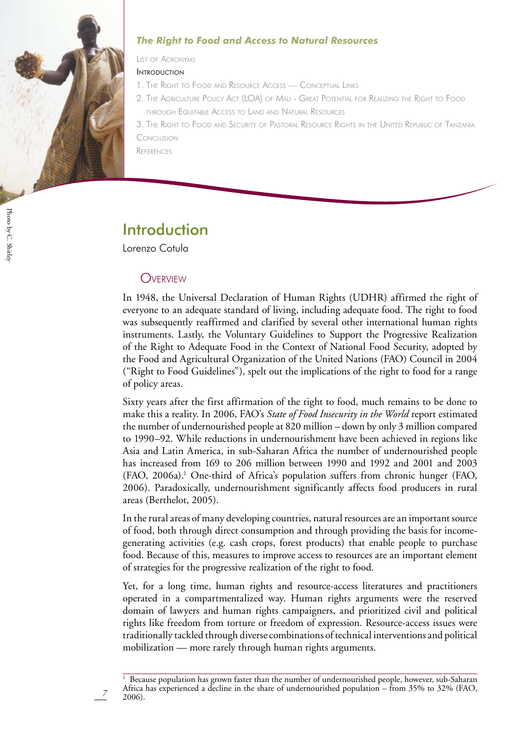

#### *The Right to Food and Access to Natural Resources*

List of Acronyms

**INTRODUCTION** 

- 1. The Right to Food and Resource Access Conceptual Link
- 2. The Agriculture Policy Act (LOA) of Mali Great Potential for Realizing the Right to Food through Equitable Access to Land and Natural Resources

3. The Right to Food and Security of Pastoral Resource Rights in the United Republic of Tanzani Conclusion

**REFERENCES** 

## Introduction

Lorenzo Cotula

## **OVERVIEW**

In 1948, the Universal Declaration of Human Rights (UDHR) affirmed the right of everyone to an adequate standard of living, including adequate food. The right to food was subsequently reaffirmed and clarified by several other international human rights instruments. Lastly, the Voluntary Guidelines to Support the Progressive Realization of the Right to Adequate Food in the Context of National Food Security, adopted by the Food and Agricultural Organization of the United Nations (FAO) Council in 2004 ("Right to Food Guidelines"), spelt out the implications of the right to food for a range of policy areas.

Sixty years after the first affirmation of the right to food, much remains to be done to make this a reality. In 2006, FAO's *State of Food Insecurity in the World* report estimated the number of undernourished people at 820 million – down by only 3 million compared to 1990–92. While reductions in undernourishment have been achieved in regions like Asia and Latin America, in sub-Saharan Africa the number of undernourished people has increased from 169 to 206 million between 1990 and 1992 and 2001 and 2003 (FAO, 2006a).<sup>1</sup> One-third of Africa's population suffers from chronic hunger (FAO, 2006). Paradoxically, undernourishment significantly affects food producers in rural areas (Berthelot, 2005).

In the rural areas of many developing countries, natural resources are an important source of food, both through direct consumption and through providing the basis for incomegenerating activities (e.g. cash crops, forest products) that enable people to purchase food. Because of this, measures to improve access to resources are an important element of strategies for the progressive realization of the right to food.

Yet, for a long time, human rights and resource-access literatures and practitioners operated in a compartmentalized way. Human rights arguments were the reserved domain of lawyers and human rights campaigners, and prioritized civil and political rights like freedom from torture or freedom of expression. Resource-access issues were traditionally tackled through diverse combinations of technical interventions and political mobilization — more rarely through human rights arguments.

<sup>&</sup>lt;sup>1</sup> Because population has grown faster than the number of undernourished people, however, sub-Saharan Africa has experienced a decline in the share of undernourished population – from 35% to 32% (FAO, 2006).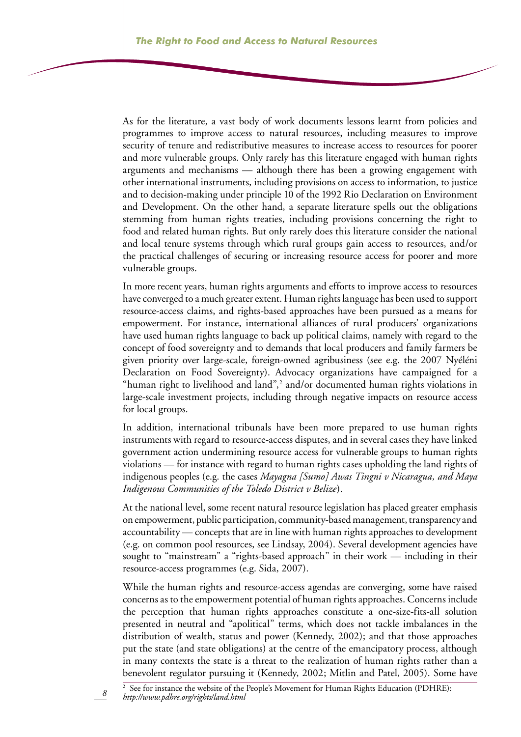As for the literature, a vast body of work documents lessons learnt from policies and programmes to improve access to natural resources, including measures to improve security of tenure and redistributive measures to increase access to resources for poorer and more vulnerable groups. Only rarely has this literature engaged with human rights arguments and mechanisms — although there has been a growing engagement with other international instruments, including provisions on access to information, to justice and to decision-making under principle 10 of the 1992 Rio Declaration on Environment and Development. On the other hand, a separate literature spells out the obligations stemming from human rights treaties, including provisions concerning the right to food and related human rights. But only rarely does this literature consider the national and local tenure systems through which rural groups gain access to resources, and/or the practical challenges of securing or increasing resource access for poorer and more vulnerable groups.

In more recent years, human rights arguments and efforts to improve access to resources have converged to a much greater extent. Human rights language has been used to support resource-access claims, and rights-based approaches have been pursued as a means for empowerment. For instance, international alliances of rural producers' organizations have used human rights language to back up political claims, namely with regard to the concept of food sovereignty and to demands that local producers and family farmers be given priority over large-scale, foreign-owned agribusiness (see e.g. the 2007 Nyéléni Declaration on Food Sovereignty). Advocacy organizations have campaigned for a "human right to livelihood and land",<sup>2</sup> and/or documented human rights violations in large-scale investment projects, including through negative impacts on resource access for local groups.

In addition, international tribunals have been more prepared to use human rights instruments with regard to resource-access disputes, and in several cases they have linked government action undermining resource access for vulnerable groups to human rights violations — for instance with regard to human rights cases upholding the land rights of indigenous peoples (e.g. the cases *Mayagna [Sumo] Awas Tingni v Nicaragua, and Maya Indigenous Communities of the Toledo District v Belize*).

At the national level, some recent natural resource legislation has placed greater emphasis on empowerment, public participation, community-based management, transparency and accountability — concepts that are in line with human rights approaches to development (e.g. on common pool resources, see Lindsay, 2004). Several development agencies have sought to "mainstream" a "rights-based approach" in their work — including in their resource-access programmes (e.g. Sida, 2007).

While the human rights and resource-access agendas are converging, some have raised concerns as to the empowerment potential of human rights approaches. Concerns include the perception that human rights approaches constitute a one-size-fits-all solution presented in neutral and "apolitical" terms, which does not tackle imbalances in the distribution of wealth, status and power (Kennedy, 2002); and that those approaches put the state (and state obligations) at the centre of the emancipatory process, although in many contexts the state is a threat to the realization of human rights rather than a benevolent regulator pursuing it (Kennedy, 2002; Mitlin and Patel, 2005). Some have

8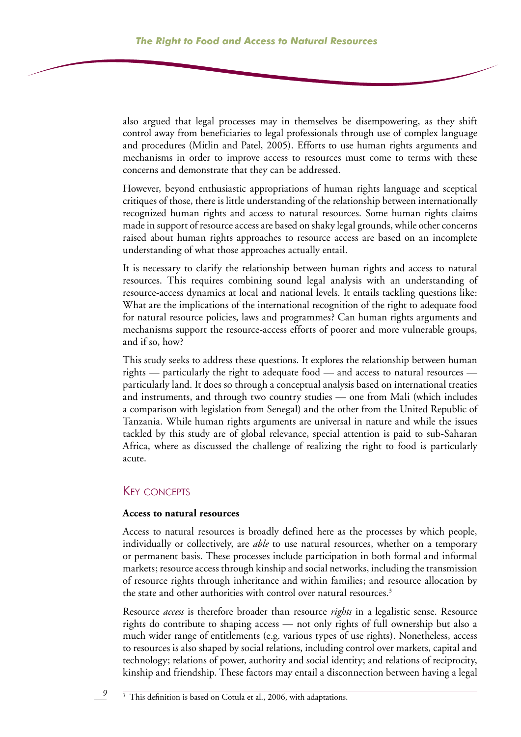also argued that legal processes may in themselves be disempowering, as they shift control away from beneficiaries to legal professionals through use of complex language and procedures (Mitlin and Patel, 2005). Efforts to use human rights arguments and mechanisms in order to improve access to resources must come to terms with these concerns and demonstrate that they can be addressed.

However, beyond enthusiastic appropriations of human rights language and sceptical critiques of those, there is little understanding of the relationship between internationally recognized human rights and access to natural resources. Some human rights claims made in support of resource access are based on shaky legal grounds, while other concerns raised about human rights approaches to resource access are based on an incomplete understanding of what those approaches actually entail.

It is necessary to clarify the relationship between human rights and access to natural resources. This requires combining sound legal analysis with an understanding of resource-access dynamics at local and national levels. It entails tackling questions like: What are the implications of the international recognition of the right to adequate food for natural resource policies, laws and programmes? Can human rights arguments and mechanisms support the resource-access efforts of poorer and more vulnerable groups, and if so, how?

This study seeks to address these questions. It explores the relationship between human rights — particularly the right to adequate food — and access to natural resources particularly land. It does so through a conceptual analysis based on international treaties and instruments, and through two country studies — one from Mali (which includes a comparison with legislation from Senegal) and the other from the United Republic of Tanzania. While human rights arguments are universal in nature and while the issues tackled by this study are of global relevance, special attention is paid to sub-Saharan Africa, where as discussed the challenge of realizing the right to food is particularly acute.

### Key concepts

#### **Access to natural resources**

Access to natural resources is broadly defined here as the processes by which people, individually or collectively, are *able* to use natural resources, whether on a temporary or permanent basis. These processes include participation in both formal and informal markets; resource access through kinship and social networks, including the transmission of resource rights through inheritance and within families; and resource allocation by the state and other authorities with control over natural resources.<sup>3</sup>

Resource *access* is therefore broader than resource *rights* in a legalistic sense. Resource rights do contribute to shaping access — not only rights of full ownership but also a much wider range of entitlements (e.g. various types of use rights). Nonetheless, access to resources is also shaped by social relations, including control over markets, capital and technology; relations of power, authority and social identity; and relations of reciprocity, kinship and friendship. These factors may entail a disconnection between having a legal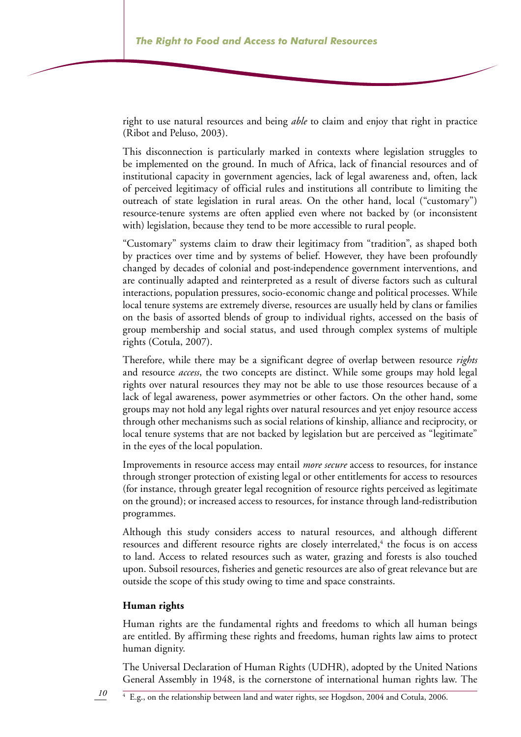right to use natural resources and being *able* to claim and enjoy that right in practice (Ribot and Peluso, 2003).

This disconnection is particularly marked in contexts where legislation struggles to be implemented on the ground. In much of Africa, lack of financial resources and of institutional capacity in government agencies, lack of legal awareness and, often, lack of perceived legitimacy of official rules and institutions all contribute to limiting the outreach of state legislation in rural areas. On the other hand, local ("customary") resource-tenure systems are often applied even where not backed by (or inconsistent with) legislation, because they tend to be more accessible to rural people.

"Customary" systems claim to draw their legitimacy from "tradition", as shaped both by practices over time and by systems of belief. However, they have been profoundly changed by decades of colonial and post-independence government interventions, and are continually adapted and reinterpreted as a result of diverse factors such as cultural interactions, population pressures, socio-economic change and political processes. While local tenure systems are extremely diverse, resources are usually held by clans or families on the basis of assorted blends of group to individual rights, accessed on the basis of group membership and social status, and used through complex systems of multiple rights (Cotula, 2007).

Therefore, while there may be a significant degree of overlap between resource *rights*  and resource *access*, the two concepts are distinct. While some groups may hold legal rights over natural resources they may not be able to use those resources because of a lack of legal awareness, power asymmetries or other factors. On the other hand, some groups may not hold any legal rights over natural resources and yet enjoy resource access through other mechanisms such as social relations of kinship, alliance and reciprocity, or local tenure systems that are not backed by legislation but are perceived as "legitimate" in the eyes of the local population.

Improvements in resource access may entail *more secure* access to resources, for instance through stronger protection of existing legal or other entitlements for access to resources (for instance, through greater legal recognition of resource rights perceived as legitimate on the ground); or increased access to resources, for instance through land-redistribution programmes.

Although this study considers access to natural resources, and although different resources and different resource rights are closely interrelated, $4$  the focus is on access to land. Access to related resources such as water, grazing and forests is also touched upon. Subsoil resources, fisheries and genetic resources are also of great relevance but are outside the scope of this study owing to time and space constraints.

#### **Human rights**

Human rights are the fundamental rights and freedoms to which all human beings are entitled. By affirming these rights and freedoms, human rights law aims to protect human dignity.

The Universal Declaration of Human Rights (UDHR), adopted by the United Nations General Assembly in 1948, is the cornerstone of international human rights law. The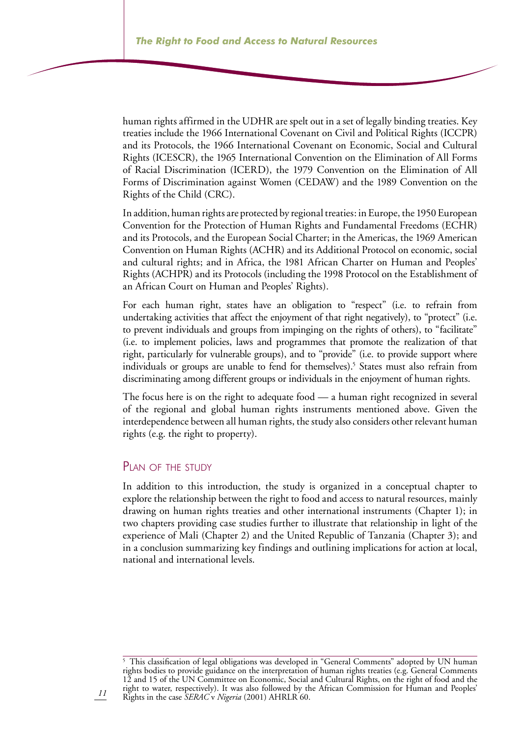human rights affirmed in the UDHR are spelt out in a set of legally binding treaties. Key treaties include the 1966 International Covenant on Civil and Political Rights (ICCPR) and its Protocols, the 1966 International Covenant on Economic, Social and Cultural Rights (ICESCR), the 1965 International Convention on the Elimination of All Forms of Racial Discrimination (ICERD), the 1979 Convention on the Elimination of All Forms of Discrimination against Women (CEDAW) and the 1989 Convention on the Rights of the Child (CRC).

In addition, human rights are protected by regional treaties: in Europe, the 1950 European Convention for the Protection of Human Rights and Fundamental Freedoms (ECHR) and its Protocols, and the European Social Charter; in the Americas, the 1969 American Convention on Human Rights (ACHR) and its Additional Protocol on economic, social and cultural rights; and in Africa, the 1981 African Charter on Human and Peoples' Rights (ACHPR) and its Protocols (including the 1998 Protocol on the Establishment of an African Court on Human and Peoples' Rights).

For each human right, states have an obligation to "respect" (i.e. to refrain from undertaking activities that affect the enjoyment of that right negatively), to "protect" (i.e. to prevent individuals and groups from impinging on the rights of others), to "facilitate" (i.e. to implement policies, laws and programmes that promote the realization of that right, particularly for vulnerable groups), and to "provide" (i.e. to provide support where individuals or groups are unable to fend for themselves).<sup>5</sup> States must also refrain from discriminating among different groups or individuals in the enjoyment of human rights.

The focus here is on the right to adequate food — a human right recognized in several of the regional and global human rights instruments mentioned above. Given the interdependence between all human rights, the study also considers other relevant human rights (e.g. the right to property).

#### PLAN OF THE STUDY

In addition to this introduction, the study is organized in a conceptual chapter to explore the relationship between the right to food and access to natural resources, mainly drawing on human rights treaties and other international instruments (Chapter 1); in two chapters providing case studies further to illustrate that relationship in light of the experience of Mali (Chapter 2) and the United Republic of Tanzania (Chapter 3); and in a conclusion summarizing key findings and outlining implications for action at local, national and international levels.

<sup>&</sup>lt;sup>5</sup> This classification of legal obligations was developed in "General Comments" adopted by UN human rights bodies to provide guidance on the interpretation of human rights treaties (e.g. General Comments 12 and 15 of the UN Committee on Economic, Social and Cultural Rights, on the right of food and the right to water, respectively). It was also followed by the African Commission for Human and Peoples' Rights in the case *SERAC* v *Nigeria* (2001) AHRLR 60.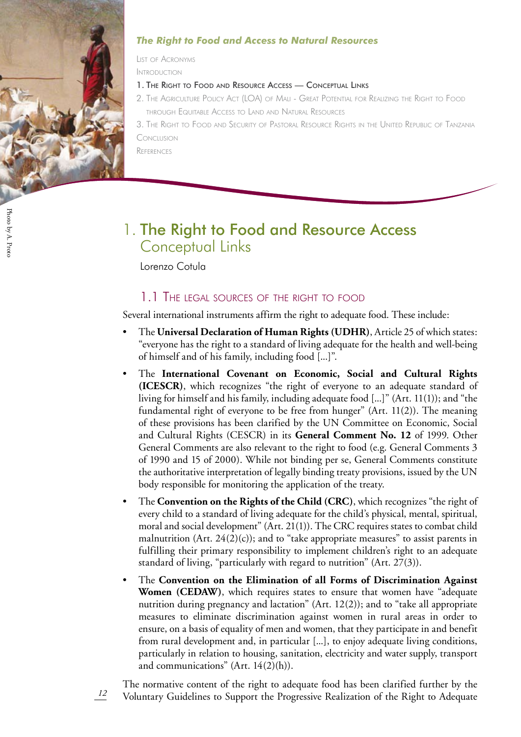

### *The Right to Food and Access to Natural Resources*

List of Acronyms

Introduction

- 1. The Right to Food and Resource Access Conceptual Links
- 2. The Agriculture Policy Act (LOA) of Mali Great Potential for Realizing the Right to Food through Equitable Access to Land and Natural Resources

3. The Right to Food and Security of Pastoral Resource Rights in the United Republic of Tanzani Conclusion

**REFERENCES** 

## 1. The Right to Food and Resource Access Conceptual Links

Lorenzo Cotula

*12*

## 1.1 The legal sources of the right to food

Several international instruments affirm the right to adequate food. These include:

- The **Universal Declaration of Human Rights (UDHR)**, Article 25 of which states: "everyone has the right to a standard of living adequate for the health and well-being of himself and of his family, including food [...]". •
- The **International Covenant on Economic, Social and Cultural Rights (ICESCR)**, which recognizes "the right of everyone to an adequate standard of living for himself and his family, including adequate food [...]" (Art. 11(1)); and "the fundamental right of everyone to be free from hunger" (Art. 11(2)). The meaning of these provisions has been clarified by the UN Committee on Economic, Social and Cultural Rights (CESCR) in its **General Comment No. 12** of 1999. Other General Comments are also relevant to the right to food (e.g. General Comments 3 of 1990 and 15 of 2000). While not binding per se, General Comments constitute the authoritative interpretation of legally binding treaty provisions, issued by the UN body responsible for monitoring the application of the treaty. •
- The **Convention on the Rights of the Child (CRC)**, which recognizes "the right of every child to a standard of living adequate for the child's physical, mental, spiritual, moral and social development" (Art. 21(1)). The CRC requires states to combat child malnutrition (Art.  $24(2)(c)$ ); and to "take appropriate measures" to assist parents in fulfilling their primary responsibility to implement children's right to an adequate standard of living, "particularly with regard to nutrition" (Art. 27(3)). •
- The **Convention on the Elimination of all Forms of Discrimination Against Women (CEDAW)**, which requires states to ensure that women have "adequate nutrition during pregnancy and lactation" (Art. 12(2)); and to "take all appropriate measures to eliminate discrimination against women in rural areas in order to ensure, on a basis of equality of men and women, that they participate in and benefit from rural development and, in particular [...], to enjoy adequate living conditions, particularly in relation to housing, sanitation, electricity and water supply, transport and communications" (Art.  $14(2)(h)$ ). •

The normative content of the right to adequate food has been clarified further by the Voluntary Guidelines to Support the Progressive Realization of the Right to Adequate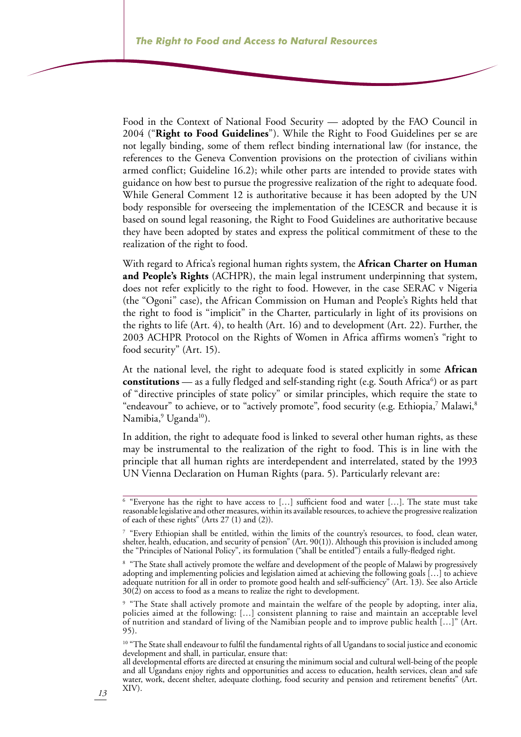Food in the Context of National Food Security — adopted by the FAO Council in 2004 ("**Right to Food Guidelines**"). While the Right to Food Guidelines per se are not legally binding, some of them reflect binding international law (for instance, the references to the Geneva Convention provisions on the protection of civilians within armed conflict; Guideline 16.2); while other parts are intended to provide states with guidance on how best to pursue the progressive realization of the right to adequate food. While General Comment 12 is authoritative because it has been adopted by the UN body responsible for overseeing the implementation of the ICESCR and because it is based on sound legal reasoning, the Right to Food Guidelines are authoritative because they have been adopted by states and express the political commitment of these to the realization of the right to food.

With regard to Africa's regional human rights system, the **African Charter on Human and People's Rights** (ACHPR), the main legal instrument underpinning that system, does not refer explicitly to the right to food. However, in the case SERAC v Nigeria (the "Ogoni" case), the African Commission on Human and People's Rights held that the right to food is "implicit" in the Charter, particularly in light of its provisions on the rights to life (Art. 4), to health (Art. 16) and to development (Art. 22). Further, the 2003 ACHPR Protocol on the Rights of Women in Africa affirms women's "right to food security" (Art. 15).

At the national level, the right to adequate food is stated explicitly in some **African constitutions** — as a fully fledged and self-standing right (e.g. South Africa<sup>6</sup>) or as part of "directive principles of state policy" or similar principles, which require the state to "endeavour" to achieve, or to "actively promote", food security (e.g. Ethiopia,<sup>7</sup> Malawi,<sup>8</sup> Namibia,<sup>9</sup> Uganda<sup>10</sup>).

In addition, the right to adequate food is linked to several other human rights, as these may be instrumental to the realization of the right to food. This is in line with the principle that all human rights are interdependent and interrelated, stated by the 1993 UN Vienna Declaration on Human Rights (para. 5). Particularly relevant are:

<sup>6</sup> "Everyone has the right to have access to […] sufficient food and water […]. The state must take reasonable legislative and other measures, within its available resources, to achieve the progressive realization of each of these rights" (Arts 27 (1) and (2)).

<sup>&</sup>lt;sup>7</sup> "Every Ethiopian shall be entitled, within the limits of the country's resources, to food, clean water, shelter, health, education, and security of pension" (Art. 90(1)). Although this provision is included among the "Principles of National Policy", its formulation ("shall be entitled") entails a fully-fledged right.

<sup>&</sup>lt;sup>8</sup> "The State shall actively promote the welfare and development of the people of Malawi by progressively adopting and implementing policies and legislation aimed at achieving the following goals […] to achieve adequate nutrition for all in order to promote good health and self-sufficiency" (Art. 13). See also Article 30(2) on access to food as a means to realize the right to development.

<sup>&</sup>lt;sup>9</sup> "The State shall actively promote and maintain the welfare of the people by adopting, inter alia, policies aimed at the following: […] consistent planning to raise and maintain an acceptable level of nutrition and standard of living of the Namibian people and to improve public health […]" (Art. 95).

<sup>&</sup>lt;sup>10</sup> "The State shall endeavour to fulfil the fundamental rights of all Ugandans to social justice and economic development and shall, in particular, ensure that:

all developmental efforts are directed at ensuring the minimum social and cultural well-being of the people and all Ugandans enjoy rights and opportunities and access to education, health services, clean and safe water, work, decent shelter, adequate clothing, food security and pension and retirement benefits" (Art. XIV).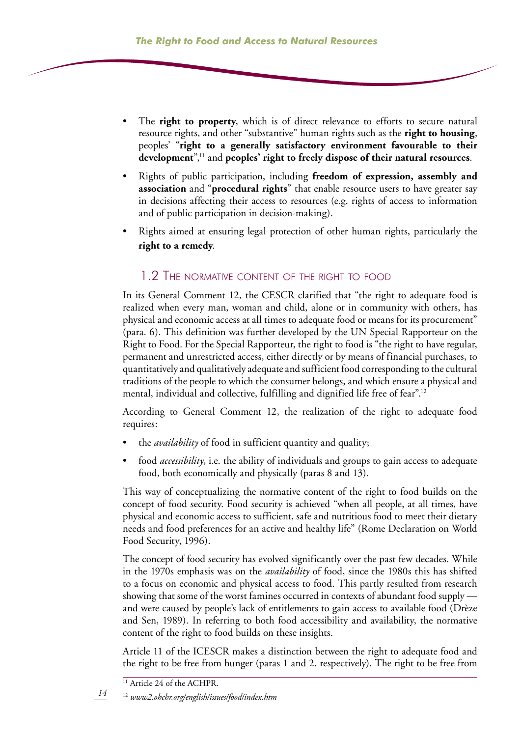- The **right to property**, which is of direct relevance to efforts to secure natural resource rights, and other "substantive" human rights such as the **right to housing**, peoples' "**right to a generally satisfactory environment favourable to their development**",11 and **peoples' right to freely dispose of their natural resources**. •
- Rights of public participation, including **freedom of expression, assembly and association** and "**procedural rights**" that enable resource users to have greater say in decisions affecting their access to resources (e.g. rights of access to information and of public participation in decision-making). •
- Rights aimed at ensuring legal protection of other human rights, particularly the **right to a remedy**. •

### 1.2 The normative content of the right to food

In its General Comment 12, the CESCR clarified that "the right to adequate food is realized when every man, woman and child, alone or in community with others, has physical and economic access at all times to adequate food or means for its procurement" (para. 6). This definition was further developed by the UN Special Rapporteur on the Right to Food. For the Special Rapporteur, the right to food is "the right to have regular, permanent and unrestricted access, either directly or by means of financial purchases, to quantitatively and qualitatively adequate and sufficient food corresponding to the cultural traditions of the people to which the consumer belongs, and which ensure a physical and mental, individual and collective, fulfilling and dignified life free of fear".<sup>12</sup>

According to General Comment 12, the realization of the right to adequate food requires:

- the *availability* of food in sufficient quantity and quality; •
- food *accessibility*, i.e. the ability of individuals and groups to gain access to adequate food, both economically and physically (paras 8 and 13). •

This way of conceptualizing the normative content of the right to food builds on the concept of food security. Food security is achieved "when all people, at all times, have physical and economic access to sufficient, safe and nutritious food to meet their dietary needs and food preferences for an active and healthy life" (Rome Declaration on World Food Security, 1996).

The concept of food security has evolved significantly over the past few decades. While in the 1970s emphasis was on the *availability* of food, since the 1980s this has shifted to a focus on economic and physical access to food. This partly resulted from research showing that some of the worst famines occurred in contexts of abundant food supply and were caused by people's lack of entitlements to gain access to available food (Drèze and Sen, 1989). In referring to both food accessibility and availability, the normative content of the right to food builds on these insights.

Article 11 of the ICESCR makes a distinction between the right to adequate food and the right to be free from hunger (paras 1 and 2, respectively). The right to be free from

<sup>&</sup>lt;sup>11</sup> Article 24 of the ACHPR.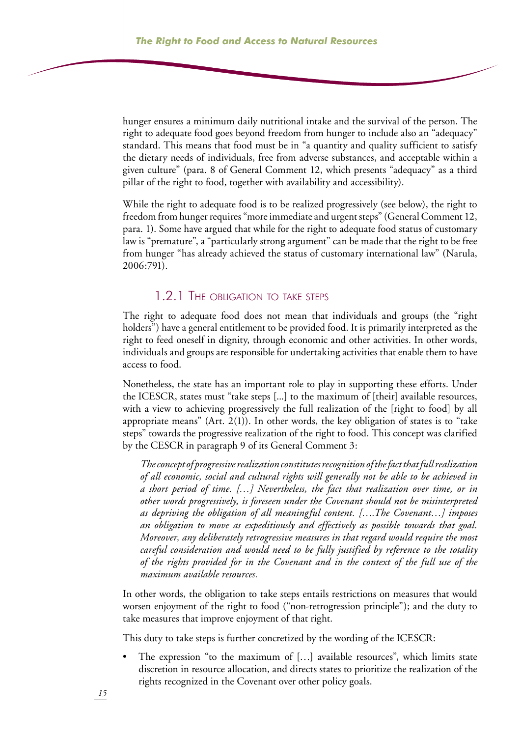hunger ensures a minimum daily nutritional intake and the survival of the person. The right to adequate food goes beyond freedom from hunger to include also an "adequacy" standard. This means that food must be in "a quantity and quality sufficient to satisfy the dietary needs of individuals, free from adverse substances, and acceptable within a given culture" (para. 8 of General Comment 12, which presents "adequacy" as a third pillar of the right to food, together with availability and accessibility).

While the right to adequate food is to be realized progressively (see below), the right to freedom from hunger requires "more immediate and urgent steps" (General Comment 12, para. 1). Some have argued that while for the right to adequate food status of customary law is "premature", a "particularly strong argument" can be made that the right to be free from hunger "has already achieved the status of customary international law" (Narula, 2006:791).

## 1.2.1 The obligation to take steps

The right to adequate food does not mean that individuals and groups (the "right holders") have a general entitlement to be provided food. It is primarily interpreted as the right to feed oneself in dignity, through economic and other activities. In other words, individuals and groups are responsible for undertaking activities that enable them to have access to food.

Nonetheless, the state has an important role to play in supporting these efforts. Under the ICESCR, states must "take steps [...] to the maximum of [their] available resources, with a view to achieving progressively the full realization of the [right to food] by all appropriate means" (Art. 2(1)). In other words, the key obligation of states is to "take steps" towards the progressive realization of the right to food. This concept was clarified by the CESCR in paragraph 9 of its General Comment 3:

*The concept of progressive realization constitutes recognition of the fact that full realization of all economic, social and cultural rights will generally not be able to be achieved in a short period of time. […] Nevertheless, the fact that realization over time, or in other words progressively, is foreseen under the Covenant should not be misinterpreted as depriving the obligation of all meaningful content. [….The Covenant…] imposes an obligation to move as expeditiously and effectively as possible towards that goal. Moreover, any deliberately retrogressive measures in that regard would require the most careful consideration and would need to be fully justified by reference to the totality of the rights provided for in the Covenant and in the context of the full use of the maximum available resources.*

In other words, the obligation to take steps entails restrictions on measures that would worsen enjoyment of the right to food ("non-retrogression principle"); and the duty to take measures that improve enjoyment of that right.

This duty to take steps is further concretized by the wording of the ICESCR:

The expression "to the maximum of […] available resources", which limits state discretion in resource allocation, and directs states to prioritize the realization of the rights recognized in the Covenant over other policy goals. •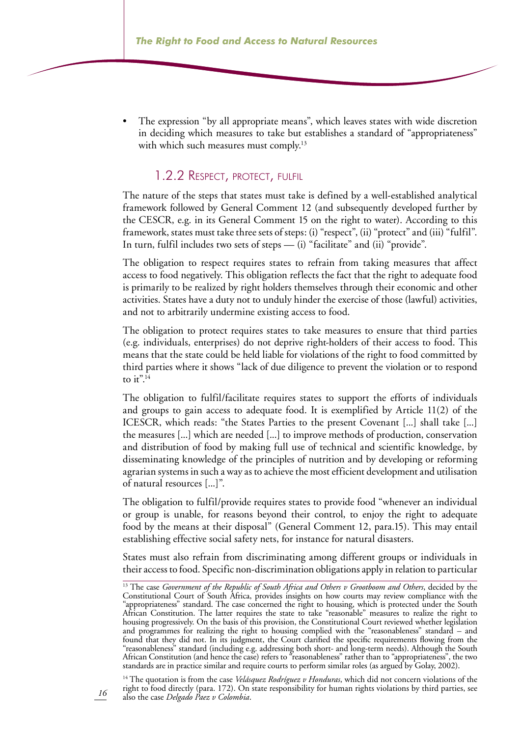The expression "by all appropriate means", which leaves states with wide discretion in deciding which measures to take but establishes a standard of "appropriateness" with which such measures must comply.<sup>13</sup> •

#### 1.2.2 Respect, protect, fulfil

The nature of the steps that states must take is defined by a well-established analytical framework followed by General Comment 12 (and subsequently developed further by the CESCR, e.g. in its General Comment 15 on the right to water). According to this framework, states must take three sets of steps: (i) "respect", (ii) "protect" and (iii) "fulfil". In turn, fulfil includes two sets of steps — (i) "facilitate" and (ii) "provide".

The obligation to respect requires states to refrain from taking measures that affect access to food negatively. This obligation reflects the fact that the right to adequate food is primarily to be realized by right holders themselves through their economic and other activities. States have a duty not to unduly hinder the exercise of those (lawful) activities, and not to arbitrarily undermine existing access to food.

The obligation to protect requires states to take measures to ensure that third parties (e.g. individuals, enterprises) do not deprive right-holders of their access to food. This means that the state could be held liable for violations of the right to food committed by third parties where it shows "lack of due diligence to prevent the violation or to respond to  $it^{"14}$ 

The obligation to fulfil/facilitate requires states to support the efforts of individuals and groups to gain access to adequate food. It is exemplified by Article 11(2) of the ICESCR, which reads: "the States Parties to the present Covenant [...] shall take [...] the measures [...] which are needed [...] to improve methods of production, conservation and distribution of food by making full use of technical and scientific knowledge, by disseminating knowledge of the principles of nutrition and by developing or reforming agrarian systems in such a way as to achieve the most efficient development and utilisation of natural resources [...]".

The obligation to fulfil/provide requires states to provide food "whenever an individual or group is unable, for reasons beyond their control, to enjoy the right to adequate food by the means at their disposal" (General Comment 12, para.15). This may entail establishing effective social safety nets, for instance for natural disasters.

States must also refrain from discriminating among different groups or individuals in their access to food. Specific non-discrimination obligations apply in relation to particular

14 The quotation is from the case *Velásquez Rodríguez v Honduras*, which did not concern violations of the right to food directly (para. 172). On state responsibility for human rights violations by third parties, see also the case *Delgado Paez v Colombia*.

<sup>&</sup>lt;sup>13</sup> The case *Government of the Republic of South Africa and Others v Grootboom and Others*, decided by the Constitutional Court of South Africa, provides insights on how courts may review compliance with the "appropriateness" standard. The case concerned the right to housing, which is protected under the South African Constitution. The latter requires the state to take "reasonable" measures to realize the right to housing progressively. On the basis of this provision, the Constitutional Court reviewed whether legislation and programmes for realizing the right to housing complied with the "reasonableness" standard – and found that they did not. In its judgment, the Court clarified the specific requirements flowing from the "reasonableness" standard (including e.g. addressing both short- and long-term needs). Although the South African Constitution (and hence the case) refers to "reasonableness" rather than to "appropriateness", the two standards are in practice similar and require courts to perform similar roles (as argued by Golay, 2002).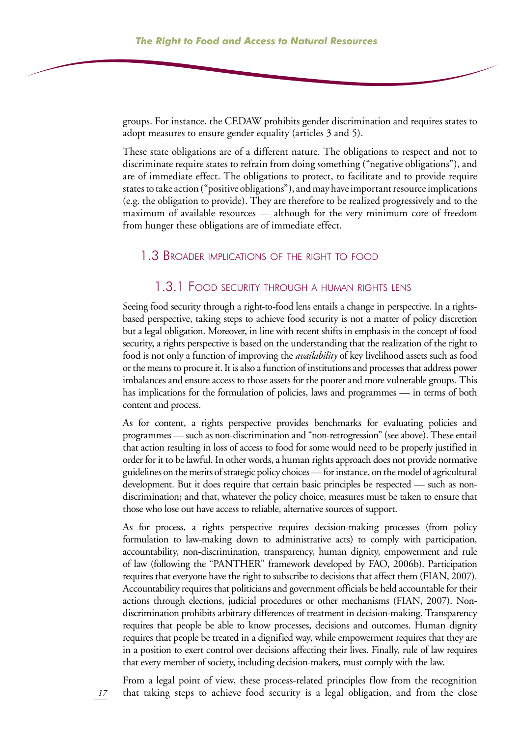groups. For instance, the CEDAW prohibits gender discrimination and requires states to adopt measures to ensure gender equality (articles 3 and 5).

These state obligations are of a different nature. The obligations to respect and not to discriminate require states to refrain from doing something ("negative obligations"), and are of immediate effect. The obligations to protect, to facilitate and to provide require states to take action ("positive obligations"), and may have important resource implications (e.g. the obligation to provide). They are therefore to be realized progressively and to the maximum of available resources — although for the very minimum core of freedom from hunger these obligations are of immediate effect.

#### 1.3 Broader implications of the right to food

#### 1.3.1 Food security through <sup>a</sup> human rights lens

Seeing food security through a right-to-food lens entails a change in perspective. In a rightsbased perspective, taking steps to achieve food security is not a matter of policy discretion but a legal obligation. Moreover, in line with recent shifts in emphasis in the concept of food security, a rights perspective is based on the understanding that the realization of the right to food is not only a function of improving the *availability* of key livelihood assets such as food or the means to procure it. It is also a function of institutions and processes that address power imbalances and ensure access to those assets for the poorer and more vulnerable groups. This has implications for the formulation of policies, laws and programmes — in terms of both content and process.

As for content, a rights perspective provides benchmarks for evaluating policies and programmes — such as non-discrimination and "non-retrogression" (see above). These entail that action resulting in loss of access to food for some would need to be properly justified in order for it to be lawful. In other words, a human rights approach does not provide normative guidelines on the merits of strategic policy choices — for instance, on the model of agricultural development. But it does require that certain basic principles be respected — such as nondiscrimination; and that, whatever the policy choice, measures must be taken to ensure that those who lose out have access to reliable, alternative sources of support.

As for process, a rights perspective requires decision-making processes (from policy formulation to law-making down to administrative acts) to comply with participation, accountability, non-discrimination, transparency, human dignity, empowerment and rule of law (following the "PANTHER" framework developed by FAO, 2006b). Participation requires that everyone have the right to subscribe to decisions that affect them (FIAN, 2007). Accountability requires that politicians and government officials be held accountable for their actions through elections, judicial procedures or other mechanisms (FIAN, 2007). Nondiscrimination prohibits arbitrary differences of treatment in decision-making. Transparency requires that people be able to know processes, decisions and outcomes. Human dignity requires that people be treated in a dignified way, while empowerment requires that they are in a position to exert control over decisions affecting their lives. Finally, rule of law requires that every member of society, including decision-makers, must comply with the law.

From a legal point of view, these process-related principles flow from the recognition that taking steps to achieve food security is a legal obligation, and from the close

*17*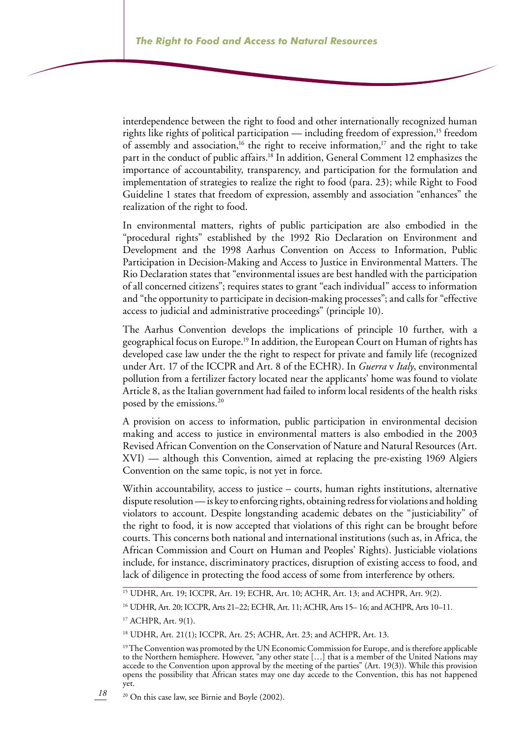interdependence between the right to food and other internationally recognized human rights like rights of political participation — including freedom of expression,<sup>15</sup> freedom of assembly and association,<sup>16</sup> the right to receive information,<sup>17</sup> and the right to take part in the conduct of public affairs.<sup>18</sup> In addition, General Comment 12 emphasizes the importance of accountability, transparency, and participation for the formulation and implementation of strategies to realize the right to food (para. 23); while Right to Food Guideline 1 states that freedom of expression, assembly and association "enhances" the realization of the right to food.

In environmental matters, rights of public participation are also embodied in the "procedural rights" established by the 1992 Rio Declaration on Environment and Development and the 1998 Aarhus Convention on Access to Information, Public Participation in Decision-Making and Access to Justice in Environmental Matters. The Rio Declaration states that "environmental issues are best handled with the participation of all concerned citizens"; requires states to grant "each individual" access to information and "the opportunity to participate in decision-making processes"; and calls for "effective access to judicial and administrative proceedings" (principle 10).

The Aarhus Convention develops the implications of principle 10 further, with a geographical focus on Europe.<sup>19</sup> In addition, the European Court on Human of rights has developed case law under the the right to respect for private and family life (recognized under Art. 17 of the ICCPR and Art. 8 of the ECHR). In *Guerra* v *Italy*, environmental pollution from a fertilizer factory located near the applicants' home was found to violate Article 8, as the Italian government had failed to inform local residents of the health risks posed by the emissions.<sup>20</sup>

A provision on access to information, public participation in environmental decision making and access to justice in environmental matters is also embodied in the 2003 Revised African Convention on the Conservation of Nature and Natural Resources (Art. XVI) — although this Convention, aimed at replacing the pre-existing 1969 Algiers Convention on the same topic, is not yet in force.

Within accountability, access to justice – courts, human rights institutions, alternative dispute resolution — is key to enforcing rights, obtaining redress for violations and holding violators to account. Despite longstanding academic debates on the "justiciability" of the right to food, it is now accepted that violations of this right can be brought before courts. This concerns both national and international institutions (such as, in Africa, the African Commission and Court on Human and Peoples' Rights). Justiciable violations include, for instance, discriminatory practices, disruption of existing access to food, and lack of diligence in protecting the food access of some from interference by others.

*18*

20 On this case law, see Birnie and Boyle (2002).

<sup>15</sup> UDHR, Art. 19; ICCPR, Art. 19; ECHR, Art. 10; ACHR, Art. 13; and ACHPR, Art. 9(2).

<sup>16</sup> UDHR, Art. 20; ICCPR, Arts 21–22; ECHR, Art. 11; ACHR, Arts 15– 16; and ACHPR, Arts 10–11.

<sup>17</sup> ACHPR, Art. 9(1).

<sup>18</sup> UDHR, Art. 21(1); ICCPR, Art. 25; ACHR, Art. 23; and ACHPR, Art. 13.

<sup>&</sup>lt;sup>19</sup> The Convention was promoted by the UN Economic Commission for Europe, and is therefore applicable to the Northern hemisphere. However, "any other state […] that is a member of the United Nations may accede to the Convention upon approval by the meeting of the parties" (Art. 19(3)). While this provision opens the possibility that African states may one day accede to the Convention, this has not happened yet.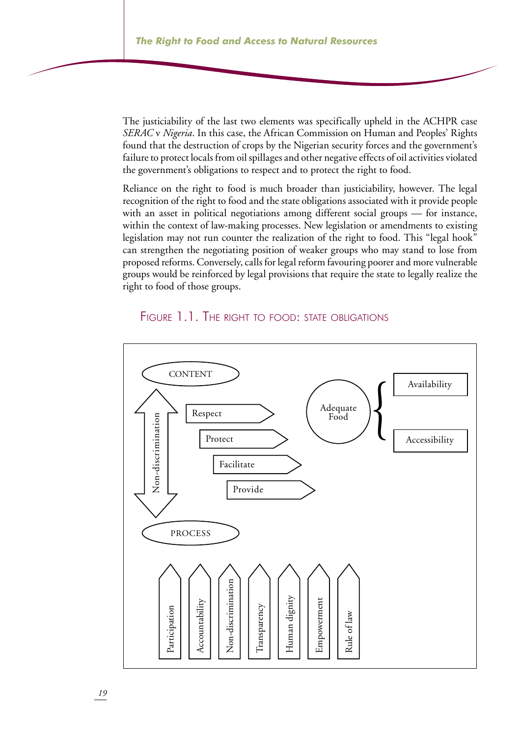The justiciability of the last two elements was specifically upheld in the ACHPR case *SERAC* v *Nigeria*. In this case, the African Commission on Human and Peoples' Rights found that the destruction of crops by the Nigerian security forces and the government's failure to protect locals from oil spillages and other negative effects of oil activities violated the government's obligations to respect and to protect the right to food.

Reliance on the right to food is much broader than justiciability, however. The legal recognition of the right to food and the state obligations associated with it provide people with an asset in political negotiations among different social groups — for instance, within the context of law-making processes. New legislation or amendments to existing legislation may not run counter the realization of the right to food. This "legal hook" can strengthen the negotiating position of weaker groups who may stand to lose from proposed reforms. Conversely, calls for legal reform favouring poorer and more vulnerable groups would be reinforced by legal provisions that require the state to legally realize the right to food of those groups.



## FIGURE 1.1. THE RIGHT TO FOOD: STATE OBLIGATIONS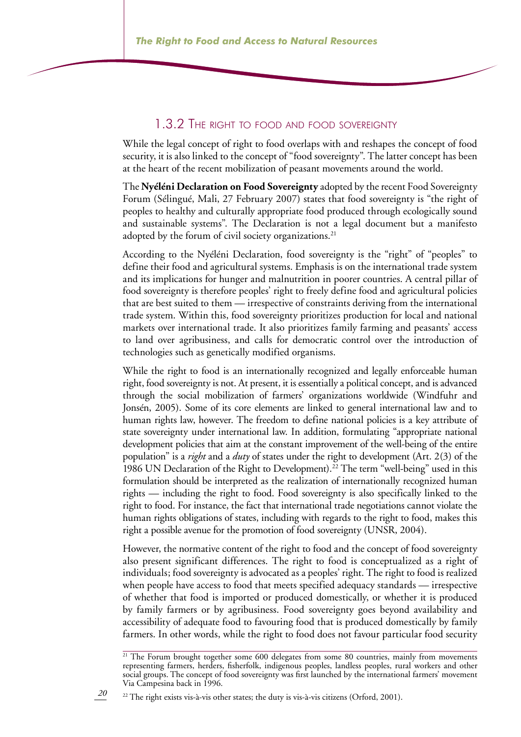### 1.3.2 The right to food and food sovereignty

While the legal concept of right to food overlaps with and reshapes the concept of food security, it is also linked to the concept of "food sovereignty". The latter concept has been at the heart of the recent mobilization of peasant movements around the world.

The **Nyéléni Declaration on Food Sovereignty** adopted by the recent Food Sovereignty Forum (Sélingué, Mali, 27 February 2007) states that food sovereignty is "the right of peoples to healthy and culturally appropriate food produced through ecologically sound and sustainable systems". The Declaration is not a legal document but a manifesto adopted by the forum of civil society organizations.<sup>21</sup>

According to the Nyéléni Declaration, food sovereignty is the "right" of "peoples" to define their food and agricultural systems. Emphasis is on the international trade system and its implications for hunger and malnutrition in poorer countries. A central pillar of food sovereignty is therefore peoples' right to freely define food and agricultural policies that are best suited to them — irrespective of constraints deriving from the international trade system. Within this, food sovereignty prioritizes production for local and national markets over international trade. It also prioritizes family farming and peasants' access to land over agribusiness, and calls for democratic control over the introduction of technologies such as genetically modified organisms.

While the right to food is an internationally recognized and legally enforceable human right, food sovereignty is not. At present, it is essentially a political concept, and is advanced through the social mobilization of farmers' organizations worldwide (Windfuhr and Jonsén, 2005). Some of its core elements are linked to general international law and to human rights law, however. The freedom to define national policies is a key attribute of state sovereignty under international law. In addition, formulating "appropriate national development policies that aim at the constant improvement of the well-being of the entire population" is a *right* and a *duty* of states under the right to development (Art. 2(3) of the 1986 UN Declaration of the Right to Development).<sup>22</sup> The term "well-being" used in this formulation should be interpreted as the realization of internationally recognized human rights — including the right to food. Food sovereignty is also specifically linked to the right to food. For instance, the fact that international trade negotiations cannot violate the human rights obligations of states, including with regards to the right to food, makes this right a possible avenue for the promotion of food sovereignty (UNSR, 2004).

However, the normative content of the right to food and the concept of food sovereignty also present significant differences. The right to food is conceptualized as a right of individuals; food sovereignty is advocated as a peoples' right. The right to food is realized when people have access to food that meets specified adequacy standards — irrespective of whether that food is imported or produced domestically, or whether it is produced by family farmers or by agribusiness. Food sovereignty goes beyond availability and accessibility of adequate food to favouring food that is produced domestically by family farmers. In other words, while the right to food does not favour particular food security

<sup>&</sup>lt;sup>21</sup> The Forum brought together some 600 delegates from some 80 countries, mainly from movements representing farmers, herders, fisherfolk, indigenous peoples, landless peoples, rural workers and other social groups. The concept of food sovereignty was first launched by the international farmers' movement Via Campesina back in 1996.

<sup>&</sup>lt;sup>22</sup> The right exists vis-à-vis other states; the duty is vis-à-vis citizens (Orford, 2001).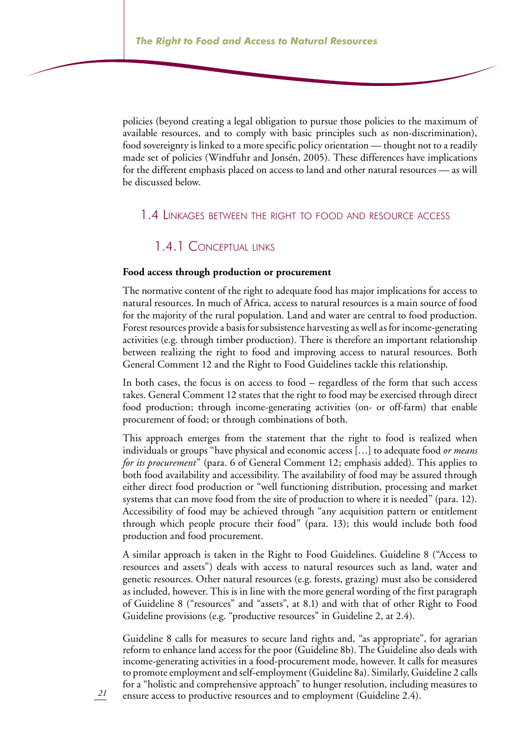policies (beyond creating a legal obligation to pursue those policies to the maximum of available resources, and to comply with basic principles such as non-discrimination), food sovereignty is linked to a more specific policy orientation — thought not to a readily made set of policies (Windfuhr and Jonsén, 2005). These differences have implications for the different emphasis placed on access to land and other natural resources — as will be discussed below.

#### 1.4 Linkages between the right to food and resource access

## 1.4.1 Conceptual links

#### **Food access through production or procurement**

The normative content of the right to adequate food has major implications for access to natural resources. In much of Africa, access to natural resources is a main source of food for the majority of the rural population. Land and water are central to food production. Forest resources provide a basis for subsistence harvesting as well as for income-generating activities (e.g. through timber production). There is therefore an important relationship between realizing the right to food and improving access to natural resources. Both General Comment 12 and the Right to Food Guidelines tackle this relationship.

In both cases, the focus is on access to food – regardless of the form that such access takes. General Comment 12 states that the right to food may be exercised through direct food production; through income-generating activities (on- or off-farm) that enable procurement of food; or through combinations of both.

This approach emerges from the statement that the right to food is realized when individuals or groups "have physical and economic access […] to adequate food *or means for its procurement*" (para. 6 of General Comment 12; emphasis added). This applies to both food availability and accessibility. The availability of food may be assured through either direct food production or "well functioning distribution, processing and market systems that can move food from the site of production to where it is needed" (para. 12). Accessibility of food may be achieved through "any acquisition pattern or entitlement through which people procure their food" (para. 13); this would include both food production and food procurement.

A similar approach is taken in the Right to Food Guidelines. Guideline 8 ("Access to resources and assets") deals with access to natural resources such as land, water and genetic resources. Other natural resources (e.g. forests, grazing) must also be considered as included, however. This is in line with the more general wording of the first paragraph of Guideline 8 ("resources" and "assets", at 8.1) and with that of other Right to Food Guideline provisions (e.g. "productive resources" in Guideline 2, at 2.4).

Guideline 8 calls for measures to secure land rights and, "as appropriate", for agrarian reform to enhance land access for the poor (Guideline 8b). The Guideline also deals with income-generating activities in a food-procurement mode, however. It calls for measures to promote employment and self-employment (Guideline 8a). Similarly, Guideline 2 calls for a "holistic and comprehensive approach" to hunger resolution, including measures to ensure access to productive resources and to employment (Guideline 2.4).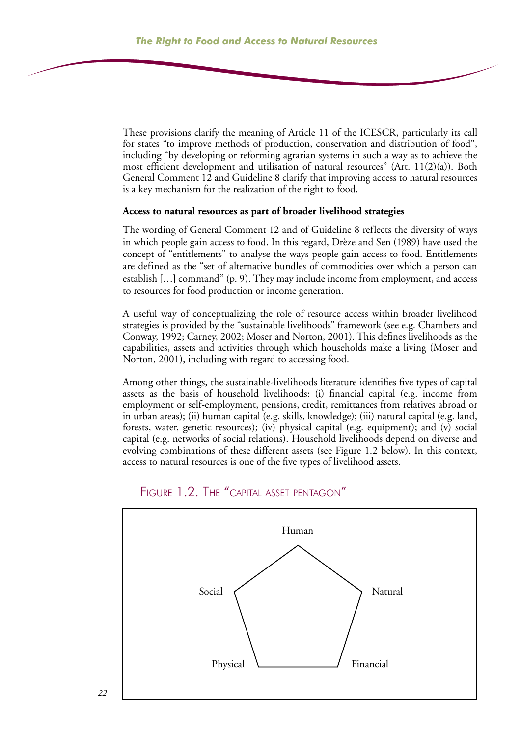These provisions clarify the meaning of Article 11 of the ICESCR, particularly its call for states "to improve methods of production, conservation and distribution of food", including "by developing or reforming agrarian systems in such a way as to achieve the most efficient development and utilisation of natural resources" (Art. 11(2)(a)). Both General Comment 12 and Guideline 8 clarify that improving access to natural resources is a key mechanism for the realization of the right to food.

#### **Access to natural resources as part of broader livelihood strategies**

The wording of General Comment 12 and of Guideline 8 reflects the diversity of ways in which people gain access to food. In this regard, Drèze and Sen (1989) have used the concept of "entitlements" to analyse the ways people gain access to food. Entitlements are defined as the "set of alternative bundles of commodities over which a person can establish […] command" (p. 9). They may include income from employment, and access to resources for food production or income generation.

A useful way of conceptualizing the role of resource access within broader livelihood strategies is provided by the "sustainable livelihoods" framework (see e.g. Chambers and Conway, 1992; Carney, 2002; Moser and Norton, 2001). This defines livelihoods as the capabilities, assets and activities through which households make a living (Moser and Norton, 2001), including with regard to accessing food.

Among other things, the sustainable-livelihoods literature identifies five types of capital assets as the basis of household livelihoods: (i) financial capital (e.g. income from employment or self-employment, pensions, credit, remittances from relatives abroad or in urban areas); (ii) human capital (e.g. skills, knowledge); (iii) natural capital (e.g. land, forests, water, genetic resources); (iv) physical capital (e.g. equipment); and (v) social capital (e.g. networks of social relations). Household livelihoods depend on diverse and evolving combinations of these different assets (see Figure 1.2 below). In this context, access to natural resources is one of the five types of livelihood assets.



#### Figure 1.2. The "capital asset pentagon"

*22*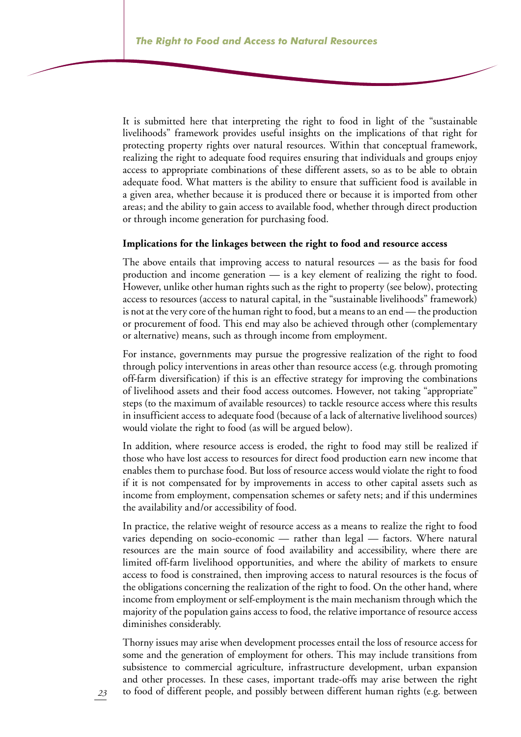It is submitted here that interpreting the right to food in light of the "sustainable livelihoods" framework provides useful insights on the implications of that right for protecting property rights over natural resources. Within that conceptual framework, realizing the right to adequate food requires ensuring that individuals and groups enjoy access to appropriate combinations of these different assets, so as to be able to obtain adequate food. What matters is the ability to ensure that sufficient food is available in a given area, whether because it is produced there or because it is imported from other areas; and the ability to gain access to available food, whether through direct production or through income generation for purchasing food.

#### **Implications for the linkages between the right to food and resource access**

The above entails that improving access to natural resources — as the basis for food production and income generation — is a key element of realizing the right to food. However, unlike other human rights such as the right to property (see below), protecting access to resources (access to natural capital, in the "sustainable livelihoods" framework) is not at the very core of the human right to food, but a means to an end — the production or procurement of food. This end may also be achieved through other (complementary or alternative) means, such as through income from employment.

For instance, governments may pursue the progressive realization of the right to food through policy interventions in areas other than resource access (e.g. through promoting off-farm diversification) if this is an effective strategy for improving the combinations of livelihood assets and their food access outcomes. However, not taking "appropriate" steps (to the maximum of available resources) to tackle resource access where this results in insufficient access to adequate food (because of a lack of alternative livelihood sources) would violate the right to food (as will be argued below).

In addition, where resource access is eroded, the right to food may still be realized if those who have lost access to resources for direct food production earn new income that enables them to purchase food. But loss of resource access would violate the right to food if it is not compensated for by improvements in access to other capital assets such as income from employment, compensation schemes or safety nets; and if this undermines the availability and/or accessibility of food.

In practice, the relative weight of resource access as a means to realize the right to food varies depending on socio-economic — rather than legal — factors. Where natural resources are the main source of food availability and accessibility, where there are limited off-farm livelihood opportunities, and where the ability of markets to ensure access to food is constrained, then improving access to natural resources is the focus of the obligations concerning the realization of the right to food. On the other hand, where income from employment or self-employment is the main mechanism through which the majority of the population gains access to food, the relative importance of resource access diminishes considerably.

Thorny issues may arise when development processes entail the loss of resource access for some and the generation of employment for others. This may include transitions from subsistence to commercial agriculture, infrastructure development, urban expansion and other processes. In these cases, important trade-offs may arise between the right to food of different people, and possibly between different human rights (e.g. between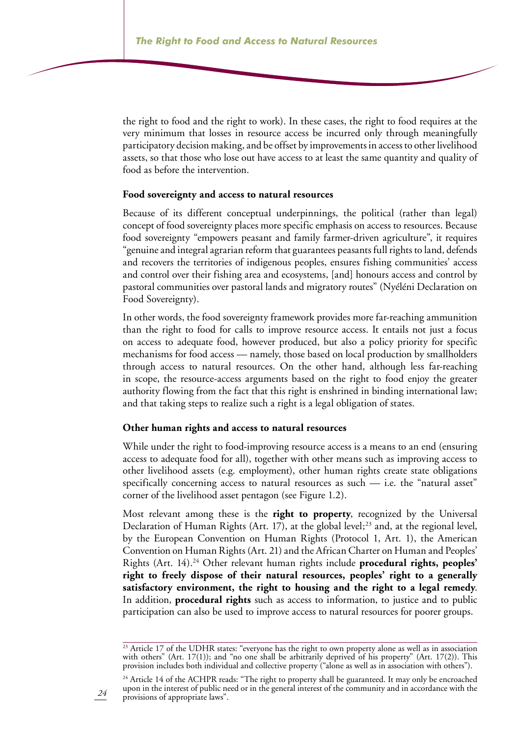the right to food and the right to work). In these cases, the right to food requires at the very minimum that losses in resource access be incurred only through meaningfully participatory decision making, and be offset by improvements in access to other livelihood assets, so that those who lose out have access to at least the same quantity and quality of food as before the intervention.

#### **Food sovereignty and access to natural resources**

Because of its different conceptual underpinnings, the political (rather than legal) concept of food sovereignty places more specific emphasis on access to resources. Because food sovereignty "empowers peasant and family farmer-driven agriculture", it requires "genuine and integral agrarian reform that guarantees peasants full rights to land, defends and recovers the territories of indigenous peoples, ensures fishing communities' access and control over their fishing area and ecosystems, [and] honours access and control by pastoral communities over pastoral lands and migratory routes" (Nyéléni Declaration on Food Sovereignty).

In other words, the food sovereignty framework provides more far-reaching ammunition than the right to food for calls to improve resource access. It entails not just a focus on access to adequate food, however produced, but also a policy priority for specific mechanisms for food access — namely, those based on local production by smallholders through access to natural resources. On the other hand, although less far-reaching in scope, the resource-access arguments based on the right to food enjoy the greater authority flowing from the fact that this right is enshrined in binding international law; and that taking steps to realize such a right is a legal obligation of states.

#### **Other human rights and access to natural resources**

While under the right to food-improving resource access is a means to an end (ensuring access to adequate food for all), together with other means such as improving access to other livelihood assets (e.g. employment), other human rights create state obligations specifically concerning access to natural resources as such — i.e. the "natural asset" corner of the livelihood asset pentagon (see Figure 1.2).

Most relevant among these is the **right to property**, recognized by the Universal Declaration of Human Rights (Art. 17), at the global level;<sup>23</sup> and, at the regional level, by the European Convention on Human Rights (Protocol 1, Art. 1), the American Convention on Human Rights (Art. 21) and the African Charter on Human and Peoples' Rights (Art. 14).24 Other relevant human rights include **procedural rights, peoples' right to freely dispose of their natural resources, peoples' right to a generally satisfactory environment, the right to housing and the right to a legal remedy**. In addition, **procedural rights** such as access to information, to justice and to public participation can also be used to improve access to natural resources for poorer groups.

<sup>&</sup>lt;sup>23</sup> Article 17 of the UDHR states: "everyone has the right to own property alone as well as in association with others" (Art. 17(1)); and "no one shall be arbitrarily deprived of his property" (Art. 17(2)). This provision includes both individual and collective property ("alone as well as in association with others").

<sup>&</sup>lt;sup>24</sup> Article 14 of the ACHPR reads: "The right to property shall be guaranteed. It may only be encroached upon in the interest of public need or in the general interest of the community and in accordance with the provisions of appropriate laws".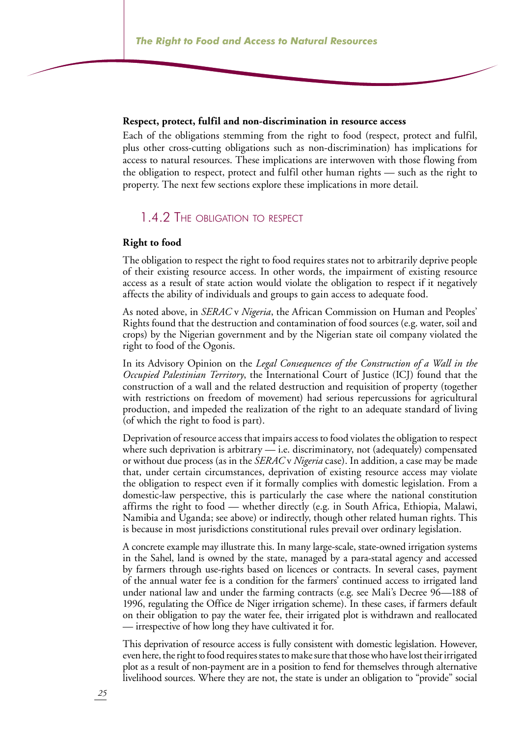#### **Respect, protect, fulfil and non-discrimination in resource access**

Each of the obligations stemming from the right to food (respect, protect and fulfil, plus other cross-cutting obligations such as non-discrimination) has implications for access to natural resources. These implications are interwoven with those flowing from the obligation to respect, protect and fulfil other human rights — such as the right to property. The next few sections explore these implications in more detail.

#### 1.4.2 The obligation to respect

#### **Right to food**

The obligation to respect the right to food requires states not to arbitrarily deprive people of their existing resource access. In other words, the impairment of existing resource access as a result of state action would violate the obligation to respect if it negatively affects the ability of individuals and groups to gain access to adequate food.

As noted above, in *SERAC* v *Nigeria*, the African Commission on Human and Peoples' Rights found that the destruction and contamination of food sources (e.g. water, soil and crops) by the Nigerian government and by the Nigerian state oil company violated the right to food of the Ogonis.

In its Advisory Opinion on the *Legal Consequences of the Construction of a Wall in the Occupied Palestinian Territory*, the International Court of Justice (ICJ) found that the construction of a wall and the related destruction and requisition of property (together with restrictions on freedom of movement) had serious repercussions for agricultural production, and impeded the realization of the right to an adequate standard of living (of which the right to food is part).

Deprivation of resource access that impairs access to food violates the obligation to respect where such deprivation is arbitrary — i.e. discriminatory, not (adequately) compensated or without due process (as in the *SERAC* v *Nigeria* case). In addition, a case may be made that, under certain circumstances, deprivation of existing resource access may violate the obligation to respect even if it formally complies with domestic legislation. From a domestic-law perspective, this is particularly the case where the national constitution affirms the right to food — whether directly (e.g. in South Africa, Ethiopia, Malawi, Namibia and Uganda; see above) or indirectly, though other related human rights. This is because in most jurisdictions constitutional rules prevail over ordinary legislation.

A concrete example may illustrate this. In many large-scale, state-owned irrigation systems in the Sahel, land is owned by the state, managed by a para-statal agency and accessed by farmers through use-rights based on licences or contracts. In several cases, payment of the annual water fee is a condition for the farmers' continued access to irrigated land under national law and under the farming contracts (e.g. see Mali's Decree 96—188 of 1996, regulating the Office de Niger irrigation scheme). In these cases, if farmers default on their obligation to pay the water fee, their irrigated plot is withdrawn and reallocated — irrespective of how long they have cultivated it for.

This deprivation of resource access is fully consistent with domestic legislation. However, even here, the right to food requires states to make sure that those who have lost their irrigated plot as a result of non-payment are in a position to fend for themselves through alternative livelihood sources. Where they are not, the state is under an obligation to "provide" social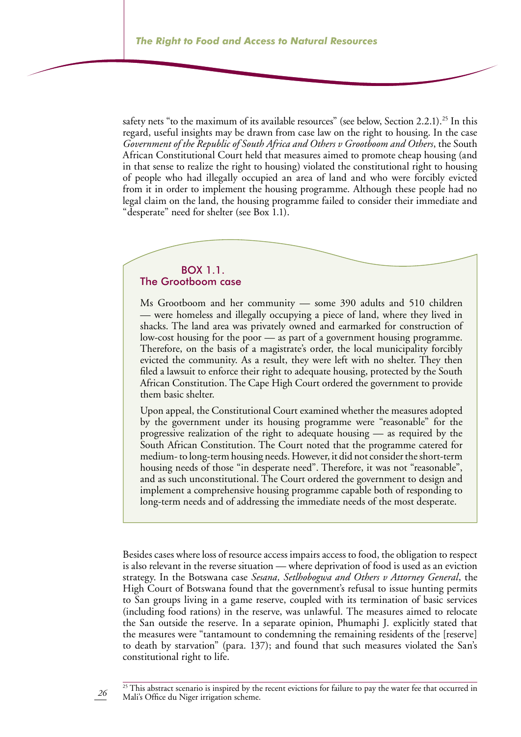safety nets "to the maximum of its available resources" (see below, Section 2.2.1).<sup>25</sup> In this regard, useful insights may be drawn from case law on the right to housing. In the case *Government of the Republic of South Africa and Others v Grootboom and Others*, the South African Constitutional Court held that measures aimed to promote cheap housing (and in that sense to realize the right to housing) violated the constitutional right to housing of people who had illegally occupied an area of land and who were forcibly evicted from it in order to implement the housing programme. Although these people had no legal claim on the land, the housing programme failed to consider their immediate and "desperate" need for shelter (see Box 1.1).

#### Box 1.1. The Grootboom case

*26*

Ms Grootboom and her community — some 390 adults and 510 children — were homeless and illegally occupying a piece of land, where they lived in shacks. The land area was privately owned and earmarked for construction of low-cost housing for the poor — as part of a government housing programme. Therefore, on the basis of a magistrate's order, the local municipality forcibly evicted the community. As a result, they were left with no shelter. They then filed a lawsuit to enforce their right to adequate housing, protected by the South African Constitution. The Cape High Court ordered the government to provide them basic shelter.

Upon appeal, the Constitutional Court examined whether the measures adopted by the government under its housing programme were "reasonable" for the progressive realization of the right to adequate housing — as required by the South African Constitution. The Court noted that the programme catered for medium- to long-term housing needs. However, it did not consider the short-term housing needs of those "in desperate need". Therefore, it was not "reasonable", and as such unconstitutional. The Court ordered the government to design and implement a comprehensive housing programme capable both of responding to long-term needs and of addressing the immediate needs of the most desperate.

Besides cases where loss of resource access impairs access to food, the obligation to respect is also relevant in the reverse situation — where deprivation of food is used as an eviction strategy. In the Botswana case *Sesana, Setlhobogwa and Others v Attorney General*, the High Court of Botswana found that the government's refusal to issue hunting permits to San groups living in a game reserve, coupled with its termination of basic services (including food rations) in the reserve, was unlawful. The measures aimed to relocate the San outside the reserve. In a separate opinion, Phumaphi J. explicitly stated that the measures were "tantamount to condemning the remaining residents of the [reserve] to death by starvation" (para. 137); and found that such measures violated the San's constitutional right to life.

<sup>&</sup>lt;sup>25</sup> This abstract scenario is inspired by the recent evictions for failure to pay the water fee that occurred in Mali's Office du Niger irrigation scheme.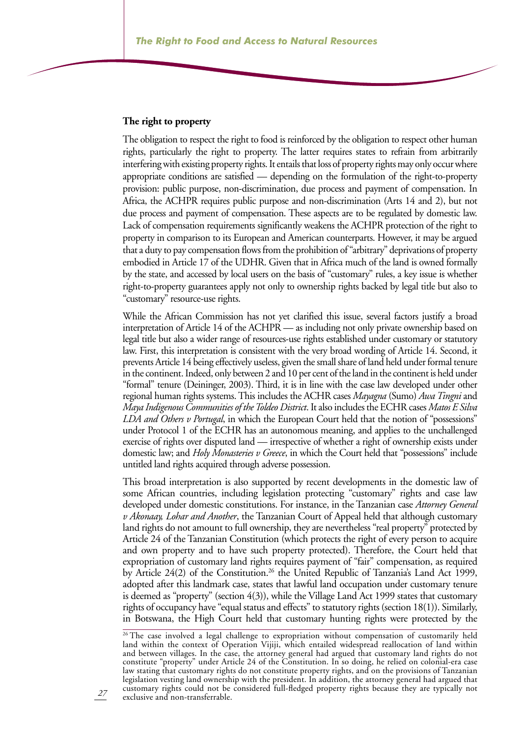#### **The right to property**

The obligation to respect the right to food is reinforced by the obligation to respect other human rights, particularly the right to property. The latter requires states to refrain from arbitrarily interfering with existing property rights. It entails that loss of property rights may only occur where appropriate conditions are satisfied — depending on the formulation of the right-to-property provision: public purpose, non-discrimination, due process and payment of compensation. In Africa, the ACHPR requires public purpose and non-discrimination (Arts 14 and 2), but not due process and payment of compensation. These aspects are to be regulated by domestic law. Lack of compensation requirements significantly weakens the ACHPR protection of the right to property in comparison to its European and American counterparts. However, it may be argued that a duty to pay compensation flows from the prohibition of "arbitrary" deprivations of property embodied in Article 17 of the UDHR. Given that in Africa much of the land is owned formally by the state, and accessed by local users on the basis of "customary" rules, a key issue is whether right-to-property guarantees apply not only to ownership rights backed by legal title but also to "customary" resource-use rights.

While the African Commission has not yet clarified this issue, several factors justify a broad interpretation of Article 14 of the ACHPR — as including not only private ownership based on legal title but also a wider range of resources-use rights established under customary or statutory law. First, this interpretation is consistent with the very broad wording of Article 14. Second, it prevents Article 14 being effectively useless, given the small share of land held under formal tenure in the continent. Indeed, only between 2 and 10 per cent of the land in the continent is held under "formal" tenure (Deininger, 2003). Third, it is in line with the case law developed under other regional human rights systems. This includes the ACHR cases *Mayagna* (Sumo) *Awa Tingni* and *Maya Indigenous Communities of the Toldeo District*. It also includes the ECHR cases *Matos E Silva LDA and Others v Portugal*, in which the European Court held that the notion of "possessions" under Protocol 1 of the ECHR has an autonomous meaning, and applies to the unchallenged exercise of rights over disputed land — irrespective of whether a right of ownership exists under domestic law; and *Holy Monasteries v Greece*, in which the Court held that "possessions" include untitled land rights acquired through adverse possession.

This broad interpretation is also supported by recent developments in the domestic law of some African countries, including legislation protecting "customary" rights and case law developed under domestic constitutions. For instance, in the Tanzanian case *Attorney General v Akonaay, Lohar and Another*, the Tanzanian Court of Appeal held that although customary land rights do not amount to full ownership, they are nevertheless "real property" protected by Article 24 of the Tanzanian Constitution (which protects the right of every person to acquire and own property and to have such property protected). Therefore, the Court held that expropriation of customary land rights requires payment of "fair" compensation, as required by Article 24(2) of the Constitution.<sup>26</sup> the United Republic of Tanzania's Land Act 1999, adopted after this landmark case, states that lawful land occupation under customary tenure is deemed as "property" (section 4(3)), while the Village Land Act 1999 states that customary rights of occupancy have "equal status and effects" to statutory rights (section 18(1)). Similarly, in Botswana, the High Court held that customary hunting rights were protected by the

<sup>&</sup>lt;sup>26</sup> The case involved a legal challenge to expropriation without compensation of customarily held land within the context of Operation Vijiji, which entailed widespread reallocation of land within and between villages. In the case, the attorney general had argued that customary land rights do not constitute "property" under Article 24 of the Constitution. In so doing, he relied on colonial-era case law stating that customary rights do not constitute property rights, and on the provisions of Tanzanian legislation vesting land ownership with the president. In addition, the attorney general had argued that customary rights could not be considered full-fledged property rights because they are typically not exclusive and non-transferrable.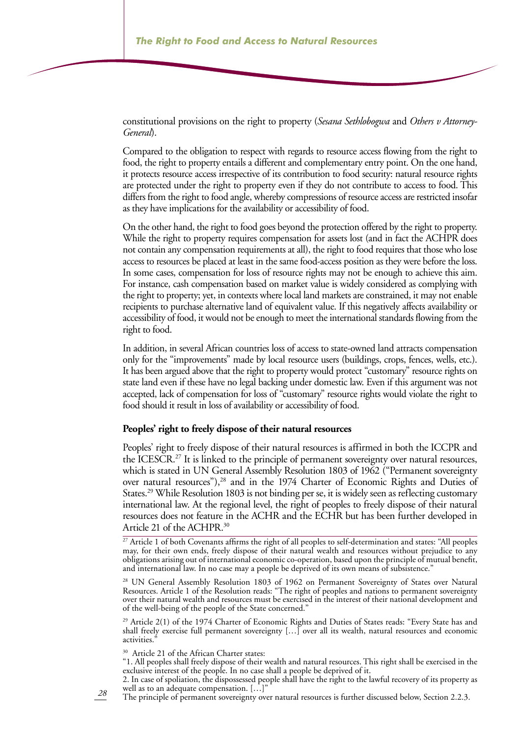constitutional provisions on the right to property (*Sesana Sethlobogwa* and *Others v Attorney-General*).

Compared to the obligation to respect with regards to resource access flowing from the right to food, the right to property entails a different and complementary entry point. On the one hand, it protects resource access irrespective of its contribution to food security: natural resource rights are protected under the right to property even if they do not contribute to access to food. This differs from the right to food angle, whereby compressions of resource access are restricted insofar as they have implications for the availability or accessibility of food.

On the other hand, the right to food goes beyond the protection offered by the right to property. While the right to property requires compensation for assets lost (and in fact the ACHPR does not contain any compensation requirements at all), the right to food requires that those who lose access to resources be placed at least in the same food-access position as they were before the loss. In some cases, compensation for loss of resource rights may not be enough to achieve this aim. For instance, cash compensation based on market value is widely considered as complying with the right to property; yet, in contexts where local land markets are constrained, it may not enable recipients to purchase alternative land of equivalent value. If this negatively affects availability or accessibility of food, it would not be enough to meet the international standards flowing from the right to food.

In addition, in several African countries loss of access to state-owned land attracts compensation only for the "improvements" made by local resource users (buildings, crops, fences, wells, etc.). It has been argued above that the right to property would protect "customary" resource rights on state land even if these have no legal backing under domestic law. Even if this argument was not accepted, lack of compensation for loss of "customary" resource rights would violate the right to food should it result in loss of availability or accessibility of food.

#### **Peoples' right to freely dispose of their natural resources**

Peoples' right to freely dispose of their natural resources is affirmed in both the ICCPR and the ICESCR.<sup>27</sup> It is linked to the principle of permanent sovereignty over natural resources, which is stated in UN General Assembly Resolution 1803 of 1962 ("Permanent sovereignty over natural resources"),<sup>28</sup> and in the 1974 Charter of Economic Rights and Duties of States.29 While Resolution 1803 is not binding per se, it is widely seen as reflecting customary international law. At the regional level, the right of peoples to freely dispose of their natural resources does not feature in the ACHR and the ECHR but has been further developed in Article 21 of the ACHPR.30

<sup>27</sup> Article 1 of both Covenants affirms the right of all peoples to self-determination and states: "All peoples may, for their own ends, freely dispose of their natural wealth and resources without prejudice to any obligations arising out of international economic co-operation, based upon the principle of mutual benefit, and international law. In no case may a people be deprived of its own means of subsistence."

<sup>28</sup> UN General Assembly Resolution 1803 of 1962 on Permanent Sovereignty of States over Natural Resources. Article 1 of the Resolution reads: "The right of peoples and nations to permanent sovereignty over their natural wealth and resources must be exercised in the interest of their national development and of the well-being of the people of the State concerned."

<sup>29</sup> Article 2(1) of the 1974 Charter of Economic Rights and Duties of States reads: "Every State has and shall freely exercise full permanent sovereignty […] over all its wealth, natural resources and economic activities.'

<sup>30</sup> Article 21 of the African Charter states:

"1. All peoples shall freely dispose of their wealth and natural resources. This right shall be exercised in the exclusive interest of the people. In no case shall a people be deprived of it.

2. In case of spoliation, the dispossessed people shall have the right to the lawful recovery of its property as well as to an adequate compensation. [...]

*28* The principle of permanent sovereignty over natural resources is further discussed below, Section 2.2.3.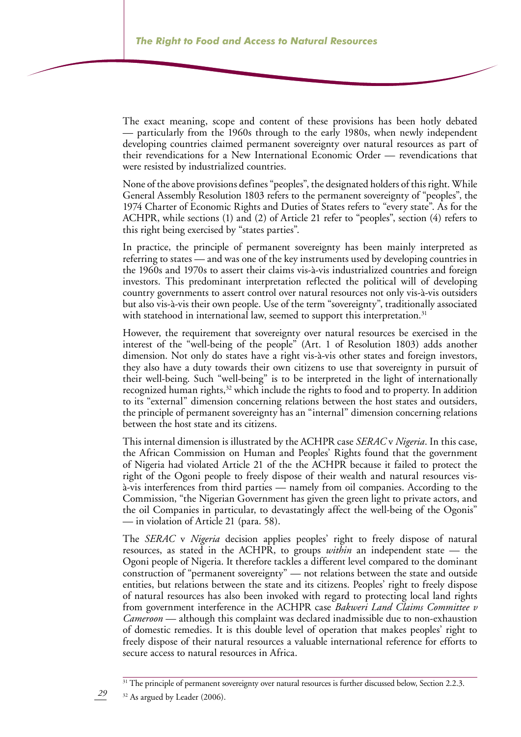The exact meaning, scope and content of these provisions has been hotly debated — particularly from the 1960s through to the early 1980s, when newly independent developing countries claimed permanent sovereignty over natural resources as part of their revendications for a New International Economic Order — revendications that were resisted by industrialized countries.

None of the above provisions defines "peoples", the designated holders of this right. While General Assembly Resolution 1803 refers to the permanent sovereignty of "peoples", the 1974 Charter of Economic Rights and Duties of States refers to "every state". As for the ACHPR, while sections (1) and (2) of Article 21 refer to "peoples", section (4) refers to this right being exercised by "states parties".

In practice, the principle of permanent sovereignty has been mainly interpreted as referring to states — and was one of the key instruments used by developing countries in the 1960s and 1970s to assert their claims vis-à-vis industrialized countries and foreign investors. This predominant interpretation reflected the political will of developing country governments to assert control over natural resources not only vis-à-vis outsiders but also vis-à-vis their own people. Use of the term "sovereignty", traditionally associated with statehood in international law, seemed to support this interpretation.<sup>31</sup>

However, the requirement that sovereignty over natural resources be exercised in the interest of the "well-being of the people" (Art. 1 of Resolution 1803) adds another dimension. Not only do states have a right vis-à-vis other states and foreign investors, they also have a duty towards their own citizens to use that sovereignty in pursuit of their well-being. Such "well-being" is to be interpreted in the light of internationally recognized human rights,<sup>32</sup> which include the rights to food and to property. In addition to its "external" dimension concerning relations between the host states and outsiders, the principle of permanent sovereignty has an "internal" dimension concerning relations between the host state and its citizens.

This internal dimension is illustrated by the ACHPR case *SERAC* v *Nigeria*. In this case, the African Commission on Human and Peoples' Rights found that the government of Nigeria had violated Article 21 of the the ACHPR because it failed to protect the right of the Ogoni people to freely dispose of their wealth and natural resources visà-vis interferences from third parties — namely from oil companies. According to the Commission, "the Nigerian Government has given the green light to private actors, and the oil Companies in particular, to devastatingly affect the well-being of the Ogonis" — in violation of Article 21 (para. 58).

The *SERAC* v *Nigeria* decision applies peoples' right to freely dispose of natural resources, as stated in the ACHPR, to groups *within* an independent state — the Ogoni people of Nigeria. It therefore tackles a different level compared to the dominant construction of "permanent sovereignty" — not relations between the state and outside entities, but relations between the state and its citizens. Peoples' right to freely dispose of natural resources has also been invoked with regard to protecting local land rights from government interference in the ACHPR case *Bakweri Land Claims Committee v Cameroon* — although this complaint was declared inadmissible due to non-exhaustion of domestic remedies. It is this double level of operation that makes peoples' right to freely dispose of their natural resources a valuable international reference for efforts to secure access to natural resources in Africa.

*29*

<sup>&</sup>lt;sup>31</sup> The principle of permanent sovereignty over natural resources is further discussed below, Section 2.2.3.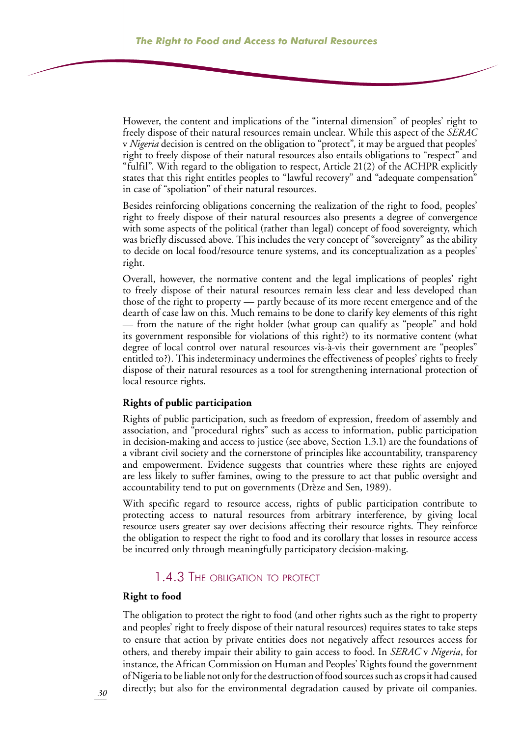However, the content and implications of the "internal dimension" of peoples' right to freely dispose of their natural resources remain unclear. While this aspect of the *SERAC* v *Nigeria* decision is centred on the obligation to "protect", it may be argued that peoples' right to freely dispose of their natural resources also entails obligations to "respect" and "fulfil". With regard to the obligation to respect, Article 21(2) of the ACHPR explicitly states that this right entitles peoples to "lawful recovery" and "adequate compensation" in case of "spoliation" of their natural resources.

Besides reinforcing obligations concerning the realization of the right to food, peoples' right to freely dispose of their natural resources also presents a degree of convergence with some aspects of the political (rather than legal) concept of food sovereignty, which was briefly discussed above. This includes the very concept of "sovereignty" as the ability to decide on local food/resource tenure systems, and its conceptualization as a peoples' right.

Overall, however, the normative content and the legal implications of peoples' right to freely dispose of their natural resources remain less clear and less developed than those of the right to property — partly because of its more recent emergence and of the dearth of case law on this. Much remains to be done to clarify key elements of this right — from the nature of the right holder (what group can qualify as "people" and hold its government responsible for violations of this right?) to its normative content (what degree of local control over natural resources vis-à-vis their government are "peoples" entitled to?). This indeterminacy undermines the effectiveness of peoples' rights to freely dispose of their natural resources as a tool for strengthening international protection of local resource rights.

#### **Rights of public participation**

Rights of public participation, such as freedom of expression, freedom of assembly and association, and "procedural rights" such as access to information, public participation in decision-making and access to justice (see above, Section 1.3.1) are the foundations of a vibrant civil society and the cornerstone of principles like accountability, transparency and empowerment. Evidence suggests that countries where these rights are enjoyed are less likely to suffer famines, owing to the pressure to act that public oversight and accountability tend to put on governments (Drèze and Sen, 1989).

With specific regard to resource access, rights of public participation contribute to protecting access to natural resources from arbitrary interference, by giving local resource users greater say over decisions affecting their resource rights. They reinforce the obligation to respect the right to food and its corollary that losses in resource access be incurred only through meaningfully participatory decision-making.

## 1.4.3 The obligation to protect

#### **Right to food**

The obligation to protect the right to food (and other rights such as the right to property and peoples' right to freely dispose of their natural resources) requires states to take steps to ensure that action by private entities does not negatively affect resources access for others, and thereby impair their ability to gain access to food. In *SERAC* v *Nigeria*, for instance, the African Commission on Human and Peoples' Rights found the government of Nigeria to be liable not only for the destruction of food sources such as crops it had caused directly; but also for the environmental degradation caused by private oil companies.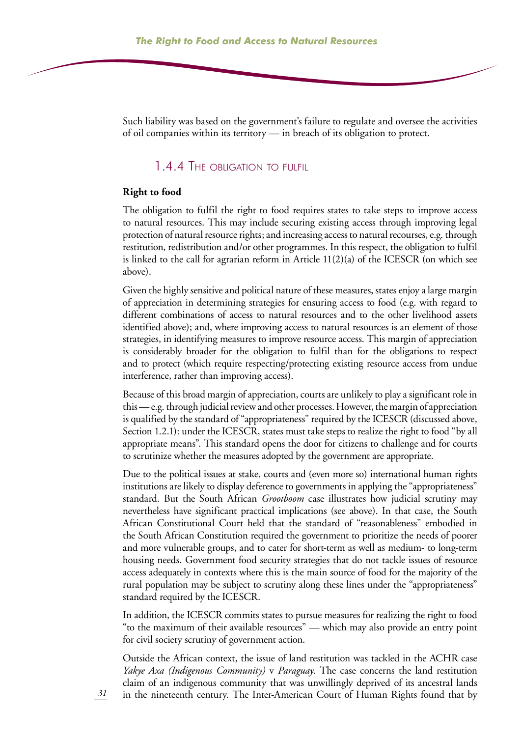Such liability was based on the government's failure to regulate and oversee the activities of oil companies within its territory — in breach of its obligation to protect.

## 1.4.4 The obligation to fulfil

#### **Right to food**

The obligation to fulfil the right to food requires states to take steps to improve access to natural resources. This may include securing existing access through improving legal protection of natural resource rights; and increasing access to natural recourses, e.g. through restitution, redistribution and/or other programmes. In this respect, the obligation to fulfil is linked to the call for agrarian reform in Article 11(2)(a) of the ICESCR (on which see above).

Given the highly sensitive and political nature of these measures, states enjoy a large margin of appreciation in determining strategies for ensuring access to food (e.g. with regard to different combinations of access to natural resources and to the other livelihood assets identified above); and, where improving access to natural resources is an element of those strategies, in identifying measures to improve resource access. This margin of appreciation is considerably broader for the obligation to fulfil than for the obligations to respect and to protect (which require respecting/protecting existing resource access from undue interference, rather than improving access).

Because of this broad margin of appreciation, courts are unlikely to play a significant role in this — e.g. through judicial review and other processes. However, the margin of appreciation is qualified by the standard of "appropriateness" required by the ICESCR (discussed above, Section 1.2.1): under the ICESCR, states must take steps to realize the right to food "by all appropriate means". This standard opens the door for citizens to challenge and for courts to scrutinize whether the measures adopted by the government are appropriate.

Due to the political issues at stake, courts and (even more so) international human rights institutions are likely to display deference to governments in applying the "appropriateness" standard. But the South African *Grootboom* case illustrates how judicial scrutiny may nevertheless have significant practical implications (see above). In that case, the South African Constitutional Court held that the standard of "reasonableness" embodied in the South African Constitution required the government to prioritize the needs of poorer and more vulnerable groups, and to cater for short-term as well as medium- to long-term housing needs. Government food security strategies that do not tackle issues of resource access adequately in contexts where this is the main source of food for the majority of the rural population may be subject to scrutiny along these lines under the "appropriateness" standard required by the ICESCR.

In addition, the ICESCR commits states to pursue measures for realizing the right to food "to the maximum of their available resources" — which may also provide an entry point for civil society scrutiny of government action.

Outside the African context, the issue of land restitution was tackled in the ACHR case *Yakye Axa (Indigenous Community)* v *Paraguay*. The case concerns the land restitution claim of an indigenous community that was unwillingly deprived of its ancestral lands in the nineteenth century. The Inter-American Court of Human Rights found that by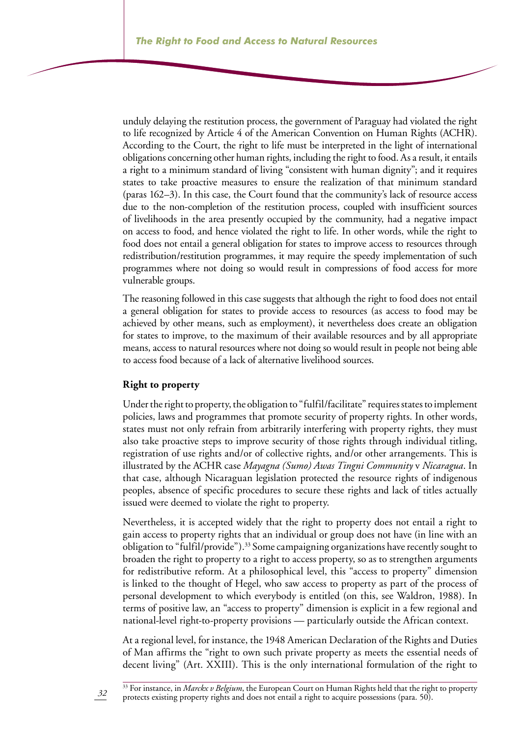unduly delaying the restitution process, the government of Paraguay had violated the right to life recognized by Article 4 of the American Convention on Human Rights (ACHR). According to the Court, the right to life must be interpreted in the light of international obligations concerning other human rights, including the right to food. As a result, it entails a right to a minimum standard of living "consistent with human dignity"; and it requires states to take proactive measures to ensure the realization of that minimum standard (paras 162–3). In this case, the Court found that the community's lack of resource access due to the non-completion of the restitution process, coupled with insufficient sources of livelihoods in the area presently occupied by the community, had a negative impact on access to food, and hence violated the right to life. In other words, while the right to food does not entail a general obligation for states to improve access to resources through redistribution/restitution programmes, it may require the speedy implementation of such programmes where not doing so would result in compressions of food access for more vulnerable groups.

The reasoning followed in this case suggests that although the right to food does not entail a general obligation for states to provide access to resources (as access to food may be achieved by other means, such as employment), it nevertheless does create an obligation for states to improve, to the maximum of their available resources and by all appropriate means, access to natural resources where not doing so would result in people not being able to access food because of a lack of alternative livelihood sources.

#### **Right to property**

Under the right to property, the obligation to "fulfil/facilitate" requires states to implement policies, laws and programmes that promote security of property rights. In other words, states must not only refrain from arbitrarily interfering with property rights, they must also take proactive steps to improve security of those rights through individual titling, registration of use rights and/or of collective rights, and/or other arrangements. This is illustrated by the ACHR case *Mayagna (Sumo) Awas Tingni Community* v *Nicaragua*. In that case, although Nicaraguan legislation protected the resource rights of indigenous peoples, absence of specific procedures to secure these rights and lack of titles actually issued were deemed to violate the right to property.

Nevertheless, it is accepted widely that the right to property does not entail a right to gain access to property rights that an individual or group does not have (in line with an obligation to "fulfil/provide").<sup>33</sup> Some campaigning organizations have recently sought to broaden the right to property to a right to access property, so as to strengthen arguments for redistributive reform. At a philosophical level, this "access to property" dimension is linked to the thought of Hegel, who saw access to property as part of the process of personal development to which everybody is entitled (on this, see Waldron, 1988). In terms of positive law, an "access to property" dimension is explicit in a few regional and national-level right-to-property provisions — particularly outside the African context.

At a regional level, for instance, the 1948 American Declaration of the Rights and Duties of Man affirms the "right to own such private property as meets the essential needs of decent living" (Art. XXIII). This is the only international formulation of the right to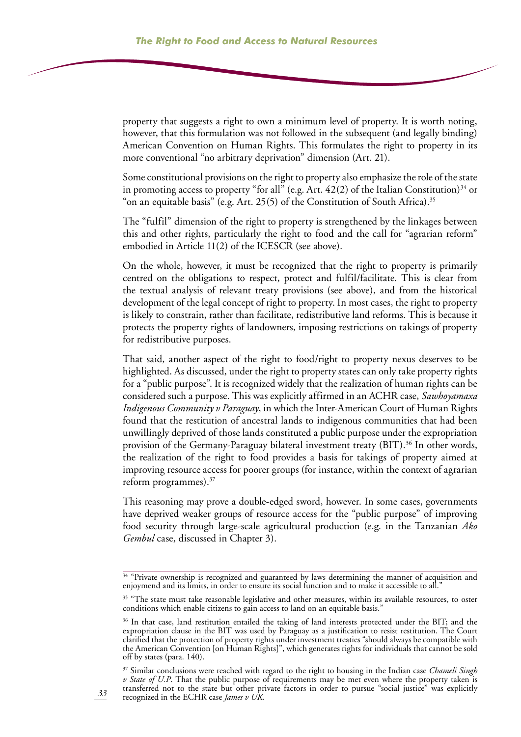property that suggests a right to own a minimum level of property. It is worth noting, however, that this formulation was not followed in the subsequent (and legally binding) American Convention on Human Rights. This formulates the right to property in its more conventional "no arbitrary deprivation" dimension (Art. 21).

Some constitutional provisions on the right to property also emphasize the role of the state in promoting access to property "for all" (e.g. Art.  $42(2)$  of the Italian Constitution)<sup>34</sup> or "on an equitable basis" (e.g. Art. 25(5) of the Constitution of South Africa).<sup>35</sup>

The "fulfil" dimension of the right to property is strengthened by the linkages between this and other rights, particularly the right to food and the call for "agrarian reform" embodied in Article 11(2) of the ICESCR (see above).

On the whole, however, it must be recognized that the right to property is primarily centred on the obligations to respect, protect and fulfil/facilitate. This is clear from the textual analysis of relevant treaty provisions (see above), and from the historical development of the legal concept of right to property. In most cases, the right to property is likely to constrain, rather than facilitate, redistributive land reforms. This is because it protects the property rights of landowners, imposing restrictions on takings of property for redistributive purposes.

That said, another aspect of the right to food/right to property nexus deserves to be highlighted. As discussed, under the right to property states can only take property rights for a "public purpose". It is recognized widely that the realization of human rights can be considered such a purpose. This was explicitly affirmed in an ACHR case, *Sawhoyamaxa Indigenous Community v Paraguay*, in which the Inter-American Court of Human Rights found that the restitution of ancestral lands to indigenous communities that had been unwillingly deprived of those lands constituted a public purpose under the expropriation provision of the Germany-Paraguay bilateral investment treaty (BIT).<sup>36</sup> In other words, the realization of the right to food provides a basis for takings of property aimed at improving resource access for poorer groups (for instance, within the context of agrarian reform programmes).37

This reasoning may prove a double-edged sword, however. In some cases, governments have deprived weaker groups of resource access for the "public purpose" of improving food security through large-scale agricultural production (e.g. in the Tanzanian *Ako Gembul* case, discussed in Chapter 3).

37 Similar conclusions were reached with regard to the right to housing in the Indian case *Chameli Singh v State of U.P*. That the public purpose of requirements may be met even where the property taken is transferred not to the state but other private factors in order to pursue "social justice" was explicitly recognized in the ECHR case *James v UK.*

<sup>&</sup>lt;sup>34</sup> "Private ownership is recognized and guaranteed by laws determining the manner of acquisition and enjoymend and its limits, in order to ensure its social function and to make it accessible to all."

<sup>&</sup>lt;sup>35</sup> "The state must take reasonable legislative and other measures, within its available resources, to oster conditions which enable citizens to gain access to land on an equitable basis.

<sup>&</sup>lt;sup>36</sup> In that case, land restitution entailed the taking of land interests protected under the BIT; and the expropriation clause in the BIT was used by Paraguay as a justification to resist restitution. The Court clarified that the protection of property rights under investment treaties "should always be compatible with the American Convention [on Human Rights]", which generates rights for individuals that cannot be sold off by states (para. 140).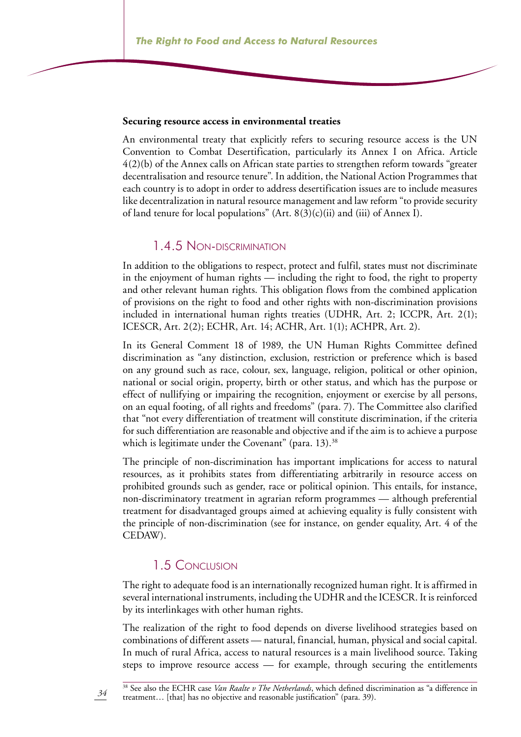#### **Securing resource access in environmental treaties**

An environmental treaty that explicitly refers to securing resource access is the UN Convention to Combat Desertification, particularly its Annex I on Africa. Article 4(2)(b) of the Annex calls on African state parties to strengthen reform towards "greater decentralisation and resource tenure". In addition, the National Action Programmes that each country is to adopt in order to address desertification issues are to include measures like decentralization in natural resource management and law reform "to provide security of land tenure for local populations" (Art.  $8(3)(c)(ii)$  and (iii) of Annex I).

#### 1.4.5 Non-discrimination

In addition to the obligations to respect, protect and fulfil, states must not discriminate in the enjoyment of human rights — including the right to food, the right to property and other relevant human rights. This obligation flows from the combined application of provisions on the right to food and other rights with non-discrimination provisions included in international human rights treaties (UDHR, Art. 2; ICCPR, Art. 2(1); ICESCR, Art. 2(2); ECHR, Art. 14; ACHR, Art. 1(1); ACHPR, Art. 2).

In its General Comment 18 of 1989, the UN Human Rights Committee defined discrimination as "any distinction, exclusion, restriction or preference which is based on any ground such as race, colour, sex, language, religion, political or other opinion, national or social origin, property, birth or other status, and which has the purpose or effect of nullifying or impairing the recognition, enjoyment or exercise by all persons, on an equal footing, of all rights and freedoms" (para. 7). The Committee also clarified that "not every differentiation of treatment will constitute discrimination, if the criteria for such differentiation are reasonable and objective and if the aim is to achieve a purpose which is legitimate under the Covenant" (para.  $13$ ).<sup>38</sup>

The principle of non-discrimination has important implications for access to natural resources, as it prohibits states from differentiating arbitrarily in resource access on prohibited grounds such as gender, race or political opinion. This entails, for instance, non-discriminatory treatment in agrarian reform programmes — although preferential treatment for disadvantaged groups aimed at achieving equality is fully consistent with the principle of non-discrimination (see for instance, on gender equality, Art. 4 of the CEDAW).

### 1.5 Conclusion

The right to adequate food is an internationally recognized human right. It is affirmed in several international instruments, including the UDHR and the ICESCR. It is reinforced by its interlinkages with other human rights.

The realization of the right to food depends on diverse livelihood strategies based on combinations of different assets — natural, financial, human, physical and social capital. In much of rural Africa, access to natural resources is a main livelihood source. Taking steps to improve resource access — for example, through securing the entitlements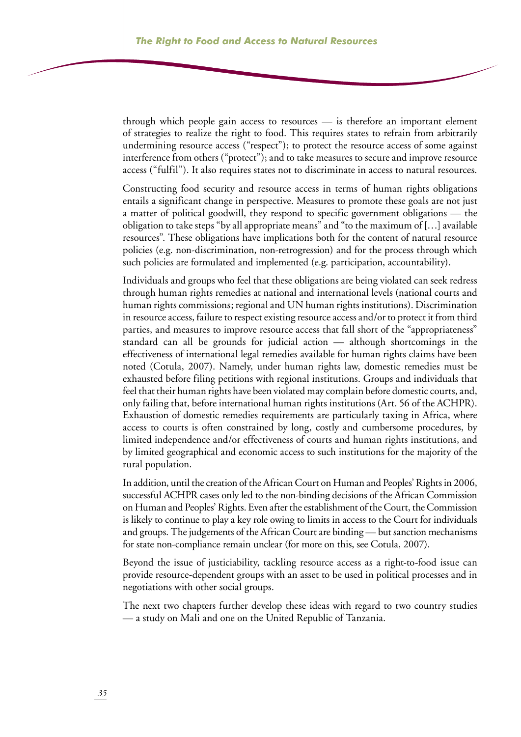through which people gain access to resources — is therefore an important element of strategies to realize the right to food. This requires states to refrain from arbitrarily undermining resource access ("respect"); to protect the resource access of some against interference from others ("protect"); and to take measures to secure and improve resource access ("fulfil"). It also requires states not to discriminate in access to natural resources.

Constructing food security and resource access in terms of human rights obligations entails a significant change in perspective. Measures to promote these goals are not just a matter of political goodwill, they respond to specific government obligations — the obligation to take steps "by all appropriate means" and "to the maximum of […] available resources". These obligations have implications both for the content of natural resource policies (e.g. non-discrimination, non-retrogression) and for the process through which such policies are formulated and implemented (e.g. participation, accountability).

Individuals and groups who feel that these obligations are being violated can seek redress through human rights remedies at national and international levels (national courts and human rights commissions; regional and UN human rights institutions). Discrimination in resource access, failure to respect existing resource access and/or to protect it from third parties, and measures to improve resource access that fall short of the "appropriateness" standard can all be grounds for judicial action — although shortcomings in the effectiveness of international legal remedies available for human rights claims have been noted (Cotula, 2007). Namely, under human rights law, domestic remedies must be exhausted before filing petitions with regional institutions. Groups and individuals that feel that their human rights have been violated may complain before domestic courts, and, only failing that, before international human rights institutions (Art. 56 of the ACHPR). Exhaustion of domestic remedies requirements are particularly taxing in Africa, where access to courts is often constrained by long, costly and cumbersome procedures, by limited independence and/or effectiveness of courts and human rights institutions, and by limited geographical and economic access to such institutions for the majority of the rural population.

In addition, until the creation of the African Court on Human and Peoples' Rights in 2006, successful ACHPR cases only led to the non-binding decisions of the African Commission on Human and Peoples' Rights. Even after the establishment of the Court, the Commission is likely to continue to play a key role owing to limits in access to the Court for individuals and groups. The judgements of the African Court are binding — but sanction mechanisms for state non-compliance remain unclear (for more on this, see Cotula, 2007).

Beyond the issue of justiciability, tackling resource access as a right-to-food issue can provide resource-dependent groups with an asset to be used in political processes and in negotiations with other social groups.

The next two chapters further develop these ideas with regard to two country studies — a study on Mali and one on the United Republic of Tanzania.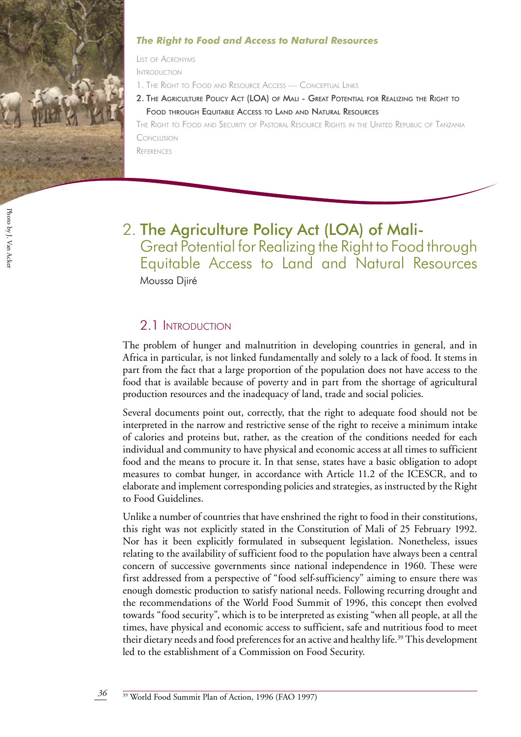

#### *The Right to Food and Access to Natural Resources*

List of Acronyms

Introduction

- 1. The Right to Food and Resource Access Conceptual Link
- 2. The Agriculture Policy Act (LOA) of Mali Great Potential for Realizing the Right to Food through Equitable Access to Land and Natural Resources

The Right to Food and Security of Pastoral Resource Rights in the United Republic of Tanzania Conclusion

**REFERENCES** 

- Photo by J. Van Acke Photo by J. Van Acker
- 2. The Agriculture Policy Act (LOA) of Mali-Great Potential for Realizing the Right to Food through Equitable Access to Land and Natural Resources Moussa Djiré

## 2.1 Introduction

The problem of hunger and malnutrition in developing countries in general, and in Africa in particular, is not linked fundamentally and solely to a lack of food. It stems in part from the fact that a large proportion of the population does not have access to the food that is available because of poverty and in part from the shortage of agricultural production resources and the inadequacy of land, trade and social policies.

Several documents point out, correctly, that the right to adequate food should not be interpreted in the narrow and restrictive sense of the right to receive a minimum intake of calories and proteins but, rather, as the creation of the conditions needed for each individual and community to have physical and economic access at all times to sufficient food and the means to procure it. In that sense, states have a basic obligation to adopt measures to combat hunger, in accordance with Article 11.2 of the ICESCR, and to elaborate and implement corresponding policies and strategies, as instructed by the Right to Food Guidelines.

Unlike a number of countries that have enshrined the right to food in their constitutions, this right was not explicitly stated in the Constitution of Mali of 25 February 1992. Nor has it been explicitly formulated in subsequent legislation. Nonetheless, issues relating to the availability of sufficient food to the population have always been a central concern of successive governments since national independence in 1960. These were first addressed from a perspective of "food self-sufficiency" aiming to ensure there was enough domestic production to satisfy national needs. Following recurring drought and the recommendations of the World Food Summit of 1996, this concept then evolved towards "food security", which is to be interpreted as existing "when all people, at all the times, have physical and economic access to sufficient, safe and nutritious food to meet their dietary needs and food preferences for an active and healthy life.<sup>39</sup> This development led to the establishment of a Commission on Food Security.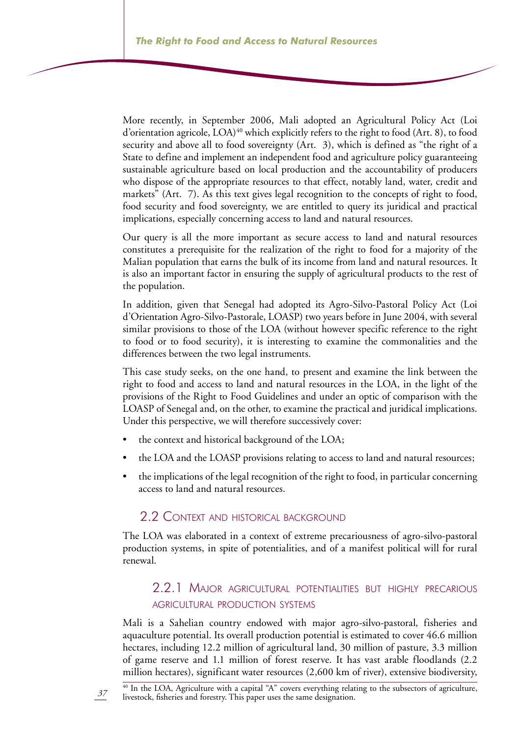More recently, in September 2006, Mali adopted an Agricultural Policy Act (Loi d'orientation agricole,  $LOA$ <sup>40</sup> which explicitly refers to the right to food (Art. 8), to food security and above all to food sovereignty (Art. 3), which is defined as "the right of a State to define and implement an independent food and agriculture policy guaranteeing sustainable agriculture based on local production and the accountability of producers who dispose of the appropriate resources to that effect, notably land, water, credit and markets" (Art. 7). As this text gives legal recognition to the concepts of right to food, food security and food sovereignty, we are entitled to query its juridical and practical implications, especially concerning access to land and natural resources.

Our query is all the more important as secure access to land and natural resources constitutes a prerequisite for the realization of the right to food for a majority of the Malian population that earns the bulk of its income from land and natural resources. It is also an important factor in ensuring the supply of agricultural products to the rest of the population.

In addition, given that Senegal had adopted its Agro-Silvo-Pastoral Policy Act (Loi d'Orientation Agro-Silvo-Pastorale, LOASP) two years before in June 2004, with several similar provisions to those of the LOA (without however specific reference to the right to food or to food security), it is interesting to examine the commonalities and the differences between the two legal instruments.

This case study seeks, on the one hand, to present and examine the link between the right to food and access to land and natural resources in the LOA, in the light of the provisions of the Right to Food Guidelines and under an optic of comparison with the LOASP of Senegal and, on the other, to examine the practical and juridical implications. Under this perspective, we will therefore successively cover:

- the context and historical background of the LOA; •
- the LOA and the LOASP provisions relating to access to land and natural resources; •
- the implications of the legal recognition of the right to food, in particular concerning access to land and natural resources. •

## 2.2 CONTEXT AND HISTORICAL BACKGROUND

*37*

The LOA was elaborated in a context of extreme precariousness of agro-silvo-pastoral production systems, in spite of potentialities, and of a manifest political will for rural renewal.

## 2.2.1 Major agricultural potentialities but highly precarious agricultural production systems

Mali is a Sahelian country endowed with major agro-silvo-pastoral, fisheries and aquaculture potential. Its overall production potential is estimated to cover 46.6 million hectares, including 12.2 million of agricultural land, 30 million of pasture, 3.3 million of game reserve and 1.1 million of forest reserve. It has vast arable floodlands (2.2 million hectares), significant water resources (2,600 km of river), extensive biodiversity,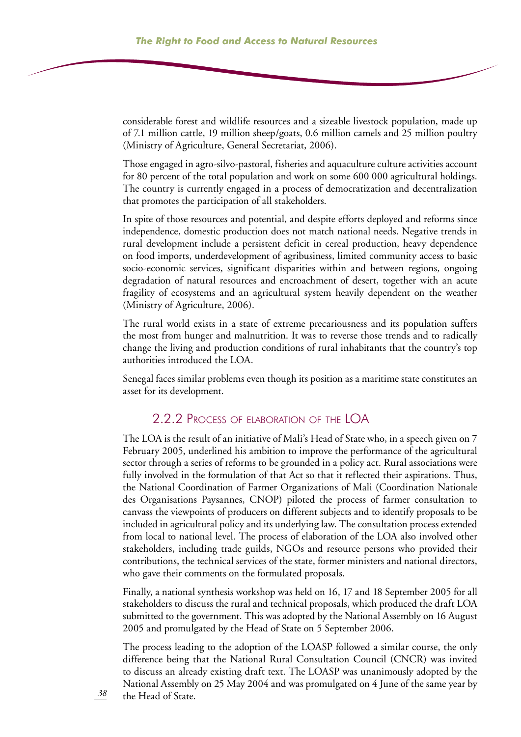considerable forest and wildlife resources and a sizeable livestock population, made up of 7.1 million cattle, 19 million sheep/goats, 0.6 million camels and 25 million poultry (Ministry of Agriculture, General Secretariat, 2006).

Those engaged in agro-silvo-pastoral, fisheries and aquaculture culture activities account for 80 percent of the total population and work on some 600 000 agricultural holdings. The country is currently engaged in a process of democratization and decentralization that promotes the participation of all stakeholders.

In spite of those resources and potential, and despite efforts deployed and reforms since independence, domestic production does not match national needs. Negative trends in rural development include a persistent deficit in cereal production, heavy dependence on food imports, underdevelopment of agribusiness, limited community access to basic socio-economic services, significant disparities within and between regions, ongoing degradation of natural resources and encroachment of desert, together with an acute fragility of ecosystems and an agricultural system heavily dependent on the weather (Ministry of Agriculture, 2006).

The rural world exists in a state of extreme precariousness and its population suffers the most from hunger and malnutrition. It was to reverse those trends and to radically change the living and production conditions of rural inhabitants that the country's top authorities introduced the LOA.

Senegal faces similar problems even though its position as a maritime state constitutes an asset for its development.

## 2.2.2 Process of elaboration of the LOA

The LOA is the result of an initiative of Mali's Head of State who, in a speech given on 7 February 2005, underlined his ambition to improve the performance of the agricultural sector through a series of reforms to be grounded in a policy act. Rural associations were fully involved in the formulation of that Act so that it reflected their aspirations. Thus, the National Coordination of Farmer Organizations of Mali (Coordination Nationale des Organisations Paysannes, CNOP) piloted the process of farmer consultation to canvass the viewpoints of producers on different subjects and to identify proposals to be included in agricultural policy and its underlying law. The consultation process extended from local to national level. The process of elaboration of the LOA also involved other stakeholders, including trade guilds, NGOs and resource persons who provided their contributions, the technical services of the state, former ministers and national directors, who gave their comments on the formulated proposals.

Finally, a national synthesis workshop was held on 16, 17 and 18 September 2005 for all stakeholders to discuss the rural and technical proposals, which produced the draft LOA submitted to the government. This was adopted by the National Assembly on 16 August 2005 and promulgated by the Head of State on 5 September 2006.

The process leading to the adoption of the LOASP followed a similar course, the only difference being that the National Rural Consultation Council (CNCR) was invited to discuss an already existing draft text. The LOASP was unanimously adopted by the National Assembly on 25 May 2004 and was promulgated on 4 June of the same year by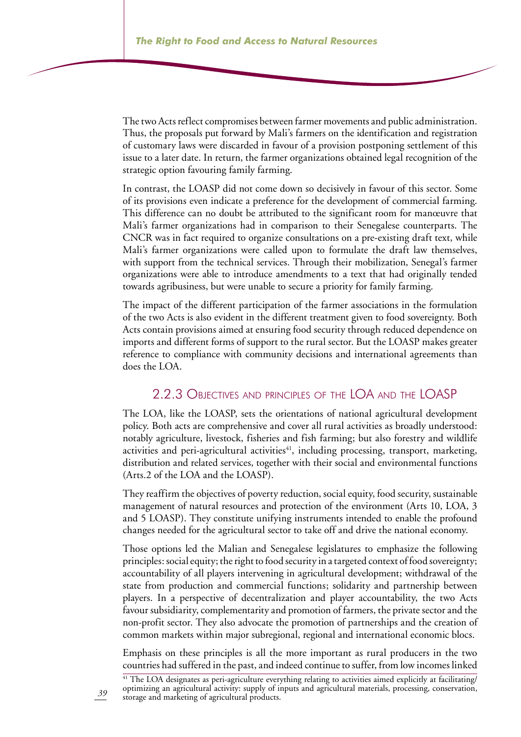The two Acts reflect compromises between farmer movements and public administration. Thus, the proposals put forward by Mali's farmers on the identification and registration of customary laws were discarded in favour of a provision postponing settlement of this issue to a later date. In return, the farmer organizations obtained legal recognition of the strategic option favouring family farming.

In contrast, the LOASP did not come down so decisively in favour of this sector. Some of its provisions even indicate a preference for the development of commercial farming. This difference can no doubt be attributed to the significant room for manœuvre that Mali's farmer organizations had in comparison to their Senegalese counterparts. The CNCR was in fact required to organize consultations on a pre-existing draft text, while Mali's farmer organizations were called upon to formulate the draft law themselves, with support from the technical services. Through their mobilization, Senegal's farmer organizations were able to introduce amendments to a text that had originally tended towards agribusiness, but were unable to secure a priority for family farming.

The impact of the different participation of the farmer associations in the formulation of the two Acts is also evident in the different treatment given to food sovereignty. Both Acts contain provisions aimed at ensuring food security through reduced dependence on imports and different forms of support to the rural sector. But the LOASP makes greater reference to compliance with community decisions and international agreements than does the LOA.

### 2.2.3 Objectives and principles of the LOA and the LOASP

The LOA, like the LOASP, sets the orientations of national agricultural development policy. Both acts are comprehensive and cover all rural activities as broadly understood: notably agriculture, livestock, fisheries and fish farming; but also forestry and wildlife activities and peri-agricultural activities<sup>41</sup>, including processing, transport, marketing, distribution and related services, together with their social and environmental functions (Arts.2 of the LOA and the LOASP).

They reaffirm the objectives of poverty reduction, social equity, food security, sustainable management of natural resources and protection of the environment (Arts 10, LOA, 3 and 5 LOASP). They constitute unifying instruments intended to enable the profound changes needed for the agricultural sector to take off and drive the national economy.

Those options led the Malian and Senegalese legislatures to emphasize the following principles: social equity; the right to food security in a targeted context of food sovereignty; accountability of all players intervening in agricultural development; withdrawal of the state from production and commercial functions; solidarity and partnership between players. In a perspective of decentralization and player accountability, the two Acts favour subsidiarity, complementarity and promotion of farmers, the private sector and the non-profit sector. They also advocate the promotion of partnerships and the creation of common markets within major subregional, regional and international economic blocs.

Emphasis on these principles is all the more important as rural producers in the two countries had suffered in the past, and indeed continue to suffer, from low incomes linked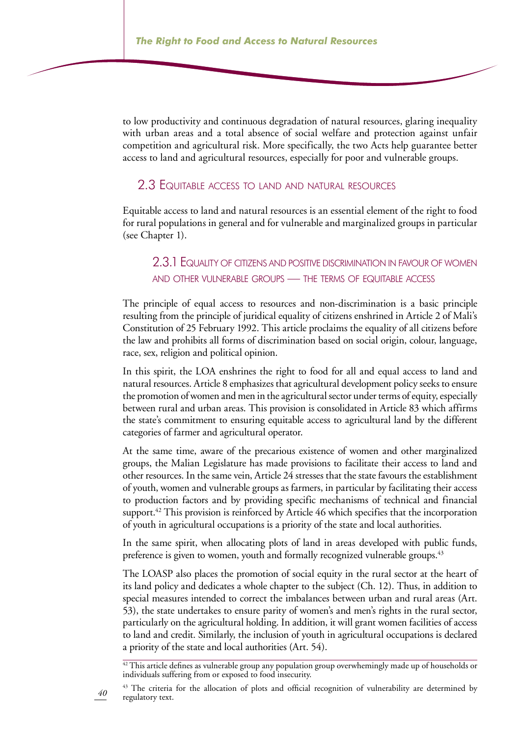to low productivity and continuous degradation of natural resources, glaring inequality with urban areas and a total absence of social welfare and protection against unfair competition and agricultural risk. More specifically, the two Acts help guarantee better access to land and agricultural resources, especially for poor and vulnerable groups.

#### 2.3 Equitable access to land and natural resources

Equitable access to land and natural resources is an essential element of the right to food for rural populations in general and for vulnerable and marginalized groups in particular (see Chapter 1).

### 2.3.1 Equality of citizens and positive discrimination in favour of women and other vulnerable groups — the terms of equitable access

The principle of equal access to resources and non-discrimination is a basic principle resulting from the principle of juridical equality of citizens enshrined in Article 2 of Mali's Constitution of 25 February 1992. This article proclaims the equality of all citizens before the law and prohibits all forms of discrimination based on social origin, colour, language, race, sex, religion and political opinion.

In this spirit, the LOA enshrines the right to food for all and equal access to land and natural resources. Article 8 emphasizes that agricultural development policy seeks to ensure the promotion of women and men in the agricultural sector under terms of equity, especially between rural and urban areas. This provision is consolidated in Article 83 which affirms the state's commitment to ensuring equitable access to agricultural land by the different categories of farmer and agricultural operator.

At the same time, aware of the precarious existence of women and other marginalized groups, the Malian Legislature has made provisions to facilitate their access to land and other resources. In the same vein, Article 24 stresses that the state favours the establishment of youth, women and vulnerable groups as farmers, in particular by facilitating their access to production factors and by providing specific mechanisms of technical and financial support.<sup>42</sup> This provision is reinforced by Article 46 which specifies that the incorporation of youth in agricultural occupations is a priority of the state and local authorities.

In the same spirit, when allocating plots of land in areas developed with public funds, preference is given to women, youth and formally recognized vulnerable groups.<sup>43</sup>

The LOASP also places the promotion of social equity in the rural sector at the heart of its land policy and dedicates a whole chapter to the subject (Ch. 12). Thus, in addition to special measures intended to correct the imbalances between urban and rural areas (Art. 53), the state undertakes to ensure parity of women's and men's rights in the rural sector, particularly on the agricultural holding. In addition, it will grant women facilities of access to land and credit. Similarly, the inclusion of youth in agricultural occupations is declared a priority of the state and local authorities (Art. 54).

*40*

<sup>&</sup>lt;sup>42</sup> This article defines as vulnerable group any population group overwhemingly made up of households or individuals suffering from or exposed to food insecurity.

<sup>&</sup>lt;sup>43</sup> The criteria for the allocation of plots and official recognition of vulnerability are determined by regulatory text.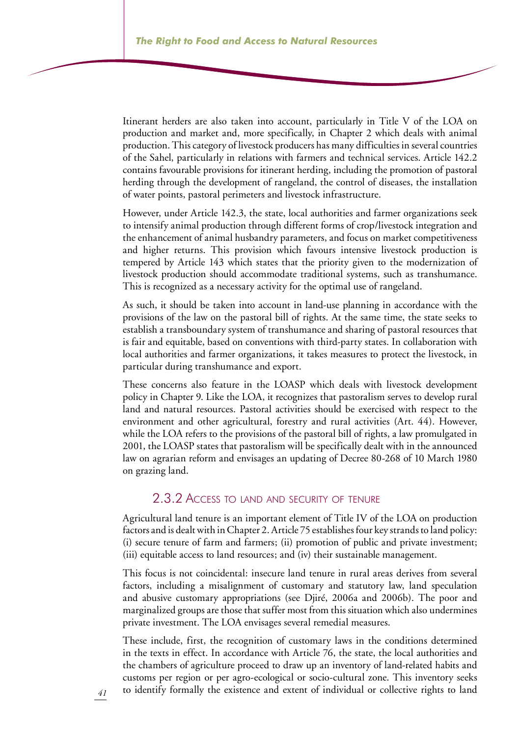Itinerant herders are also taken into account, particularly in Title V of the LOA on production and market and, more specifically, in Chapter 2 which deals with animal production. This category of livestock producers has many difficulties in several countries of the Sahel, particularly in relations with farmers and technical services. Article 142.2 contains favourable provisions for itinerant herding, including the promotion of pastoral herding through the development of rangeland, the control of diseases, the installation of water points, pastoral perimeters and livestock infrastructure.

However, under Article 142.3, the state, local authorities and farmer organizations seek to intensify animal production through different forms of crop/livestock integration and the enhancement of animal husbandry parameters, and focus on market competitiveness and higher returns. This provision which favours intensive livestock production is tempered by Article 143 which states that the priority given to the modernization of livestock production should accommodate traditional systems, such as transhumance. This is recognized as a necessary activity for the optimal use of rangeland.

As such, it should be taken into account in land-use planning in accordance with the provisions of the law on the pastoral bill of rights. At the same time, the state seeks to establish a transboundary system of transhumance and sharing of pastoral resources that is fair and equitable, based on conventions with third-party states. In collaboration with local authorities and farmer organizations, it takes measures to protect the livestock, in particular during transhumance and export.

These concerns also feature in the LOASP which deals with livestock development policy in Chapter 9. Like the LOA, it recognizes that pastoralism serves to develop rural land and natural resources. Pastoral activities should be exercised with respect to the environment and other agricultural, forestry and rural activities (Art. 44). However, while the LOA refers to the provisions of the pastoral bill of rights, a law promulgated in 2001, the LOASP states that pastoralism will be specifically dealt with in the announced law on agrarian reform and envisages an updating of Decree 80-268 of 10 March 1980 on grazing land.

#### 2.3.2 Access to land and security of tenure

Agricultural land tenure is an important element of Title IV of the LOA on production factors and is dealt with in Chapter 2. Article 75 establishes four key strands to land policy: (i) secure tenure of farm and farmers; (ii) promotion of public and private investment; (iii) equitable access to land resources; and (iv) their sustainable management.

This focus is not coincidental: insecure land tenure in rural areas derives from several factors, including a misalignment of customary and statutory law, land speculation and abusive customary appropriations (see Djiré, 2006a and 2006b). The poor and marginalized groups are those that suffer most from this situation which also undermines private investment. The LOA envisages several remedial measures.

These include, first, the recognition of customary laws in the conditions determined in the texts in effect. In accordance with Article 76, the state, the local authorities and the chambers of agriculture proceed to draw up an inventory of land-related habits and customs per region or per agro-ecological or socio-cultural zone. This inventory seeks to identify formally the existence and extent of individual or collective rights to land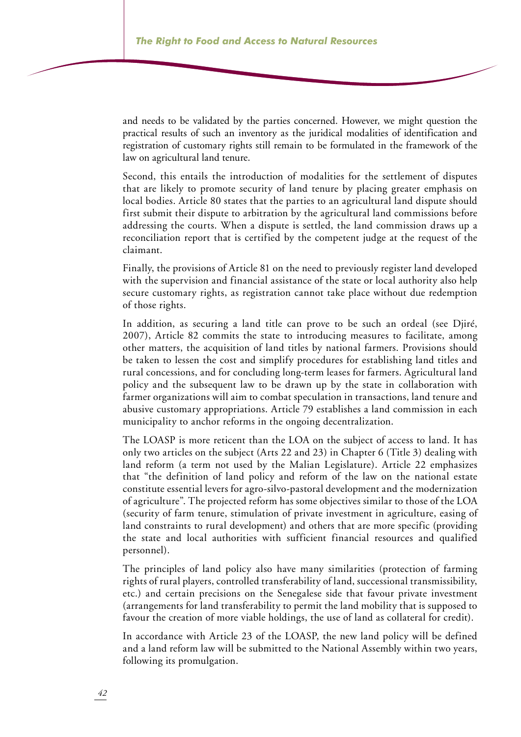and needs to be validated by the parties concerned. However, we might question the practical results of such an inventory as the juridical modalities of identification and registration of customary rights still remain to be formulated in the framework of the law on agricultural land tenure.

Second, this entails the introduction of modalities for the settlement of disputes that are likely to promote security of land tenure by placing greater emphasis on local bodies. Article 80 states that the parties to an agricultural land dispute should first submit their dispute to arbitration by the agricultural land commissions before addressing the courts. When a dispute is settled, the land commission draws up a reconciliation report that is certified by the competent judge at the request of the claimant.

Finally, the provisions of Article 81 on the need to previously register land developed with the supervision and financial assistance of the state or local authority also help secure customary rights, as registration cannot take place without due redemption of those rights.

In addition, as securing a land title can prove to be such an ordeal (see Djiré, 2007), Article 82 commits the state to introducing measures to facilitate, among other matters, the acquisition of land titles by national farmers. Provisions should be taken to lessen the cost and simplify procedures for establishing land titles and rural concessions, and for concluding long-term leases for farmers. Agricultural land policy and the subsequent law to be drawn up by the state in collaboration with farmer organizations will aim to combat speculation in transactions, land tenure and abusive customary appropriations. Article 79 establishes a land commission in each municipality to anchor reforms in the ongoing decentralization.

The LOASP is more reticent than the LOA on the subject of access to land. It has only two articles on the subject (Arts 22 and 23) in Chapter 6 (Title 3) dealing with land reform (a term not used by the Malian Legislature). Article 22 emphasizes that "the definition of land policy and reform of the law on the national estate constitute essential levers for agro-silvo-pastoral development and the modernization of agriculture". The projected reform has some objectives similar to those of the LOA (security of farm tenure, stimulation of private investment in agriculture, easing of land constraints to rural development) and others that are more specific (providing the state and local authorities with sufficient financial resources and qualified personnel).

The principles of land policy also have many similarities (protection of farming rights of rural players, controlled transferability of land, successional transmissibility, etc.) and certain precisions on the Senegalese side that favour private investment (arrangements for land transferability to permit the land mobility that is supposed to favour the creation of more viable holdings, the use of land as collateral for credit).

In accordance with Article 23 of the LOASP, the new land policy will be defined and a land reform law will be submitted to the National Assembly within two years, following its promulgation.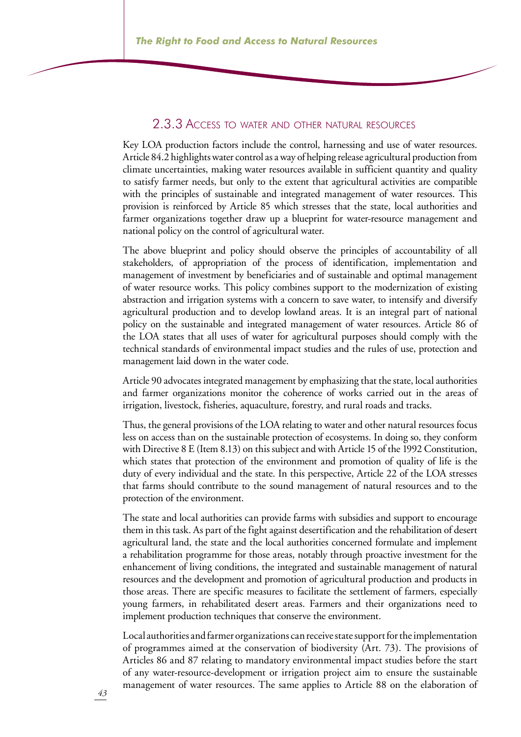### 2.3.3 Access to water and other natural resources

Key LOA production factors include the control, harnessing and use of water resources. Article 84.2 highlights water control as a way of helping release agricultural production from climate uncertainties, making water resources available in sufficient quantity and quality to satisfy farmer needs, but only to the extent that agricultural activities are compatible with the principles of sustainable and integrated management of water resources. This provision is reinforced by Article 85 which stresses that the state, local authorities and farmer organizations together draw up a blueprint for water-resource management and national policy on the control of agricultural water.

The above blueprint and policy should observe the principles of accountability of all stakeholders, of appropriation of the process of identification, implementation and management of investment by beneficiaries and of sustainable and optimal management of water resource works. This policy combines support to the modernization of existing abstraction and irrigation systems with a concern to save water, to intensify and diversify agricultural production and to develop lowland areas. It is an integral part of national policy on the sustainable and integrated management of water resources. Article 86 of the LOA states that all uses of water for agricultural purposes should comply with the technical standards of environmental impact studies and the rules of use, protection and management laid down in the water code.

Article 90 advocates integrated management by emphasizing that the state, local authorities and farmer organizations monitor the coherence of works carried out in the areas of irrigation, livestock, fisheries, aquaculture, forestry, and rural roads and tracks.

Thus, the general provisions of the LOA relating to water and other natural resources focus less on access than on the sustainable protection of ecosystems. In doing so, they conform with Directive 8 E (Item 8.13) on this subject and with Article 15 of the 1992 Constitution, which states that protection of the environment and promotion of quality of life is the duty of every individual and the state. In this perspective, Article 22 of the LOA stresses that farms should contribute to the sound management of natural resources and to the protection of the environment.

The state and local authorities can provide farms with subsidies and support to encourage them in this task. As part of the fight against desertification and the rehabilitation of desert agricultural land, the state and the local authorities concerned formulate and implement a rehabilitation programme for those areas, notably through proactive investment for the enhancement of living conditions, the integrated and sustainable management of natural resources and the development and promotion of agricultural production and products in those areas. There are specific measures to facilitate the settlement of farmers, especially young farmers, in rehabilitated desert areas. Farmers and their organizations need to implement production techniques that conserve the environment.

Local authorities and farmer organizations can receive state support for the implementation of programmes aimed at the conservation of biodiversity (Art. 73). The provisions of Articles 86 and 87 relating to mandatory environmental impact studies before the start of any water-resource-development or irrigation project aim to ensure the sustainable management of water resources. The same applies to Article 88 on the elaboration of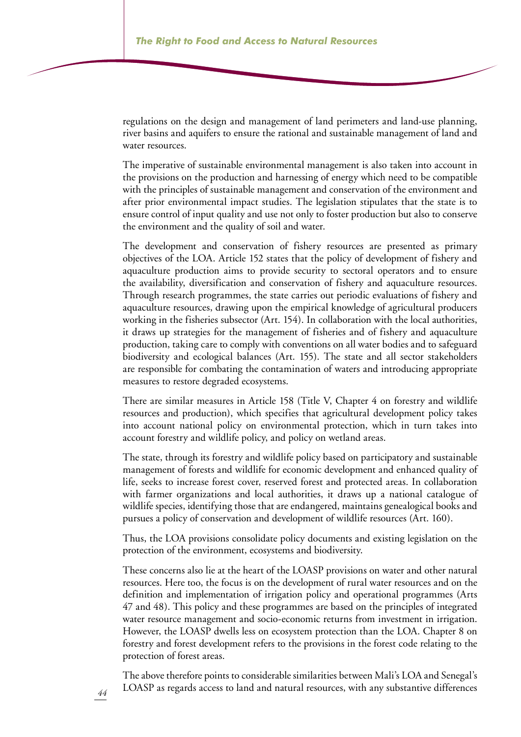regulations on the design and management of land perimeters and land-use planning, river basins and aquifers to ensure the rational and sustainable management of land and water resources.

The imperative of sustainable environmental management is also taken into account in the provisions on the production and harnessing of energy which need to be compatible with the principles of sustainable management and conservation of the environment and after prior environmental impact studies. The legislation stipulates that the state is to ensure control of input quality and use not only to foster production but also to conserve the environment and the quality of soil and water.

The development and conservation of fishery resources are presented as primary objectives of the LOA. Article 152 states that the policy of development of fishery and aquaculture production aims to provide security to sectoral operators and to ensure the availability, diversification and conservation of fishery and aquaculture resources. Through research programmes, the state carries out periodic evaluations of fishery and aquaculture resources, drawing upon the empirical knowledge of agricultural producers working in the fisheries subsector (Art. 154). In collaboration with the local authorities, it draws up strategies for the management of fisheries and of fishery and aquaculture production, taking care to comply with conventions on all water bodies and to safeguard biodiversity and ecological balances (Art. 155). The state and all sector stakeholders are responsible for combating the contamination of waters and introducing appropriate measures to restore degraded ecosystems.

There are similar measures in Article 158 (Title V, Chapter 4 on forestry and wildlife resources and production), which specifies that agricultural development policy takes into account national policy on environmental protection, which in turn takes into account forestry and wildlife policy, and policy on wetland areas.

The state, through its forestry and wildlife policy based on participatory and sustainable management of forests and wildlife for economic development and enhanced quality of life, seeks to increase forest cover, reserved forest and protected areas. In collaboration with farmer organizations and local authorities, it draws up a national catalogue of wildlife species, identifying those that are endangered, maintains genealogical books and pursues a policy of conservation and development of wildlife resources (Art. 160).

Thus, the LOA provisions consolidate policy documents and existing legislation on the protection of the environment, ecosystems and biodiversity.

These concerns also lie at the heart of the LOASP provisions on water and other natural resources. Here too, the focus is on the development of rural water resources and on the definition and implementation of irrigation policy and operational programmes (Arts 47 and 48). This policy and these programmes are based on the principles of integrated water resource management and socio-economic returns from investment in irrigation. However, the LOASP dwells less on ecosystem protection than the LOA. Chapter 8 on forestry and forest development refers to the provisions in the forest code relating to the protection of forest areas.

The above therefore points to considerable similarities between Mali's LOA and Senegal's LOASP as regards access to land and natural resources, with any substantive differences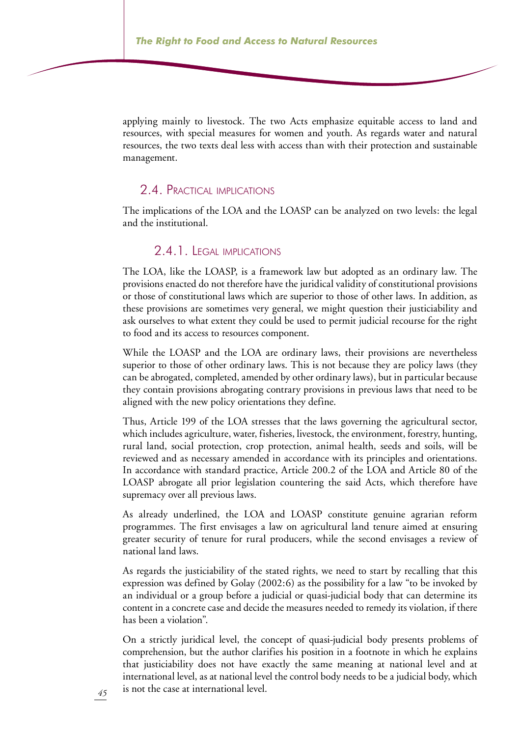applying mainly to livestock. The two Acts emphasize equitable access to land and resources, with special measures for women and youth. As regards water and natural resources, the two texts deal less with access than with their protection and sustainable management.

#### 2.4. Practical implications

The implications of the LOA and the LOASP can be analyzed on two levels: the legal and the institutional.

#### 2.4.1. Legal implications

The LOA, like the LOASP, is a framework law but adopted as an ordinary law. The provisions enacted do not therefore have the juridical validity of constitutional provisions or those of constitutional laws which are superior to those of other laws. In addition, as these provisions are sometimes very general, we might question their justiciability and ask ourselves to what extent they could be used to permit judicial recourse for the right to food and its access to resources component.

While the LOASP and the LOA are ordinary laws, their provisions are nevertheless superior to those of other ordinary laws. This is not because they are policy laws (they can be abrogated, completed, amended by other ordinary laws), but in particular because they contain provisions abrogating contrary provisions in previous laws that need to be aligned with the new policy orientations they define.

Thus, Article 199 of the LOA stresses that the laws governing the agricultural sector, which includes agriculture, water, fisheries, livestock, the environment, forestry, hunting, rural land, social protection, crop protection, animal health, seeds and soils, will be reviewed and as necessary amended in accordance with its principles and orientations. In accordance with standard practice, Article 200.2 of the LOA and Article 80 of the LOASP abrogate all prior legislation countering the said Acts, which therefore have supremacy over all previous laws.

As already underlined, the LOA and LOASP constitute genuine agrarian reform programmes. The first envisages a law on agricultural land tenure aimed at ensuring greater security of tenure for rural producers, while the second envisages a review of national land laws.

As regards the justiciability of the stated rights, we need to start by recalling that this expression was defined by Golay (2002:6) as the possibility for a law "to be invoked by an individual or a group before a judicial or quasi-judicial body that can determine its content in a concrete case and decide the measures needed to remedy its violation, if there has been a violation".

On a strictly juridical level, the concept of quasi-judicial body presents problems of comprehension, but the author clarifies his position in a footnote in which he explains that justiciability does not have exactly the same meaning at national level and at international level, as at national level the control body needs to be a judicial body, which is not the case at international level.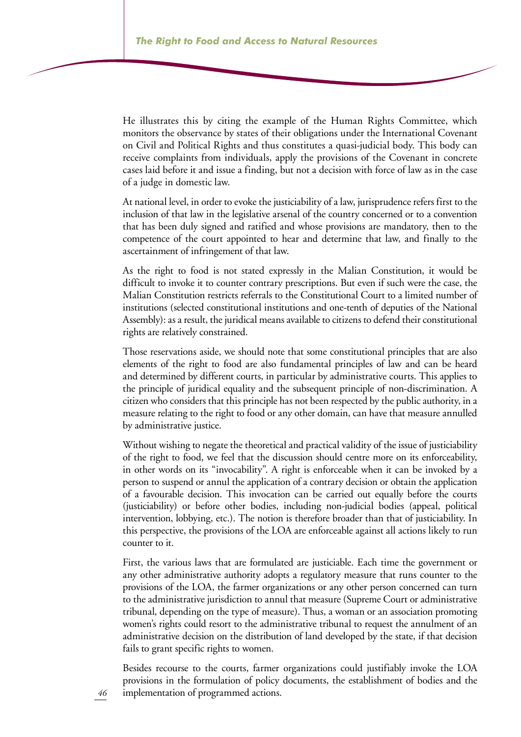He illustrates this by citing the example of the Human Rights Committee, which monitors the observance by states of their obligations under the International Covenant on Civil and Political Rights and thus constitutes a quasi-judicial body. This body can receive complaints from individuals, apply the provisions of the Covenant in concrete cases laid before it and issue a finding, but not a decision with force of law as in the case of a judge in domestic law.

At national level, in order to evoke the justiciability of a law, jurisprudence refers first to the inclusion of that law in the legislative arsenal of the country concerned or to a convention that has been duly signed and ratified and whose provisions are mandatory, then to the competence of the court appointed to hear and determine that law, and finally to the ascertainment of infringement of that law.

As the right to food is not stated expressly in the Malian Constitution, it would be difficult to invoke it to counter contrary prescriptions. But even if such were the case, the Malian Constitution restricts referrals to the Constitutional Court to a limited number of institutions (selected constitutional institutions and one-tenth of deputies of the National Assembly): as a result, the juridical means available to citizens to defend their constitutional rights are relatively constrained.

Those reservations aside, we should note that some constitutional principles that are also elements of the right to food are also fundamental principles of law and can be heard and determined by different courts, in particular by administrative courts. This applies to the principle of juridical equality and the subsequent principle of non-discrimination. A citizen who considers that this principle has not been respected by the public authority, in a measure relating to the right to food or any other domain, can have that measure annulled by administrative justice.

Without wishing to negate the theoretical and practical validity of the issue of justiciability of the right to food, we feel that the discussion should centre more on its enforceability, in other words on its "invocability". A right is enforceable when it can be invoked by a person to suspend or annul the application of a contrary decision or obtain the application of a favourable decision. This invocation can be carried out equally before the courts (justiciability) or before other bodies, including non-judicial bodies (appeal, political intervention, lobbying, etc.). The notion is therefore broader than that of justiciability. In this perspective, the provisions of the LOA are enforceable against all actions likely to run counter to it.

First, the various laws that are formulated are justiciable. Each time the government or any other administrative authority adopts a regulatory measure that runs counter to the provisions of the LOA, the farmer organizations or any other person concerned can turn to the administrative jurisdiction to annul that measure (Supreme Court or administrative tribunal, depending on the type of measure). Thus, a woman or an association promoting women's rights could resort to the administrative tribunal to request the annulment of an administrative decision on the distribution of land developed by the state, if that decision fails to grant specific rights to women.

Besides recourse to the courts, farmer organizations could justifiably invoke the LOA provisions in the formulation of policy documents, the establishment of bodies and the implementation of programmed actions.

*46*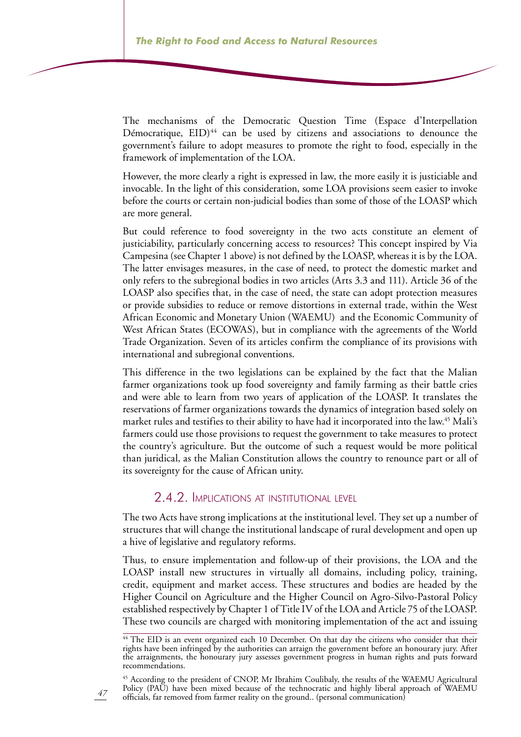The mechanisms of the Democratic Question Time (Espace d'Interpellation Démocratique,  $EID)^{44}$  can be used by citizens and associations to denounce the government's failure to adopt measures to promote the right to food, especially in the framework of implementation of the LOA.

However, the more clearly a right is expressed in law, the more easily it is justiciable and invocable. In the light of this consideration, some LOA provisions seem easier to invoke before the courts or certain non-judicial bodies than some of those of the LOASP which are more general.

But could reference to food sovereignty in the two acts constitute an element of justiciability, particularly concerning access to resources? This concept inspired by Via Campesina (see Chapter 1 above) is not defined by the LOASP, whereas it is by the LOA. The latter envisages measures, in the case of need, to protect the domestic market and only refers to the subregional bodies in two articles (Arts 3.3 and 111). Article 36 of the LOASP also specifies that, in the case of need, the state can adopt protection measures or provide subsidies to reduce or remove distortions in external trade, within the West African Economic and Monetary Union (WAEMU) and the Economic Community of West African States (ECOWAS), but in compliance with the agreements of the World Trade Organization. Seven of its articles confirm the compliance of its provisions with international and subregional conventions.

This difference in the two legislations can be explained by the fact that the Malian farmer organizations took up food sovereignty and family farming as their battle cries and were able to learn from two years of application of the LOASP. It translates the reservations of farmer organizations towards the dynamics of integration based solely on market rules and testifies to their ability to have had it incorporated into the law.<sup>45</sup> Mali's farmers could use those provisions to request the government to take measures to protect the country's agriculture. But the outcome of such a request would be more political than juridical, as the Malian Constitution allows the country to renounce part or all of its sovereignty for the cause of African unity.

#### 2.4.2. Implications at institutional level

The two Acts have strong implications at the institutional level. They set up a number of structures that will change the institutional landscape of rural development and open up a hive of legislative and regulatory reforms.

Thus, to ensure implementation and follow-up of their provisions, the LOA and the LOASP install new structures in virtually all domains, including policy, training, credit, equipment and market access. These structures and bodies are headed by the Higher Council on Agriculture and the Higher Council on Agro-Silvo-Pastoral Policy established respectively by Chapter 1 of Title IV of the LOA and Article 75 of the LOASP. These two councils are charged with monitoring implementation of the act and issuing

<sup>45</sup> According to the president of CNOP, Mr Ibrahim Coulibaly, the results of the WAEMU Agricultural Policy (PAU) have been mixed because of the technocratic and highly liberal approach of WAEMU officials, far removed from farmer reality on the ground.. (personal communication)

<sup>&</sup>lt;sup>44</sup> The EID is an event organized each 10 December. On that day the citizens who consider that their rights have been infringed by the authorities can arraign the government before an honourary jury. After the arraignments, the honourary jury assesses government progress in human rights and puts forward recommendations.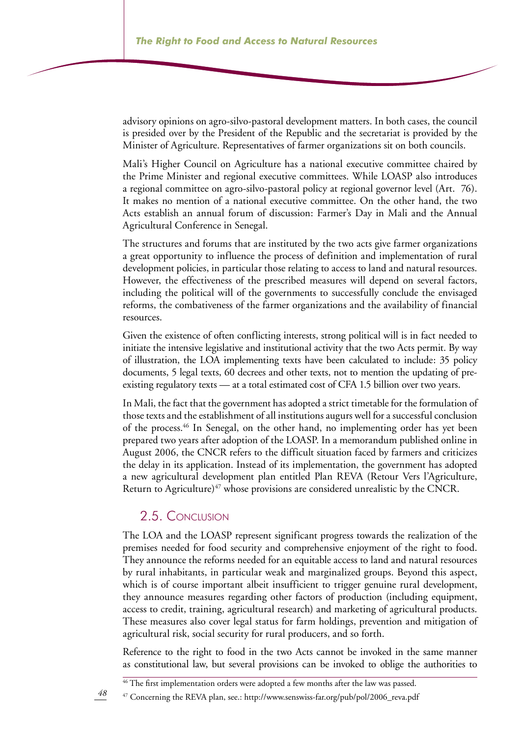advisory opinions on agro-silvo-pastoral development matters. In both cases, the council is presided over by the President of the Republic and the secretariat is provided by the Minister of Agriculture. Representatives of farmer organizations sit on both councils.

Mali's Higher Council on Agriculture has a national executive committee chaired by the Prime Minister and regional executive committees. While LOASP also introduces a regional committee on agro-silvo-pastoral policy at regional governor level (Art. 76). It makes no mention of a national executive committee. On the other hand, the two Acts establish an annual forum of discussion: Farmer's Day in Mali and the Annual Agricultural Conference in Senegal.

The structures and forums that are instituted by the two acts give farmer organizations a great opportunity to influence the process of definition and implementation of rural development policies, in particular those relating to access to land and natural resources. However, the effectiveness of the prescribed measures will depend on several factors, including the political will of the governments to successfully conclude the envisaged reforms, the combativeness of the farmer organizations and the availability of financial resources.

Given the existence of often conflicting interests, strong political will is in fact needed to initiate the intensive legislative and institutional activity that the two Acts permit. By way of illustration, the LOA implementing texts have been calculated to include: 35 policy documents, 5 legal texts, 60 decrees and other texts, not to mention the updating of preexisting regulatory texts — at a total estimated cost of CFA 1.5 billion over two years.

In Mali, the fact that the government has adopted a strict timetable for the formulation of those texts and the establishment of all institutions augurs well for a successful conclusion of the process.46 In Senegal, on the other hand, no implementing order has yet been prepared two years after adoption of the LOASP. In a memorandum published online in August 2006, the CNCR refers to the difficult situation faced by farmers and criticizes the delay in its application. Instead of its implementation, the government has adopted a new agricultural development plan entitled Plan REVA (Retour Vers l'Agriculture, Return to Agriculture)<sup>47</sup> whose provisions are considered unrealistic by the CNCR.

### 2.5. Conclusion

The LOA and the LOASP represent significant progress towards the realization of the premises needed for food security and comprehensive enjoyment of the right to food. They announce the reforms needed for an equitable access to land and natural resources by rural inhabitants, in particular weak and marginalized groups. Beyond this aspect, which is of course important albeit insufficient to trigger genuine rural development, they announce measures regarding other factors of production (including equipment, access to credit, training, agricultural research) and marketing of agricultural products. These measures also cover legal status for farm holdings, prevention and mitigation of agricultural risk, social security for rural producers, and so forth.

Reference to the right to food in the two Acts cannot be invoked in the same manner as constitutional law, but several provisions can be invoked to oblige the authorities to

<sup>46</sup> The first implementation orders were adopted a few months after the law was passed.

<sup>47</sup> Concerning the REVA plan, see.: http://www.senswiss-far.org/pub/pol/2006\_reva.pdf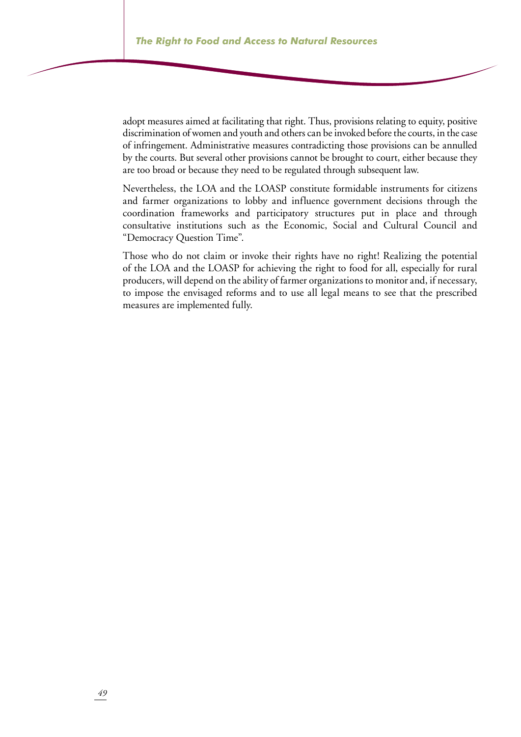adopt measures aimed at facilitating that right. Thus, provisions relating to equity, positive discrimination of women and youth and others can be invoked before the courts, in the case of infringement. Administrative measures contradicting those provisions can be annulled by the courts. But several other provisions cannot be brought to court, either because they are too broad or because they need to be regulated through subsequent law.

Nevertheless, the LOA and the LOASP constitute formidable instruments for citizens and farmer organizations to lobby and influence government decisions through the coordination frameworks and participatory structures put in place and through consultative institutions such as the Economic, Social and Cultural Council and "Democracy Question Time".

Those who do not claim or invoke their rights have no right! Realizing the potential of the LOA and the LOASP for achieving the right to food for all, especially for rural producers, will depend on the ability of farmer organizations to monitor and, if necessary, to impose the envisaged reforms and to use all legal means to see that the prescribed measures are implemented fully.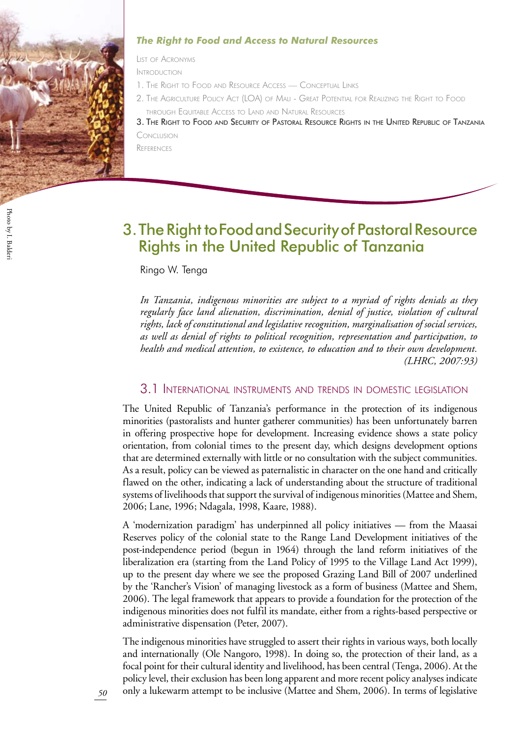

#### *The Right to Food and Access to Natural Resources*

List of Acronyms

Introduction

- 1. The Right to Food and Resource Access Conceptual Link
- 2. The Agriculture Policy Act (LOA) of Mali Great Potential for Realizing the Right to Food through Equitable Access to Land and Natural Resources

3. The Right to Food and Security of Pastoral Resource Rights in the United Republic of Tanzani Conclusion

**REFERENCES** 

## The Right to Food and Security of Pastoral Resource 3. Rights in the United Republic of Tanzania

Ringo W. Tenga

*In Tanzania, indigenous minorities are subject to a myriad of rights denials as they regularly face land alienation, discrimination, denial of justice, violation of cultural rights, lack of constitutional and legislative recognition, marginalisation of social services, as well as denial of rights to political recognition, representation and participation, to health and medical attention, to existence, to education and to their own development. (LHRC, 2007:93)*

#### 3.1 International instruments and trends in domestic legislation

The United Republic of Tanzania's performance in the protection of its indigenous minorities (pastoralists and hunter gatherer communities) has been unfortunately barren in offering prospective hope for development. Increasing evidence shows a state policy orientation, from colonial times to the present day, which designs development options that are determined externally with little or no consultation with the subject communities. As a result, policy can be viewed as paternalistic in character on the one hand and critically flawed on the other, indicating a lack of understanding about the structure of traditional systems of livelihoods that support the survival of indigenous minorities (Mattee and Shem, 2006; Lane, 1996; Ndagala, 1998, Kaare, 1988).

A 'modernization paradigm' has underpinned all policy initiatives — from the Maasai Reserves policy of the colonial state to the Range Land Development initiatives of the post-independence period (begun in 1964) through the land reform initiatives of the liberalization era (starting from the Land Policy of 1995 to the Village Land Act 1999), up to the present day where we see the proposed Grazing Land Bill of 2007 underlined by the 'Rancher's Vision' of managing livestock as a form of business (Mattee and Shem, 2006). The legal framework that appears to provide a foundation for the protection of the indigenous minorities does not fulfil its mandate, either from a rights-based perspective or administrative dispensation (Peter, 2007).

The indigenous minorities have struggled to assert their rights in various ways, both locally and internationally (Ole Nangoro, 1998). In doing so, the protection of their land, as a focal point for their cultural identity and livelihood, has been central (Tenga, 2006). At the policy level, their exclusion has been long apparent and more recent policy analyses indicate only a lukewarm attempt to be inclusive (Mattee and Shem, 2006). In terms of legislative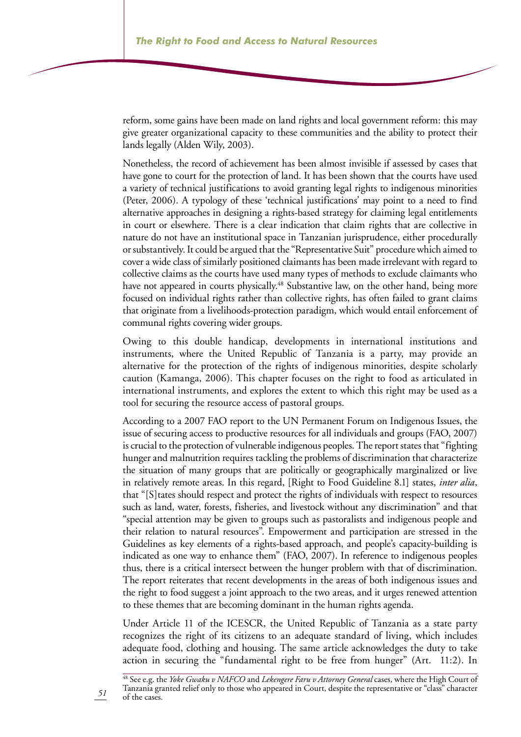reform, some gains have been made on land rights and local government reform: this may give greater organizational capacity to these communities and the ability to protect their lands legally (Alden Wily, 2003).

Nonetheless, the record of achievement has been almost invisible if assessed by cases that have gone to court for the protection of land. It has been shown that the courts have used a variety of technical justifications to avoid granting legal rights to indigenous minorities (Peter, 2006). A typology of these 'technical justifications' may point to a need to find alternative approaches in designing a rights-based strategy for claiming legal entitlements in court or elsewhere. There is a clear indication that claim rights that are collective in nature do not have an institutional space in Tanzanian jurisprudence, either procedurally or substantively. It could be argued that the "Representative Suit" procedure which aimed to cover a wide class of similarly positioned claimants has been made irrelevant with regard to collective claims as the courts have used many types of methods to exclude claimants who have not appeared in courts physically.<sup>48</sup> Substantive law, on the other hand, being more focused on individual rights rather than collective rights, has often failed to grant claims that originate from a livelihoods-protection paradigm, which would entail enforcement of communal rights covering wider groups.

Owing to this double handicap, developments in international institutions and instruments, where the United Republic of Tanzania is a party, may provide an alternative for the protection of the rights of indigenous minorities, despite scholarly caution (Kamanga, 2006). This chapter focuses on the right to food as articulated in international instruments, and explores the extent to which this right may be used as a tool for securing the resource access of pastoral groups.

According to a 2007 FAO report to the UN Permanent Forum on Indigenous Issues, the issue of securing access to productive resources for all individuals and groups (FAO, 2007) is crucial to the protection of vulnerable indigenous peoples. The report states that "fighting hunger and malnutrition requires tackling the problems of discrimination that characterize the situation of many groups that are politically or geographically marginalized or live in relatively remote areas. In this regard, [Right to Food Guideline 8.1] states, *inter alia*, that "[S]tates should respect and protect the rights of individuals with respect to resources such as land, water, forests, fisheries, and livestock without any discrimination" and that "special attention may be given to groups such as pastoralists and indigenous people and their relation to natural resources". Empowerment and participation are stressed in the Guidelines as key elements of a rights-based approach, and people's capacity-building is indicated as one way to enhance them" (FAO, 2007). In reference to indigenous peoples thus, there is a critical intersect between the hunger problem with that of discrimination. The report reiterates that recent developments in the areas of both indigenous issues and the right to food suggest a joint approach to the two areas, and it urges renewed attention to these themes that are becoming dominant in the human rights agenda.

Under Article 11 of the ICESCR, the United Republic of Tanzania as a state party recognizes the right of its citizens to an adequate standard of living, which includes adequate food, clothing and housing. The same article acknowledges the duty to take action in securing the "fundamental right to be free from hunger" (Art. 11:2). In

48 See e.g. the *Yoke Gwaku v NAFCO* and *Lekengere Faru v Attorney General* cases, where the High Court of Tanzania granted relief only to those who appeared in Court, despite the representative or "class" character of the cases.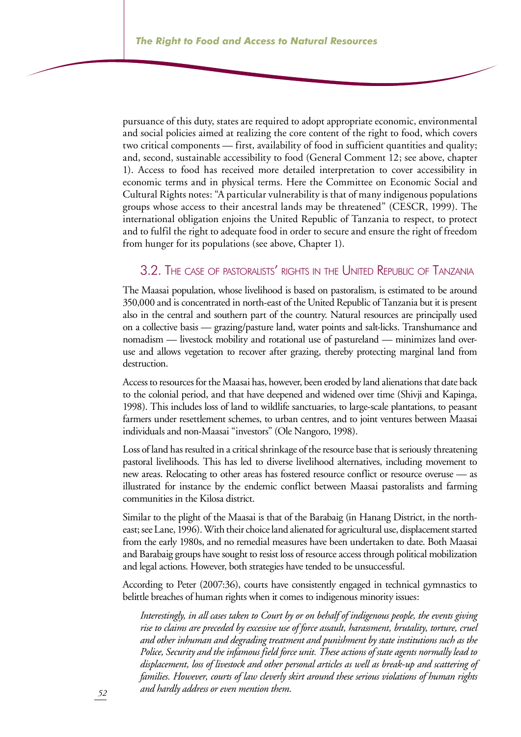pursuance of this duty, states are required to adopt appropriate economic, environmental and social policies aimed at realizing the core content of the right to food, which covers two critical components — first, availability of food in sufficient quantities and quality; and, second, sustainable accessibility to food (General Comment 12; see above, chapter 1). Access to food has received more detailed interpretation to cover accessibility in economic terms and in physical terms. Here the Committee on Economic Social and Cultural Rights notes: "A particular vulnerability is that of many indigenous populations groups whose access to their ancestral lands may be threatened" (CESCR, 1999). The international obligation enjoins the United Republic of Tanzania to respect, to protect and to fulfil the right to adequate food in order to secure and ensure the right of freedom from hunger for its populations (see above, Chapter 1).

#### 3.2. The case of pastoralists' rights in the United Republic of Tanzania

The Maasai population, whose livelihood is based on pastoralism, is estimated to be around 350,000 and is concentrated in north-east of the United Republic of Tanzania but it is present also in the central and southern part of the country. Natural resources are principally used on a collective basis — grazing/pasture land, water points and salt-licks. Transhumance and nomadism — livestock mobility and rotational use of pastureland — minimizes land overuse and allows vegetation to recover after grazing, thereby protecting marginal land from destruction.

Access to resources for the Maasai has, however, been eroded by land alienations that date back to the colonial period, and that have deepened and widened over time (Shivji and Kapinga, 1998). This includes loss of land to wildlife sanctuaries, to large-scale plantations, to peasant farmers under resettlement schemes, to urban centres, and to joint ventures between Maasai individuals and non-Maasai "investors" (Ole Nangoro, 1998).

Loss of land has resulted in a critical shrinkage of the resource base that is seriously threatening pastoral livelihoods. This has led to diverse livelihood alternatives, including movement to new areas. Relocating to other areas has fostered resource conflict or resource overuse — as illustrated for instance by the endemic conflict between Maasai pastoralists and farming communities in the Kilosa district.

Similar to the plight of the Maasai is that of the Barabaig (in Hanang District, in the northeast; see Lane, 1996). With their choice land alienated for agricultural use, displacement started from the early 1980s, and no remedial measures have been undertaken to date. Both Maasai and Barabaig groups have sought to resist loss of resource access through political mobilization and legal actions. However, both strategies have tended to be unsuccessful.

According to Peter (2007:36), courts have consistently engaged in technical gymnastics to belittle breaches of human rights when it comes to indigenous minority issues:

*Interestingly, in all cases taken to Court by or on behalf of indigenous people, the events giving rise to claims are preceded by excessive use of force assault, harassment, brutality, torture, cruel and other inhuman and degrading treatment and punishment by state institutions such as the Police, Security and the infamous field force unit. These actions of state agents normally lead to displacement, loss of livestock and other personal articles as well as break-up and scattering of families. However, courts of law cleverly skirt around these serious violations of human rights and hardly address or even mention them.*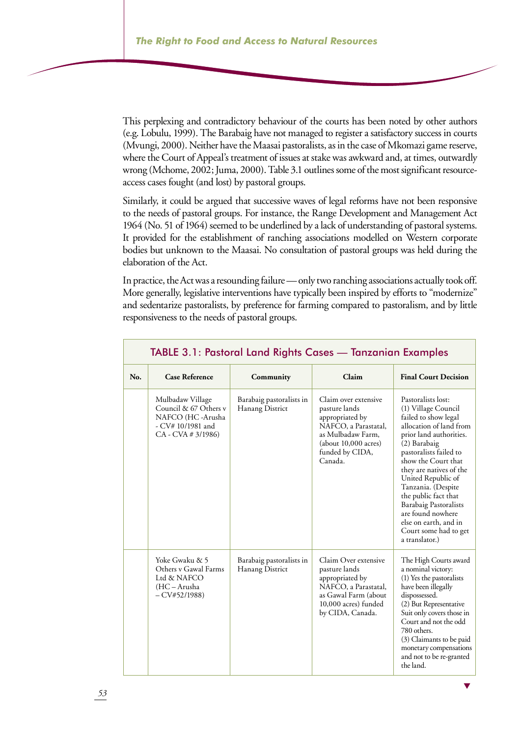This perplexing and contradictory behaviour of the courts has been noted by other authors (e.g. Lobulu, 1999). The Barabaig have not managed to register a satisfactory success in courts (Mvungi, 2000). Neither have the Maasai pastoralists, as in the case of Mkomazi game reserve, where the Court of Appeal's treatment of issues at stake was awkward and, at times, outwardly wrong (Mchome, 2002; Juma, 2000). Table 3.1 outlines some of the most significant resourceaccess cases fought (and lost) by pastoral groups.

Similarly, it could be argued that successive waves of legal reforms have not been responsive to the needs of pastoral groups. For instance, the Range Development and Management Act 1964 (No. 51 of 1964) seemed to be underlined by a lack of understanding of pastoral systems. It provided for the establishment of ranching associations modelled on Western corporate bodies but unknown to the Maasai. No consultation of pastoral groups was held during the elaboration of the Act.

In practice, the Act was a resounding failure — only two ranching associations actually took off. More generally, legislative interventions have typically been inspired by efforts to "modernize" and sedentarize pastoralists, by preference for farming compared to pastoralism, and by little responsiveness to the needs of pastoral groups.

|     | TABLE 3.1: Pastoral Land Rights Cases - Tanzanian Examples                                                   |                                             |                                                                                                                                                             |                                                                                                                                                                                                                                                                                                                                                                                                                  |
|-----|--------------------------------------------------------------------------------------------------------------|---------------------------------------------|-------------------------------------------------------------------------------------------------------------------------------------------------------------|------------------------------------------------------------------------------------------------------------------------------------------------------------------------------------------------------------------------------------------------------------------------------------------------------------------------------------------------------------------------------------------------------------------|
| No. | <b>Case Reference</b>                                                                                        | Community                                   | Claim                                                                                                                                                       | <b>Final Court Decision</b>                                                                                                                                                                                                                                                                                                                                                                                      |
|     | Mulbadaw Village<br>Council & 67 Others v<br>NAFCO (HC-Arusha<br>- CV# 10/1981 and<br>$CA - CVA \neq 3/1986$ | Barabaig pastoralists in<br>Hanang District | Claim over extensive<br>pasture lands<br>appropriated by<br>NAFCO, a Parastatal,<br>as Mulbadaw Farm,<br>(about 10,000 acres)<br>funded by CIDA,<br>Canada. | Pastoralists lost:<br>(1) Village Council<br>failed to show legal<br>allocation of land from<br>prior land authorities.<br>(2) Barabaig<br>pastoralists failed to<br>show the Court that<br>they are natives of the<br>United Republic of<br>Tanzania. (Despite<br>the public fact that<br><b>Barabaig Pastoralists</b><br>are found nowhere<br>else on earth, and in<br>Court some had to get<br>a translator.) |
|     | Yoke Gwaku & 5<br>Others v Gawal Farms<br>Ltd & NAFCO<br>(HC-Arusha<br>$-CV#52/1988$                         | Barabaig pastoralists in<br>Hanang District | Claim Over extensive<br>pasture lands<br>appropriated by<br>NAFCO, a Parastatal,<br>as Gawal Farm (about<br>10,000 acres) funded<br>by CIDA, Canada.        | The High Courts award<br>a nominal victory:<br>(1) Yes the pastoralists<br>have been illegally<br>dispossessed.<br>(2) But Representative<br>Suit only covers those in<br>Court and not the odd<br>780 others.<br>(3) Claimants to be paid<br>monetary compensations<br>and not to be re-granted<br>the land.                                                                                                    |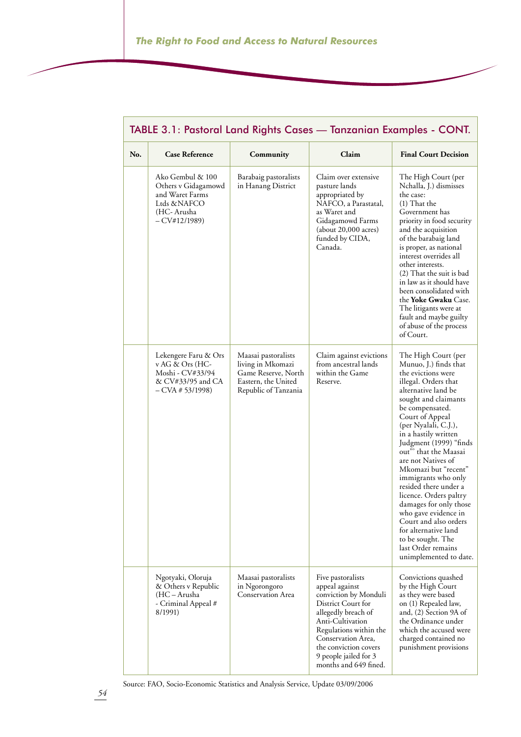|     | TABLE 3.1: Pastoral Land Rights Cases - Tanzanian Examples - CONT.                                       |                                                                                                                |                                                                                                                                                                                                                                                          |                                                                                                                                                                                                                                                                                                                                                                                                                                                                                                                                                                                   |
|-----|----------------------------------------------------------------------------------------------------------|----------------------------------------------------------------------------------------------------------------|----------------------------------------------------------------------------------------------------------------------------------------------------------------------------------------------------------------------------------------------------------|-----------------------------------------------------------------------------------------------------------------------------------------------------------------------------------------------------------------------------------------------------------------------------------------------------------------------------------------------------------------------------------------------------------------------------------------------------------------------------------------------------------------------------------------------------------------------------------|
| No. | <b>Case Reference</b>                                                                                    | Community                                                                                                      | Claim                                                                                                                                                                                                                                                    | <b>Final Court Decision</b>                                                                                                                                                                                                                                                                                                                                                                                                                                                                                                                                                       |
|     | Ako Gembul & 100<br>Others v Gidagamowd<br>and Waret Farms<br>Ltds &NAFCO<br>(HC-Arusha<br>$-CV#12/1989$ | Barabaig pastoralists<br>in Hanang District                                                                    | Claim over extensive<br>pasture lands<br>appropriated by<br>NAFCO, a Parastatal,<br>as Waret and<br>Gidagamowd Farms<br>(about 20,000 acres)<br>funded by CIDA,<br>Canada.                                                                               | The High Court (per<br>Nchalla, J.) dismisses<br>the case:<br>$(1)$ That the<br>Government has<br>priority in food security<br>and the acquisition<br>of the barabaig land<br>is proper, as national<br>interest overrides all<br>other interests.<br>(2) That the suit is bad<br>in law as it should have<br>been consolidated with<br>the <b>Yoke Gwaku</b> Case.<br>The litigants were at<br>fault and maybe guilty<br>of abuse of the process<br>of Court.                                                                                                                    |
|     | Lekengere Faru & Ors<br>v AG & Ors (HC-<br>Moshi - CV#33/94<br>& CV#33/95 and CA<br>$-CVA \# 53/1998$    | Maasai pastoralists<br>living in Mkomazi<br>Game Reserve, North<br>Eastern, the United<br>Republic of Tanzania | Claim against evictions<br>from ancestral lands<br>within the Game<br>Reserve.                                                                                                                                                                           | The High Court (per<br>Munuo, J.) finds that<br>the evictions were<br>illegal. Orders that<br>alternative land be<br>sought and claimants<br>be compensated.<br>Court of Appeal<br>(per Nyalali, C.J.),<br>in a hastily written<br>Judgment (1999) "finds<br>out" that the Maasai<br>are not Natives of<br>Mkomazi but "recent"<br>immigrants who only<br>resided there under a<br>licence. Orders paltry<br>damages for only those<br>who gave evidence in<br>Court and also orders<br>for alternative land<br>to be sought. The<br>last Order remains<br>unimplemented to date. |
|     | Ngotyaki, Oloruja<br>& Others v Republic<br>(HC – Arusha<br>- Criminal Appeal #<br>8/1991)               | Maasai pastoralists<br>in Ngorongoro<br>Conservation Area                                                      | Five pastoralists<br>appeal against<br>conviction by Monduli<br>District Court for<br>allegedly breach of<br>Anti-Cultivation<br>Regulations within the<br>Conservation Area,<br>the conviction covers<br>9 people jailed for 3<br>months and 649 fined. | Convictions quashed<br>by the High Court<br>as they were based<br>on (1) Repealed law,<br>and, (2) Section 9A of<br>the Ordinance under<br>which the accused were<br>charged contained no<br>punishment provisions                                                                                                                                                                                                                                                                                                                                                                |

Source: FAO, Socio-Economic Statistics and Analysis Service, Update 03/09/2006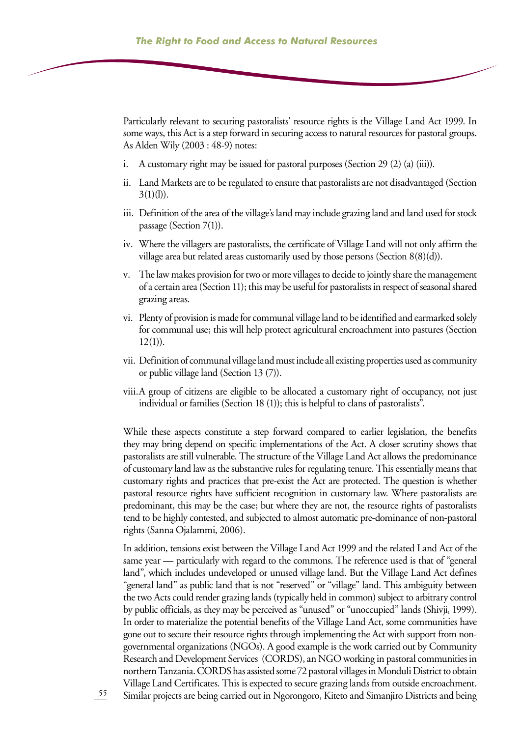Particularly relevant to securing pastoralists' resource rights is the Village Land Act 1999. In some ways, this Act is a step forward in securing access to natural resources for pastoral groups. As Alden Wily (2003 : 48-9) notes:

- A customary right may be issued for pastoral purposes (Section 29 (2) (a) (iii)). i.
- ii. Land Markets are to be regulated to ensure that pastoralists are not disadvantaged (Section  $3(1)(l)$ ).
- iii. Definition of the area of the village's land may include grazing land and land used for stock passage (Section  $7(1)$ ).
- Where the villagers are pastoralists, the certificate of Village Land will not only affirm the iv. village area but related areas customarily used by those persons (Section 8(8)(d)).
- The law makes provision for two or more villages to decide to jointly share the management v. of a certain area (Section 11); this may be useful for pastoralists in respect of seasonal shared grazing areas.
- Plenty of provision is made for communal village land to be identified and earmarked solely vi. for communal use; this will help protect agricultural encroachment into pastures (Section  $12(1)$ ).
- Definition of communal village land must include all existing properties used as community vii. or public village land (Section 13 (7)).
- A group of citizens are eligible to be allocated a customary right of occupancy, not just viii.individual or families (Section 18 (1)); this is helpful to clans of pastoralists".

While these aspects constitute a step forward compared to earlier legislation, the benefits they may bring depend on specific implementations of the Act. A closer scrutiny shows that pastoralists are still vulnerable. The structure of the Village Land Act allows the predominance of customary land law as the substantive rules for regulating tenure. This essentially means that customary rights and practices that pre-exist the Act are protected. The question is whether pastoral resource rights have sufficient recognition in customary law. Where pastoralists are predominant, this may be the case; but where they are not, the resource rights of pastoralists tend to be highly contested, and subjected to almost automatic pre-dominance of non-pastoral rights (Sanna Ojalammi, 2006).

In addition, tensions exist between the Village Land Act 1999 and the related Land Act of the same year — particularly with regard to the commons. The reference used is that of "general land", which includes undeveloped or unused village land. But the Village Land Act defines "general land" as public land that is not "reserved" or "village" land. This ambiguity between the two Acts could render grazing lands (typically held in common) subject to arbitrary control by public officials, as they may be perceived as "unused" or "unoccupied" lands (Shivji, 1999). In order to materialize the potential benefits of the Village Land Act, some communities have gone out to secure their resource rights through implementing the Act with support from nongovernmental organizations (NGOs). A good example is the work carried out by Community Research and Development Services (CORDS), an NGO working in pastoral communities in northern Tanzania. CORDS has assisted some 72 pastoral villages in Monduli District to obtain Village Land Certificates. This is expected to secure grazing lands from outside encroachment. Similar projects are being carried out in Ngorongoro, Kiteto and Simanjiro Districts and being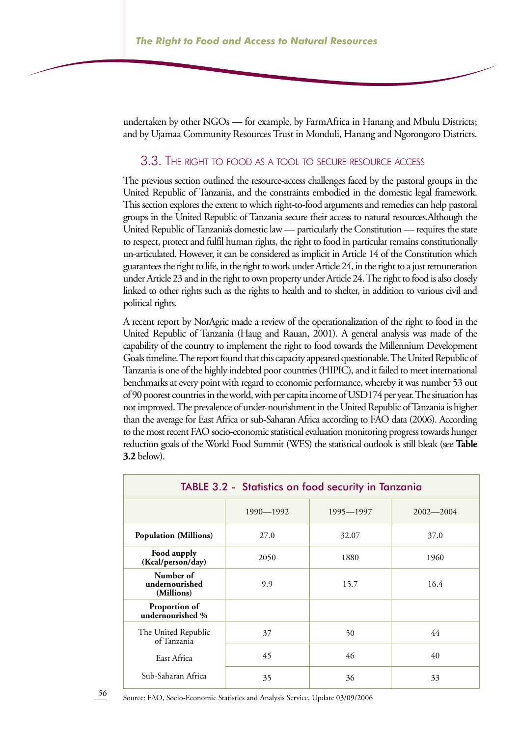undertaken by other NGOs — for example, by FarmAfrica in Hanang and Mbulu Districts; and by Ujamaa Community Resources Trust in Monduli, Hanang and Ngorongoro Districts.

#### 3.3. The right to food as <sup>a</sup> tool to secure resource access

The previous section outlined the resource-access challenges faced by the pastoral groups in the United Republic of Tanzania, and the constraints embodied in the domestic legal framework. This section explores the extent to which right-to-food arguments and remedies can help pastoral groups in the United Republic of Tanzania secure their access to natural resources.Although the United Republic of Tanzania's domestic law — particularly the Constitution — requires the state to respect, protect and fulfil human rights, the right to food in particular remains constitutionally un-articulated. However, it can be considered as implicit in Article 14 of the Constitution which guarantees the right to life, in the right to work under Article 24, in the right to a just remuneration under Article 23 and in the right to own property under Article 24. The right to food is also closely linked to other rights such as the rights to health and to shelter, in addition to various civil and political rights.

A recent report by NorAgric made a review of the operationalization of the right to food in the United Republic of Tanzania (Haug and Rauan, 2001). A general analysis was made of the capability of the country to implement the right to food towards the Millennium Development Goals timeline. The report found that this capacity appeared questionable. The United Republic of Tanzania is one of the highly indebted poor countries (HIPIC), and it failed to meet international benchmarks at every point with regard to economic performance, whereby it was number 53 out of 90 poorest countries in the world, with per capita income of USD174 per year. The situation has not improved. The prevalence of under-nourishment in the United Republic of Tanzania is higher than the average for East Africa or sub-Saharan Africa according to FAO data (2006). According to the most recent FAO socio-economic statistical evaluation monitoring progress towards hunger reduction goals of the World Food Summit (WFS) the statistical outlook is still bleak (see **Table 3.2** below).

| <b>TABLE 3.2 - Statistics on food security in Tanzania</b> |           |           |               |
|------------------------------------------------------------|-----------|-----------|---------------|
|                                                            | 1990-1992 | 1995-1997 | $2002 - 2004$ |
| <b>Population (Millions)</b>                               | 27.0      | 32.07     | 37.0          |
| Food aupply<br>(Kcal/person/day)                           | 2050      | 1880      | 1960          |
| Number of<br>undernourished<br>(Millions)                  | 9.9       | 15.7      | 16.4          |
| Proportion of<br>undernourished %                          |           |           |               |
| The United Republic<br>of Tanzania                         | 37        | 50        | 44            |
| East Africa                                                | 45        | 46        | 40            |
| Sub-Saharan Africa                                         | 35        | 36        | 33            |

Source: FAO, Socio-Economic Statistics and Analysis Service, Update 03/09/2006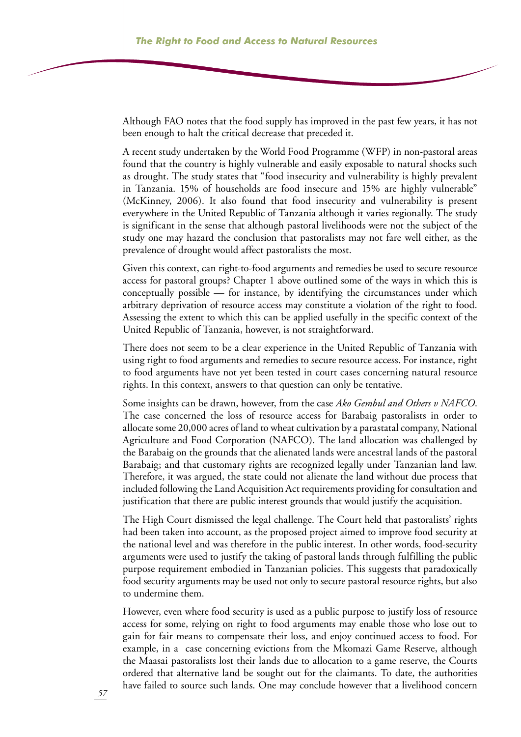Although FAO notes that the food supply has improved in the past few years, it has not been enough to halt the critical decrease that preceded it.

A recent study undertaken by the World Food Programme (WFP) in non-pastoral areas found that the country is highly vulnerable and easily exposable to natural shocks such as drought. The study states that "food insecurity and vulnerability is highly prevalent in Tanzania. 15% of households are food insecure and 15% are highly vulnerable" (McKinney, 2006). It also found that food insecurity and vulnerability is present everywhere in the United Republic of Tanzania although it varies regionally. The study is significant in the sense that although pastoral livelihoods were not the subject of the study one may hazard the conclusion that pastoralists may not fare well either, as the prevalence of drought would affect pastoralists the most.

Given this context, can right-to-food arguments and remedies be used to secure resource access for pastoral groups? Chapter 1 above outlined some of the ways in which this is conceptually possible — for instance, by identifying the circumstances under which arbitrary deprivation of resource access may constitute a violation of the right to food. Assessing the extent to which this can be applied usefully in the specific context of the United Republic of Tanzania, however, is not straightforward.

There does not seem to be a clear experience in the United Republic of Tanzania with using right to food arguments and remedies to secure resource access. For instance, right to food arguments have not yet been tested in court cases concerning natural resource rights. In this context, answers to that question can only be tentative.

Some insights can be drawn, however, from the case *Ako Gembul and Others v NAFCO*. The case concerned the loss of resource access for Barabaig pastoralists in order to allocate some 20,000 acres of land to wheat cultivation by a parastatal company, National Agriculture and Food Corporation (NAFCO). The land allocation was challenged by the Barabaig on the grounds that the alienated lands were ancestral lands of the pastoral Barabaig; and that customary rights are recognized legally under Tanzanian land law. Therefore, it was argued, the state could not alienate the land without due process that included following the Land Acquisition Act requirements providing for consultation and justification that there are public interest grounds that would justify the acquisition.

The High Court dismissed the legal challenge. The Court held that pastoralists' rights had been taken into account, as the proposed project aimed to improve food security at the national level and was therefore in the public interest. In other words, food-security arguments were used to justify the taking of pastoral lands through fulfilling the public purpose requirement embodied in Tanzanian policies. This suggests that paradoxically food security arguments may be used not only to secure pastoral resource rights, but also to undermine them.

However, even where food security is used as a public purpose to justify loss of resource access for some, relying on right to food arguments may enable those who lose out to gain for fair means to compensate their loss, and enjoy continued access to food. For example, in a case concerning evictions from the Mkomazi Game Reserve, although the Maasai pastoralists lost their lands due to allocation to a game reserve, the Courts ordered that alternative land be sought out for the claimants. To date, the authorities have failed to source such lands. One may conclude however that a livelihood concern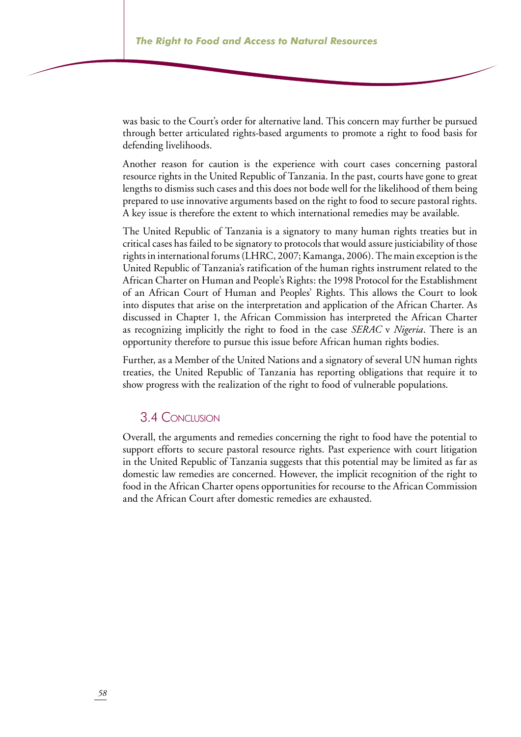was basic to the Court's order for alternative land. This concern may further be pursued through better articulated rights-based arguments to promote a right to food basis for defending livelihoods.

Another reason for caution is the experience with court cases concerning pastoral resource rights in the United Republic of Tanzania. In the past, courts have gone to great lengths to dismiss such cases and this does not bode well for the likelihood of them being prepared to use innovative arguments based on the right to food to secure pastoral rights. A key issue is therefore the extent to which international remedies may be available.

The United Republic of Tanzania is a signatory to many human rights treaties but in critical cases has failed to be signatory to protocols that would assure justiciability of those rights in international forums (LHRC, 2007; Kamanga, 2006). The main exception is the United Republic of Tanzania's ratification of the human rights instrument related to the African Charter on Human and People's Rights: the 1998 Protocol for the Establishment of an African Court of Human and Peoples' Rights. This allows the Court to look into disputes that arise on the interpretation and application of the African Charter. As discussed in Chapter 1, the African Commission has interpreted the African Charter as recognizing implicitly the right to food in the case *SERAC* v *Nigeria*. There is an opportunity therefore to pursue this issue before African human rights bodies.

Further, as a Member of the United Nations and a signatory of several UN human rights treaties, the United Republic of Tanzania has reporting obligations that require it to show progress with the realization of the right to food of vulnerable populations.

### 3.4 Conclusion

Overall, the arguments and remedies concerning the right to food have the potential to support efforts to secure pastoral resource rights. Past experience with court litigation in the United Republic of Tanzania suggests that this potential may be limited as far as domestic law remedies are concerned. However, the implicit recognition of the right to food in the African Charter opens opportunities for recourse to the African Commission and the African Court after domestic remedies are exhausted.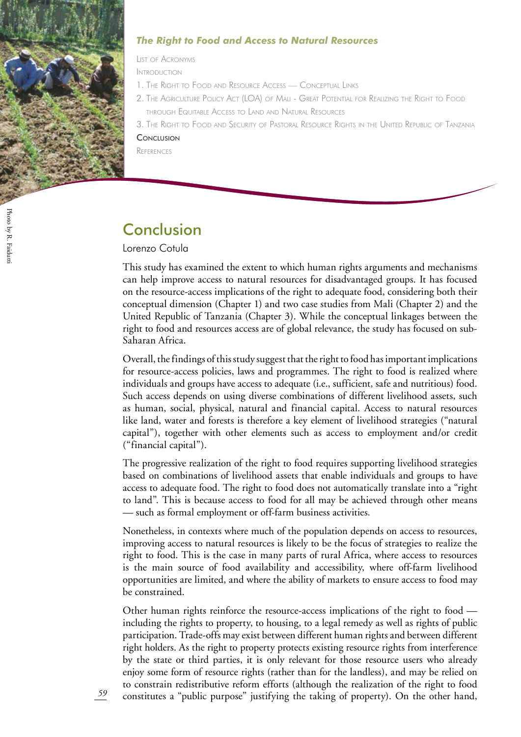

#### *The Right to Food and Access to Natural Resources*

List of Acronyms

Introduction

- 1. The Right to Food and Resource Access Conceptual Link
- 2. The Agriculture Policy Act (LOA) of Mali Great Potential for Realizing the Right to Food through Equitable Access to Land and Natural Resources
- 3. The Right to Food and Security of Pastoral Resource Rights in the United Republic of Tanzani

#### **CONCLUSION**

**REFERENCES** 

## Conclusion

#### Lorenzo Cotula

This study has examined the extent to which human rights arguments and mechanisms can help improve access to natural resources for disadvantaged groups. It has focused on the resource-access implications of the right to adequate food, considering both their conceptual dimension (Chapter 1) and two case studies from Mali (Chapter 2) and the United Republic of Tanzania (Chapter 3). While the conceptual linkages between the right to food and resources access are of global relevance, the study has focused on sub-Saharan Africa.

Overall, the findings of this study suggest that the right to food has important implications for resource-access policies, laws and programmes. The right to food is realized where individuals and groups have access to adequate (i.e., sufficient, safe and nutritious) food. Such access depends on using diverse combinations of different livelihood assets, such as human, social, physical, natural and financial capital. Access to natural resources like land, water and forests is therefore a key element of livelihood strategies ("natural capital"), together with other elements such as access to employment and/or credit ("financial capital").

The progressive realization of the right to food requires supporting livelihood strategies based on combinations of livelihood assets that enable individuals and groups to have access to adequate food. The right to food does not automatically translate into a "right to land". This is because access to food for all may be achieved through other means — such as formal employment or off-farm business activities.

Nonetheless, in contexts where much of the population depends on access to resources, improving access to natural resources is likely to be the focus of strategies to realize the right to food. This is the case in many parts of rural Africa, where access to resources is the main source of food availability and accessibility, where off-farm livelihood opportunities are limited, and where the ability of markets to ensure access to food may be constrained.

Other human rights reinforce the resource-access implications of the right to food including the rights to property, to housing, to a legal remedy as well as rights of public participation. Trade-offs may exist between different human rights and between different right holders. As the right to property protects existing resource rights from interference by the state or third parties, it is only relevant for those resource users who already enjoy some form of resource rights (rather than for the landless), and may be relied on to constrain redistributive reform efforts (although the realization of the right to food constitutes a "public purpose" justifying the taking of property). On the other hand,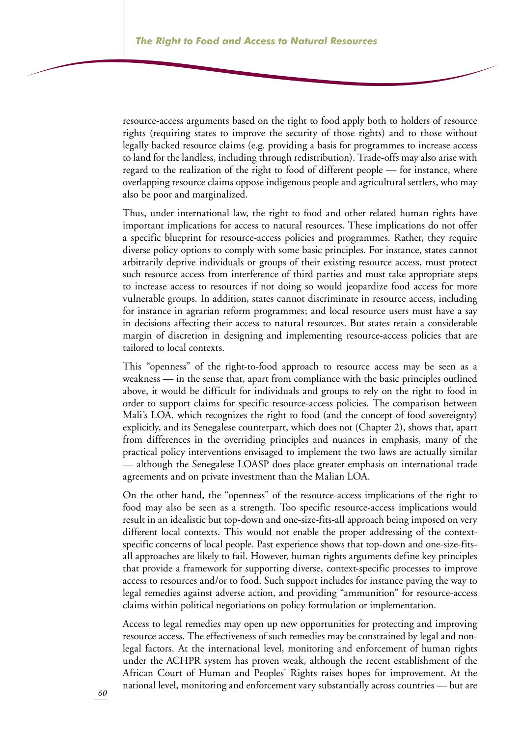resource-access arguments based on the right to food apply both to holders of resource rights (requiring states to improve the security of those rights) and to those without legally backed resource claims (e.g. providing a basis for programmes to increase access to land for the landless, including through redistribution). Trade-offs may also arise with regard to the realization of the right to food of different people — for instance, where overlapping resource claims oppose indigenous people and agricultural settlers, who may also be poor and marginalized.

Thus, under international law, the right to food and other related human rights have important implications for access to natural resources. These implications do not offer a specific blueprint for resource-access policies and programmes. Rather, they require diverse policy options to comply with some basic principles. For instance, states cannot arbitrarily deprive individuals or groups of their existing resource access, must protect such resource access from interference of third parties and must take appropriate steps to increase access to resources if not doing so would jeopardize food access for more vulnerable groups. In addition, states cannot discriminate in resource access, including for instance in agrarian reform programmes; and local resource users must have a say in decisions affecting their access to natural resources. But states retain a considerable margin of discretion in designing and implementing resource-access policies that are tailored to local contexts.

This "openness" of the right-to-food approach to resource access may be seen as a weakness — in the sense that, apart from compliance with the basic principles outlined above, it would be difficult for individuals and groups to rely on the right to food in order to support claims for specific resource-access policies. The comparison between Mali's LOA, which recognizes the right to food (and the concept of food sovereignty) explicitly, and its Senegalese counterpart, which does not (Chapter 2), shows that, apart from differences in the overriding principles and nuances in emphasis, many of the practical policy interventions envisaged to implement the two laws are actually similar — although the Senegalese LOASP does place greater emphasis on international trade agreements and on private investment than the Malian LOA.

On the other hand, the "openness" of the resource-access implications of the right to food may also be seen as a strength. Too specific resource-access implications would result in an idealistic but top-down and one-size-fits-all approach being imposed on very different local contexts. This would not enable the proper addressing of the contextspecific concerns of local people. Past experience shows that top-down and one-size-fitsall approaches are likely to fail. However, human rights arguments define key principles that provide a framework for supporting diverse, context-specific processes to improve access to resources and/or to food. Such support includes for instance paving the way to legal remedies against adverse action, and providing "ammunition" for resource-access claims within political negotiations on policy formulation or implementation.

Access to legal remedies may open up new opportunities for protecting and improving resource access. The effectiveness of such remedies may be constrained by legal and nonlegal factors. At the international level, monitoring and enforcement of human rights under the ACHPR system has proven weak, although the recent establishment of the African Court of Human and Peoples' Rights raises hopes for improvement. At the national level, monitoring and enforcement vary substantially across countries — but are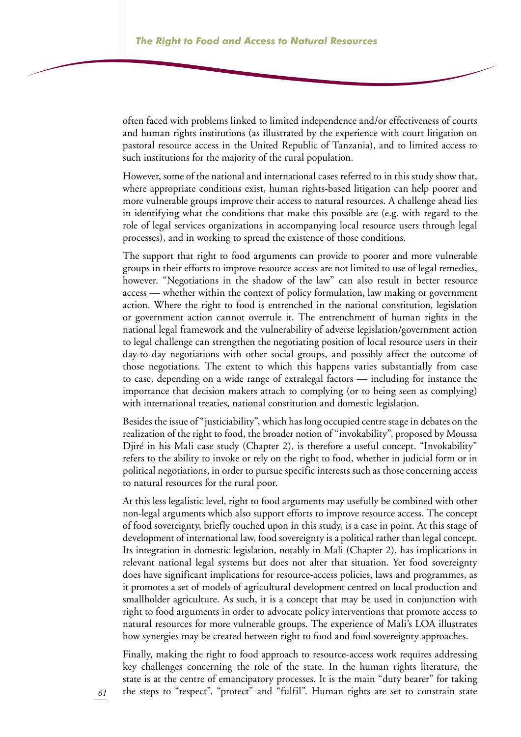often faced with problems linked to limited independence and/or effectiveness of courts and human rights institutions (as illustrated by the experience with court litigation on pastoral resource access in the United Republic of Tanzania), and to limited access to such institutions for the majority of the rural population.

However, some of the national and international cases referred to in this study show that, where appropriate conditions exist, human rights-based litigation can help poorer and more vulnerable groups improve their access to natural resources. A challenge ahead lies in identifying what the conditions that make this possible are (e.g. with regard to the role of legal services organizations in accompanying local resource users through legal processes), and in working to spread the existence of those conditions.

The support that right to food arguments can provide to poorer and more vulnerable groups in their efforts to improve resource access are not limited to use of legal remedies, however. "Negotiations in the shadow of the law" can also result in better resource access — whether within the context of policy formulation, law making or government action. Where the right to food is entrenched in the national constitution, legislation or government action cannot overrule it. The entrenchment of human rights in the national legal framework and the vulnerability of adverse legislation/government action to legal challenge can strengthen the negotiating position of local resource users in their day-to-day negotiations with other social groups, and possibly affect the outcome of those negotiations. The extent to which this happens varies substantially from case to case, depending on a wide range of extralegal factors — including for instance the importance that decision makers attach to complying (or to being seen as complying) with international treaties, national constitution and domestic legislation.

Besides the issue of "justiciability", which has long occupied centre stage in debates on the realization of the right to food, the broader notion of "invokability", proposed by Moussa Djiré in his Mali case study (Chapter 2), is therefore a useful concept. "Invokability" refers to the ability to invoke or rely on the right to food, whether in judicial form or in political negotiations, in order to pursue specific interests such as those concerning access to natural resources for the rural poor.

At this less legalistic level, right to food arguments may usefully be combined with other non-legal arguments which also support efforts to improve resource access. The concept of food sovereignty, briefly touched upon in this study, is a case in point. At this stage of development of international law, food sovereignty is a political rather than legal concept. Its integration in domestic legislation, notably in Mali (Chapter 2), has implications in relevant national legal systems but does not alter that situation. Yet food sovereignty does have significant implications for resource-access policies, laws and programmes, as it promotes a set of models of agricultural development centred on local production and smallholder agriculture. As such, it is a concept that may be used in conjunction with right to food arguments in order to advocate policy interventions that promote access to natural resources for more vulnerable groups. The experience of Mali's LOA illustrates how synergies may be created between right to food and food sovereignty approaches.

Finally, making the right to food approach to resource-access work requires addressing key challenges concerning the role of the state. In the human rights literature, the state is at the centre of emancipatory processes. It is the main "duty bearer" for taking the steps to "respect", "protect" and "fulfil". Human rights are set to constrain state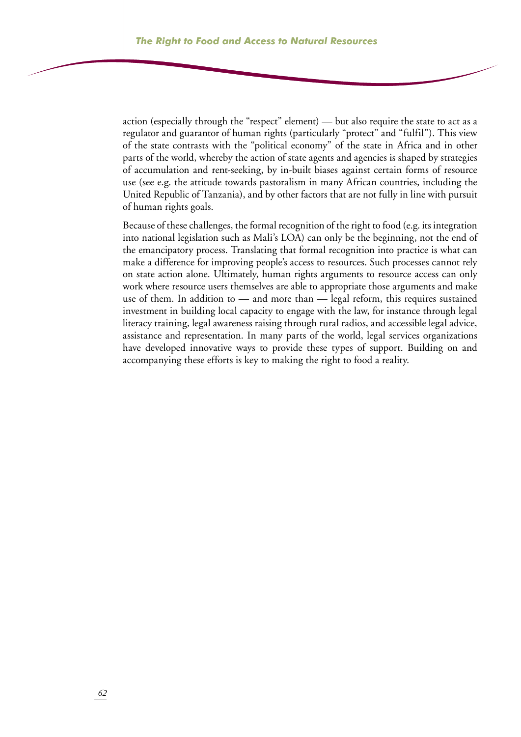action (especially through the "respect" element) — but also require the state to act as a regulator and guarantor of human rights (particularly "protect" and "fulfil"). This view of the state contrasts with the "political economy" of the state in Africa and in other parts of the world, whereby the action of state agents and agencies is shaped by strategies of accumulation and rent-seeking, by in-built biases against certain forms of resource use (see e.g. the attitude towards pastoralism in many African countries, including the United Republic of Tanzania), and by other factors that are not fully in line with pursuit of human rights goals.

Because of these challenges, the formal recognition of the right to food (e.g. its integration into national legislation such as Mali's LOA) can only be the beginning, not the end of the emancipatory process. Translating that formal recognition into practice is what can make a difference for improving people's access to resources. Such processes cannot rely on state action alone. Ultimately, human rights arguments to resource access can only work where resource users themselves are able to appropriate those arguments and make use of them. In addition to — and more than — legal reform, this requires sustained investment in building local capacity to engage with the law, for instance through legal literacy training, legal awareness raising through rural radios, and accessible legal advice, assistance and representation. In many parts of the world, legal services organizations have developed innovative ways to provide these types of support. Building on and accompanying these efforts is key to making the right to food a reality.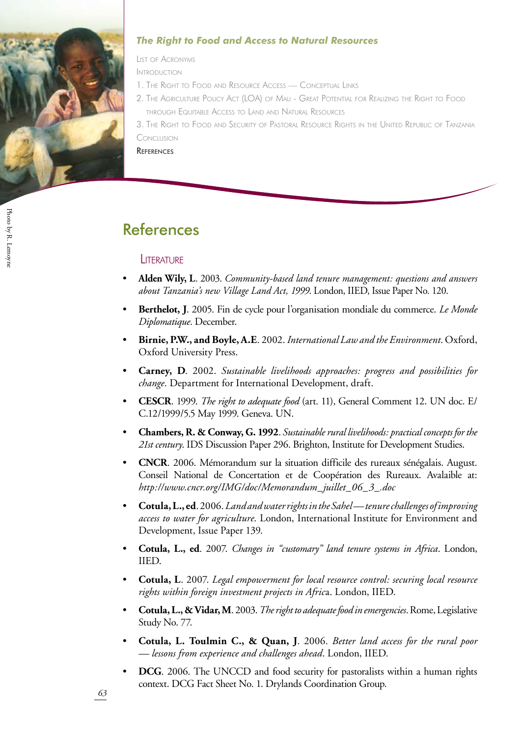

#### *The Right to Food and Access to Natural Resources*

List of Acronyms

Introduction

- 1. The Right to Food and Resource Access Conceptual Link
- 2. The Agriculture Policy Act (LOA) of Mali Great Potential for Realizing the Right to Food through Equitable Access to Land and Natural Resources

3. The Right to Food and Security of Pastoral Resource Rights in the United Republic of Tanzani Conclusion

**REFERENCES** 

## **References**

#### **LITERATURE**

- **Alden Wily, L**. 2003. *Community-based land tenure management: questions and answers about Tanzania's new Village Land Act, 1999*. London, IIED, Issue Paper No. 120. •
- **Berthelot, J**. 2005. Fin de cycle pour l'organisation mondiale du commerce. *Le Monde Diplomatique*. December. •
- **Birnie, P.W., and Boyle, A.E**. 2002. *International Law and the Environment*. Oxford, Oxford University Press. •
- **Carney, D**. 2002. *Sustainable livelihoods approaches: progress and possibilities for change*. Department for International Development, draft. •
- **CESCR**. 1999. *The right to adequate food* (art. 11), General Comment 12. UN doc. E/ C.12/1999/5.5 May 1999. Geneva. UN. •
- **Chambers, R. & Conway, G. 1992**. *Sustainable rural livelihoods: practical concepts for the 21st century*. IDS Discussion Paper 296. Brighton, Institute for Development Studies. •
- **CNCR**. 2006. Mémorandum sur la situation difficile des rureaux sénégalais. August. Conseil National de Concertation et de Coopération des Rureaux. Avalaible at: *http://www.cncr.org/IMG/doc/Memorandum\_juillet\_06\_3\_.doc* •
- **Cotula, L., ed**. 2006. *Land and water rights in the Sahel tenure challenges of improving access to water for agriculture*. London, International Institute for Environment and Development, Issue Paper 139. •
- **Cotula, L., ed**. 2007. *Changes in "customary" land tenure systems in Africa*. London, IIED. •
- **Cotula, L**. 2007. *Legal empowerment for local resource control: securing local resource rights within foreign investment projects in Afric*a. London, IIED. •
- **Cotula, L., & Vidar, M**. 2003. *The right to adequate food in emergencies*. Rome, Legislative Study No. 77. •
- **Cotula, L. Toulmin C., & Quan, J**. 2006. *Better land access for the rural poor — lessons from experience and challenges ahead*. London, IIED. •
- **DCG**. 2006. The UNCCD and food security for pastoralists within a human rights context. DCG Fact Sheet No. 1. Drylands Coordination Group. •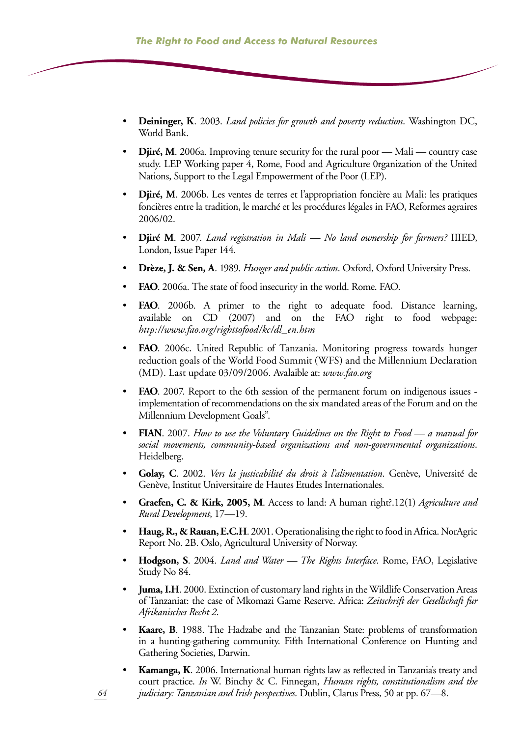- **Deininger, K**. 2003. *Land policies for growth and poverty reduction*. Washington DC, World Bank. •
- **Djiré, M**. 2006a. Improving tenure security for the rural poor Mali country case study. LEP Working paper 4, Rome, Food and Agriculture 0rganization of the United Nations, Support to the Legal Empowerment of the Poor (LEP). •
- **Djiré, M**. 2006b. Les ventes de terres et l'appropriation foncière au Mali: les pratiques foncières entre la tradition, le marché et les procédures légales in FAO, Reformes agraires 2006/02. •
- **Djiré M**. 2007. *Land registration in Mali No land ownership for farmers?* IIIED, London, Issue Paper 144. •
- **Drèze, J. & Sen, A**. 1989. *Hunger and public action*. Oxford, Oxford University Press. •
- **FAO**. 2006a. The state of food insecurity in the world. Rome. FAO. •
- **FAO**. 2006b. A primer to the right to adequate food. Distance learning, available on CD (2007) and on the FAO right to food webpage: *http://www.fao.org/righttofood/kc/dl\_en.htm*  •
- **FAO**. 2006c. United Republic of Tanzania. Monitoring progress towards hunger reduction goals of the World Food Summit (WFS) and the Millennium Declaration (MD). Last update 03/09/2006*.* Avalaible at: *www.fao.org* •
- **FAO**. 2007. Report to the 6th session of the permanent forum on indigenous issues implementation of recommendations on the six mandated areas of the Forum and on the Millennium Development Goals". •
- **FIAN**. 2007. *How to use the Voluntary Guidelines on the Right to Food a manual for social movements, community-based organizations and non-governmental organizations*. Heidelberg. •
- **Golay, C**. 2002. *Vers la justicabilité du droit à l'alimentation*. Genève, Université de Genève, Institut Universitaire de Hautes Etudes Internationales. •
- **Graefen, C. & Kirk, 2005, M**. Access to land: A human right?.12(1) *Agriculture and Rural Development*, 17—19. •
- **Haug, R., & Rauan, E.C.H**. 2001. Operationalising the right to food in Africa. NorAgric Report No. 2B. Oslo, Agricultural University of Norway. •
- **Hodgson, S**. 2004. *Land and Water The Rights Interface*. Rome, FAO, Legislative Study No 84. •
- **Juma, I.H**. 2000. Extinction of customary land rights in the Wildlife Conservation Areas of Tanzaniat: the case of Mkomazi Game Reserve. Africa: *Zeitschrift der Gesellschaft fur Afrikanisches Recht 2*. •
- **Kaare, B**. 1988. The Hadzabe and the Tanzanian State: problems of transformation in a hunting-gathering community. Fifth International Conference on Hunting and Gathering Societies, Darwin. •
- **Kamanga, K**. 2006. International human rights law as reflected in Tanzania's treaty and court practice. *In* W. Binchy & C. Finnegan, *Human rights, constitutionalism and the judiciary: Tanzanian and Irish perspectives*. Dublin, Clarus Press, 50 at pp. 67—8. •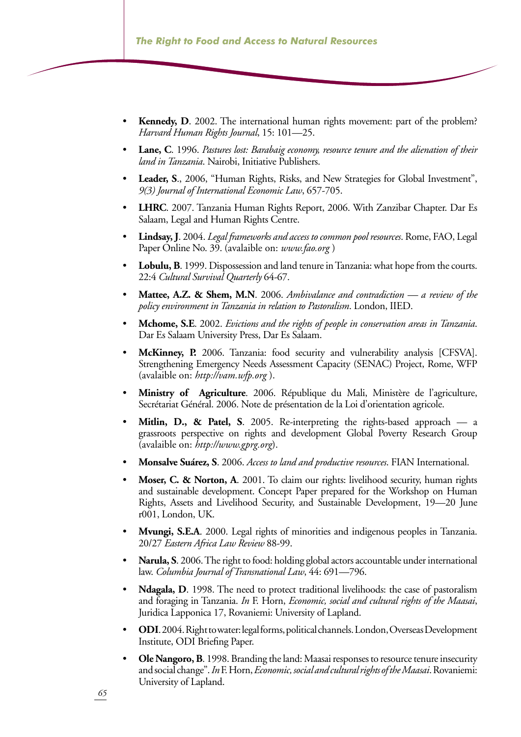- **Kennedy, D**. 2002. The international human rights movement: part of the problem? *Harvard Human Rights Journal*, 15: 101—25. •
- **Lane, C**. 1996. *Pastures lost: Barabaig economy, resource tenure and the alienation of their land in Tanzania*. Nairobi, Initiative Publishers. •
- **Leader, S**., 2006, "Human Rights, Risks, and New Strategies for Global Investment", *9(3) Journal of International Economic Law*, 657-705. •
- **LHRC**. 2007. Tanzania Human Rights Report, 2006. With Zanzibar Chapter. Dar Es Salaam, Legal and Human Rights Centre. •
- **Lindsay, J**. 2004. *Legal frameworks and access to common pool resources*. Rome, FAO, Legal Paper Online No. 39. (avalaible on: *www.fao.org* ) •
- **Lobulu, B**. 1999. Dispossession and land tenure in Tanzania: what hope from the courts. 22:4 *Cultural Survival Quarterly* 64-67. •
- **Mattee, A.Z. & Shem, M.N**. 2006. *Ambivalance and contradiction a review of the policy environment in Tanzania in relation to Pastoralism*. London, IIED. •
- **Mchome, S.E**. 2002. *Evictions and the rights of people in conservation areas in Tanzania*. Dar Es Salaam University Press, Dar Es Salaam. •
- **McKinney, P.** 2006. Tanzania: food security and vulnerability analysis [CFSVA]. Strengthening Emergency Needs Assessment Capacity (SENAC) Project, Rome, WFP (avalaible on: *http://vam.wfp.org* ). •
- **Ministry of Agriculture**. 2006. République du Mali, Ministère de l'agriculture, Secrétariat Général. 2006. Note de présentation de la Loi d'orientation agricole. •
- **Mitlin, D., & Patel, S**. 2005. Re-interpreting the rights-based approach a grassroots perspective on rights and development Global Poverty Research Group (avalaible on: *http://www.gprg.org*). •
- **Monsalve Suárez, S**. 2006. *Access to land and productive resources*. FIAN International. •
- **Moser, C. & Norton, A**. 2001. To claim our rights: livelihood security, human rights and sustainable development. Concept Paper prepared for the Workshop on Human Rights, Assets and Livelihood Security, and Sustainable Development, 19—20 June r001, London, UK. •
- **Mvungi, S.E.A**. 2000. Legal rights of minorities and indigenous peoples in Tanzania. 20/27 *Eastern Africa Law Review* 88-99. •
- **Narula, S**. 2006. The right to food: holding global actors accountable under international law. *Columbia Journal of Transnational Law*, 44: 691—796. •
- **Ndagala, D**. 1998. The need to protect traditional livelihoods: the case of pastoralism and foraging in Tanzania. *In* F. Horn, *Economic, social and cultural rights of the Maasai*, Juridica Lapponica 17, Rovaniemi: University of Lapland. •
- **ODI**. 2004. Right to water: legal forms, political channels. London, Overseas Development Institute, ODI Briefing Paper. •
- **Ole Nangoro, B**. 1998. Branding the land: Maasai responses to resource tenure insecurity and social change". *In* F. Horn, *Economic, social and cultural rights of the Maasai*. Rovaniemi: University of Lapland. •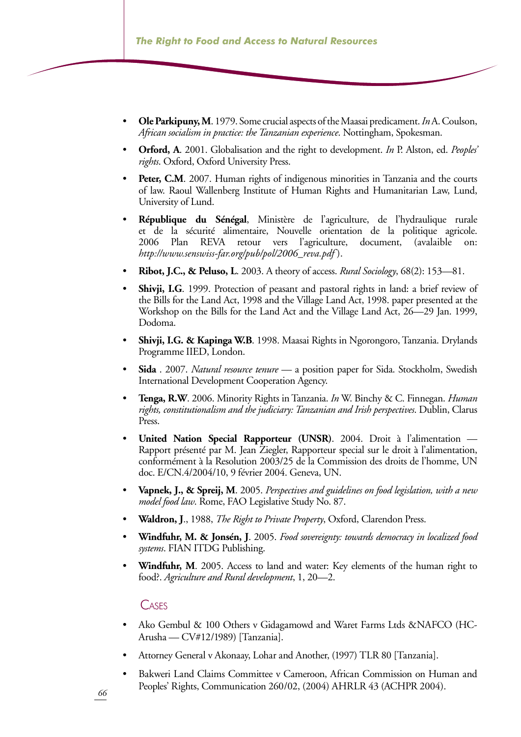- **Ole Parkipuny, M**. 1979. Some crucial aspects of the Maasai predicament. *In* A. Coulson, *African socialism in practice: the Tanzanian experience*. Nottingham, Spokesman. •
- **Orford, A**. 2001. Globalisation and the right to development. *In* P. Alston, ed. *Peoples' rights*. Oxford, Oxford University Press. •
- **Peter, C.M.** 2007. Human rights of indigenous minorities in Tanzania and the courts of law. Raoul Wallenberg Institute of Human Rights and Humanitarian Law, Lund, University of Lund. •
- **République du Sénégal**, Ministère de l'agriculture, de l'hydraulique rurale et de la sécurité alimentaire, Nouvelle orientation de la politique agricole. 2006 Plan REVA retour vers l'agriculture, document, (avalaible on: *http://www.senswiss-far.org/pub/pol/2006\_reva.pdf* ). •
- **Ribot, J.C., & Peluso, L**. 2003. A theory of access. *Rural Sociology*, 68(2): 153—81. •
- **Shivji, I.G**. 1999. Protection of peasant and pastoral rights in land: a brief review of the Bills for the Land Act, 1998 and the Village Land Act, 1998. paper presented at the Workshop on the Bills for the Land Act and the Village Land Act, 26—29 Jan. 1999, Dodoma. •
- **Shivji, I.G. & Kapinga W.B**. 1998. Maasai Rights in Ngorongoro, Tanzania. Drylands Programme IIED, London. •
- **Sida** . 2007. *Natural resource tenure* a position paper for Sida. Stockholm, Swedish International Development Cooperation Agency. •
- **Tenga, R.W**. 2006. Minority Rights in Tanzania. *In* W. Binchy & C. Finnegan. *Human rights, constitutionalism and the judiciary: Tanzanian and Irish perspectives*. Dublin, Clarus Press. •
- **United Nation Special Rapporteur (UNSR)**. 2004. Droit à l'alimentation Rapport présenté par M. Jean Ziegler, Rapporteur special sur le droit à l'alimentation, conformément à la Resolution 2003/25 de la Commission des droits de l'homme, UN doc. E/CN.4/2004/10, 9 février 2004. Geneva, UN. •
- **Vapnek, J., & Spreij, M**. 2005. *Perspectives and guidelines on food legislation, with a new model food law*. Rome, FAO Legislative Study No. 87. •
- **Waldron, J**., 1988, *The Right to Private Property*, Oxford, Clarendon Press. •
- **Windfuhr, M. & Jonsén, J**. 2005. *Food sovereignty: towards democracy in localized food systems*. FIAN ITDG Publishing. •
- **Windfuhr, M**. 2005. Access to land and water: Key elements of the human right to food?. *Agriculture and Rural development*, 1, 20—2. •

#### **CASES**

- Ako Gembul & 100 Others v Gidagamowd and Waret Farms Ltds &NAFCO (HC-Arusha — CV#12/1989) [Tanzania]. •
- Attorney General v Akonaay, Lohar and Another, (1997) TLR 80 [Tanzania]. •
- Bakweri Land Claims Committee v Cameroon, African Commission on Human and Peoples' Rights, Communication 260/02, (2004) AHRLR 43 (ACHPR 2004). •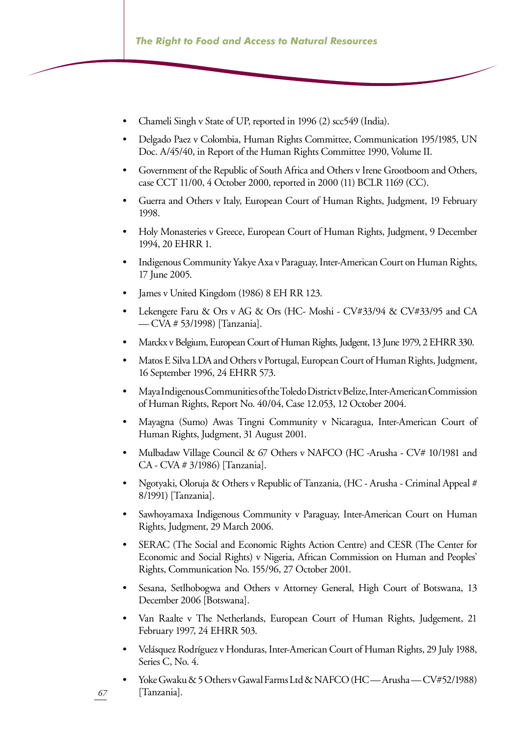- Chameli Singh v State of UP, reported in 1996 (2) scc549 (India). •
- Delgado Paez v Colombia, Human Rights Committee, Communication 195/1985, UN Doc. A/45/40, in Report of the Human Rights Committee 1990, Volume II. •
- Government of the Republic of South Africa and Others v Irene Grootboom and Others, case CCT 11/00, 4 October 2000, reported in 2000 (11) BCLR 1169 (CC). •
- Guerra and Others v Italy, European Court of Human Rights, Judgment, 19 February 1998. •
- Holy Monasteries v Greece, European Court of Human Rights, Judgment, 9 December 1994, 20 EHRR 1. •
- Indigenous Community Yakye Axa v Paraguay, Inter-American Court on Human Rights, 17 June 2005. •
- James v United Kingdom (1986) 8 EH RR 123. •
- Lekengere Faru & Ors v AG & Ors (HC- Moshi CV#33/94 & CV#33/95 and CA — CVA # 53/1998) [Tanzania]. •
- Marckx v Belgium, European Court of Human Rights, Judgent, 13 June 1979, 2 EHRR 330. •
- Matos E Silva LDA and Others v Portugal, European Court of Human Rights, Judgment, 16 September 1996, 24 EHRR 573. •
- Maya Indigenous Communities of the Toledo District v Belize, Inter-American Commission of Human Rights, Report No. 40/04, Case 12.053, 12 October 2004. •
- Mayagna (Sumo) Awas Tingni Community v Nicaragua, Inter-American Court of Human Rights, Judgment, 31 August 2001. •
- Mulbadaw Village Council & 67 Others v NAFCO (HC -Arusha CV# 10/1981 and CA - CVA # 3/1986) [Tanzania]. •
- Ngotyaki, Oloruja & Others v Republic of Tanzania, (HC Arusha Criminal Appeal # 8/1991) [Tanzania]. •
- Sawhoyamaxa Indigenous Community v Paraguay, Inter-American Court on Human Rights, Judgment, 29 March 2006. •
- SERAC (The Social and Economic Rights Action Centre) and CESR (The Center for Economic and Social Rights) v Nigeria, African Commission on Human and Peoples' Rights, Communication No. 155/96, 27 October 2001. •
- Sesana, Setlhobogwa and Others v Attorney General, High Court of Botswana, 13 December 2006 [Botswana]. •
- Van Raalte v The Netherlands, European Court of Human Rights, Judgement, 21 February 1997, 24 EHRR 503. •
- Velásquez Rodríguez v Honduras, Inter-American Court of Human Rights, 29 July 1988, Series C, No. 4. •
- Yoke Gwaku & 5 Others v Gawal Farms Ltd & NAFCO (HC-Arusha-CV#52/1988) [Tanzania]. •

*67*